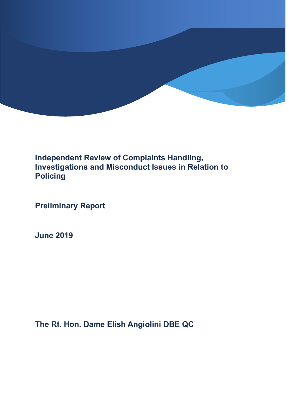

# **Independent Review of Complaints Handling, Investigations and Misconduct Issues in Relation to Policing**

**Preliminary Report**

**June 2019**

**The Rt. Hon. Dame Elish Angiolini DBE QC**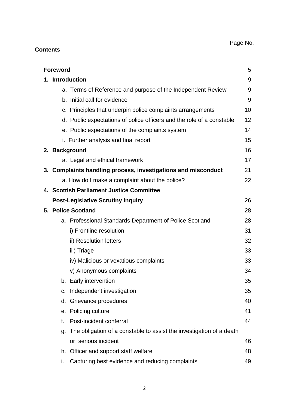# Page No.

# **Contents**

| <b>Foreword</b><br>5                     |                                                                       |    |  |
|------------------------------------------|-----------------------------------------------------------------------|----|--|
|                                          | 1. Introduction                                                       | 9  |  |
|                                          | a. Terms of Reference and purpose of the Independent Review           | 9  |  |
|                                          | b. Initial call for evidence                                          | 9  |  |
|                                          | c. Principles that underpin police complaints arrangements            | 10 |  |
|                                          | d. Public expectations of police officers and the role of a constable | 12 |  |
|                                          | e. Public expectations of the complaints system                       | 14 |  |
|                                          | f. Further analysis and final report                                  | 15 |  |
|                                          | 2. Background                                                         | 16 |  |
|                                          | a. Legal and ethical framework                                        | 17 |  |
|                                          | 3. Complaints handling process, investigations and misconduct         | 21 |  |
|                                          | a. How do I make a complaint about the police?                        | 22 |  |
| 4. Scottish Parliament Justice Committee |                                                                       |    |  |
|                                          | <b>Post-Legislative Scrutiny Inquiry</b>                              | 26 |  |
| 5. Police Scotland                       |                                                                       |    |  |
|                                          | a. Professional Standards Department of Police Scotland               | 28 |  |
|                                          | i) Frontline resolution                                               | 31 |  |
|                                          | ii) Resolution letters                                                | 32 |  |
|                                          | iii) Triage                                                           | 33 |  |
|                                          | iv) Malicious or vexatious complaints                                 | 33 |  |
|                                          | v) Anonymous complaints                                               | 34 |  |
|                                          | b. Early intervention                                                 | 35 |  |
| C.                                       | Independent investigation                                             | 35 |  |
|                                          | d. Grievance procedures                                               | 40 |  |
|                                          | e. Policing culture                                                   | 41 |  |
| f.                                       | Post-incident conferral                                               | 44 |  |
| g.                                       | The obligation of a constable to assist the investigation of a death  |    |  |
|                                          | or serious incident                                                   | 46 |  |
| h.                                       | Officer and support staff welfare                                     | 48 |  |
| ı.                                       | Capturing best evidence and reducing complaints                       | 49 |  |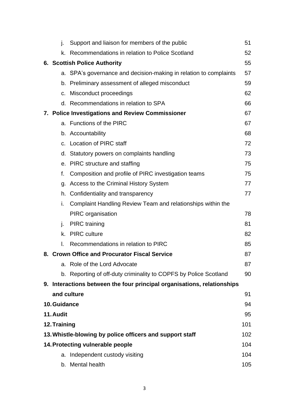|                                                                 | j.                                        | Support and liaison for members of the public                           | 51  |  |  |
|-----------------------------------------------------------------|-------------------------------------------|-------------------------------------------------------------------------|-----|--|--|
|                                                                 | k.                                        | Recommendations in relation to Police Scotland                          | 52  |  |  |
|                                                                 | <b>6. Scottish Police Authority</b><br>55 |                                                                         |     |  |  |
|                                                                 |                                           | a. SPA's governance and decision-making in relation to complaints       | 57  |  |  |
|                                                                 |                                           | b. Preliminary assessment of alleged misconduct                         | 59  |  |  |
|                                                                 |                                           | c. Misconduct proceedings                                               | 62  |  |  |
|                                                                 |                                           | d. Recommendations in relation to SPA                                   | 66  |  |  |
|                                                                 |                                           | 7. Police Investigations and Review Commissioner                        | 67  |  |  |
|                                                                 |                                           | a. Functions of the PIRC                                                | 67  |  |  |
|                                                                 |                                           | b. Accountability                                                       | 68  |  |  |
|                                                                 |                                           | c. Location of PIRC staff                                               | 72  |  |  |
|                                                                 |                                           | d. Statutory powers on complaints handling                              | 73  |  |  |
|                                                                 |                                           | e. PIRC structure and staffing                                          | 75  |  |  |
|                                                                 | f.                                        | Composition and profile of PIRC investigation teams                     | 75  |  |  |
|                                                                 |                                           | g. Access to the Criminal History System                                | 77  |  |  |
|                                                                 |                                           | h. Confidentiality and transparency                                     | 77  |  |  |
|                                                                 | i.                                        | Complaint Handling Review Team and relationships within the             |     |  |  |
|                                                                 |                                           | <b>PIRC</b> organisation                                                | 78  |  |  |
|                                                                 | j.                                        | <b>PIRC</b> training                                                    | 81  |  |  |
|                                                                 | k.                                        | <b>PIRC</b> culture                                                     | 82  |  |  |
|                                                                 | I.                                        | Recommendations in relation to PIRC                                     | 85  |  |  |
|                                                                 |                                           | 8. Crown Office and Procurator Fiscal Service                           | 87  |  |  |
|                                                                 |                                           | a. Role of the Lord Advocate                                            | 87  |  |  |
|                                                                 |                                           | b. Reporting of off-duty criminality to COPFS by Police Scotland        | 90  |  |  |
|                                                                 |                                           | 9. Interactions between the four principal organisations, relationships |     |  |  |
|                                                                 |                                           | and culture                                                             | 91  |  |  |
| 10. Guidance<br>94                                              |                                           |                                                                         |     |  |  |
| 11. Audit<br>95                                                 |                                           |                                                                         |     |  |  |
| 12. Training<br>101                                             |                                           |                                                                         |     |  |  |
| 13. Whistle-blowing by police officers and support staff<br>102 |                                           |                                                                         |     |  |  |
| 14. Protecting vulnerable people<br>104                         |                                           |                                                                         |     |  |  |
|                                                                 |                                           | a. Independent custody visiting                                         | 104 |  |  |
|                                                                 |                                           | b. Mental health                                                        | 105 |  |  |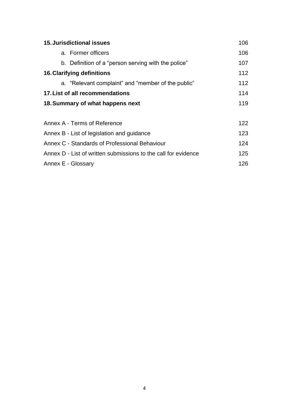| <b>15. Jurisdictional issues</b><br>106                        |     |  |  |
|----------------------------------------------------------------|-----|--|--|
| a. Former officers                                             | 106 |  |  |
| b. Definition of a "person serving with the police"            | 107 |  |  |
| <b>16. Clarifying definitions</b>                              |     |  |  |
| a. "Relevant complaint" and "member of the public"             | 112 |  |  |
| 17. List of all recommendations                                |     |  |  |
| 18. Summary of what happens next                               |     |  |  |
|                                                                |     |  |  |
| Annex A - Terms of Reference                                   |     |  |  |
| 123<br>Annex B - List of legislation and guidance              |     |  |  |
| Annex C - Standards of Professional Behaviour                  |     |  |  |
| Annex D - List of written submissions to the call for evidence |     |  |  |
| Annex E - Glossary                                             |     |  |  |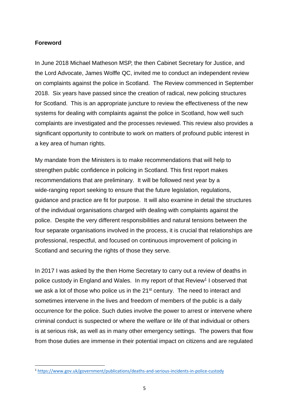## **Foreword**

**.** 

In June 2018 Michael Matheson MSP, the then Cabinet Secretary for Justice, and the Lord Advocate, James Wolffe QC, invited me to conduct an independent review on complaints against the police in Scotland. The Review commenced in September 2018. Six years have passed since the creation of radical, new policing structures for Scotland. This is an appropriate juncture to review the effectiveness of the new systems for dealing with complaints against the police in Scotland, how well such complaints are investigated and the processes reviewed. This review also provides a significant opportunity to contribute to work on matters of profound public interest in a key area of human rights.

My mandate from the Ministers is to make recommendations that will help to strengthen public confidence in policing in Scotland. This first report makes recommendations that are preliminary. It will be followed next year by a wide-ranging report seeking to ensure that the future legislation, regulations, guidance and practice are fit for purpose. It will also examine in detail the structures of the individual organisations charged with dealing with complaints against the police. Despite the very different responsibilities and natural tensions between the four separate organisations involved in the process, it is crucial that relationships are professional, respectful, and focused on continuous improvement of policing in Scotland and securing the rights of those they serve.

In 2017 I was asked by the then Home Secretary to carry out a review of deaths in police custody in England and Wales. In my report of that Review<sup>1</sup> I observed that we ask a lot of those who police us in the 21<sup>st</sup> century. The need to interact and sometimes intervene in the lives and freedom of members of the public is a daily occurrence for the police. Such duties involve the power to arrest or intervene where criminal conduct is suspected or where the welfare or life of that individual or others is at serious risk, as well as in many other emergency settings. The powers that flow from those duties are immense in their potential impact on citizens and are regulated

<sup>1</sup> <https://www.gov.uk/government/publications/deaths-and-serious-incidents-in-police-custody>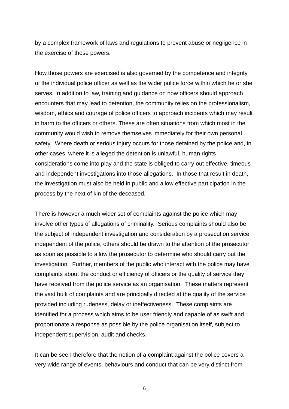by a complex framework of laws and regulations to prevent abuse or negligence in the exercise of those powers.

How those powers are exercised is also governed by the competence and integrity of the individual police officer as well as the wider police force within which he or she serves. In addition to law, training and guidance on how officers should approach encounters that may lead to detention, the community relies on the professionalism, wisdom, ethics and courage of police officers to approach incidents which may result in harm to the officers or others. These are often situations from which most in the community would wish to remove themselves immediately for their own personal safety. Where death or serious injury occurs for those detained by the police and, in other cases, where it is alleged the detention is unlawful, human rights considerations come into play and the state is obliged to carry out effective, timeous and independent investigations into those allegations. In those that result in death, the investigation must also be held in public and allow effective participation in the process by the next of kin of the deceased.

There is however a much wider set of complaints against the police which may involve other types of allegations of criminality. Serious complaints should also be the subject of independent investigation and consideration by a prosecution service independent of the police, others should be drawn to the attention of the prosecutor as soon as possible to allow the prosecutor to determine who should carry out the investigation. Further, members of the public who interact with the police may have complaints about the conduct or efficiency of officers or the quality of service they have received from the police service as an organisation. These matters represent the vast bulk of complaints and are principally directed at the quality of the service provided including rudeness, delay or ineffectiveness. These complaints are identified for a process which aims to be user friendly and capable of as swift and proportionate a response as possible by the police organisation itself, subject to independent supervision, audit and checks.

It can be seen therefore that the notion of a complaint against the police covers a very wide range of events, behaviours and conduct that can be very distinct from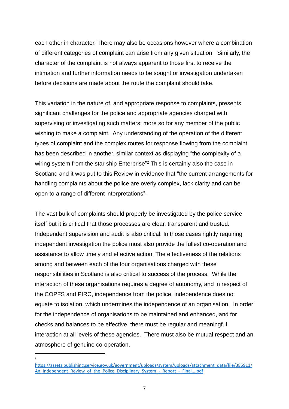each other in character. There may also be occasions however where a combination of different categories of complaint can arise from any given situation. Similarly, the character of the complaint is not always apparent to those first to receive the intimation and further information needs to be sought or investigation undertaken before decisions are made about the route the complaint should take.

This variation in the nature of, and appropriate response to complaints, presents significant challenges for the police and appropriate agencies charged with supervising or investigating such matters; more so for any member of the public wishing to make a complaint. Any understanding of the operation of the different types of complaint and the complex routes for response flowing from the complaint has been described in another, similar context as displaying "the complexity of a wiring system from the star ship Enterprise"<sup>2</sup> This is certainly also the case in Scotland and it was put to this Review in evidence that "the current arrangements for handling complaints about the police are overly complex, lack clarity and can be open to a range of different interpretations".

The vast bulk of complaints should properly be investigated by the police service itself but it is critical that those processes are clear, transparent and trusted. Independent supervision and audit is also critical. In those cases rightly requiring independent investigation the police must also provide the fullest co-operation and assistance to allow timely and effective action. The effectiveness of the relations among and between each of the four organisations charged with these responsibilities in Scotland is also critical to success of the process. While the interaction of these organisations requires a degree of autonomy, and in respect of the COPFS and PIRC, independence from the police, independence does not equate to isolation, which undermines the independence of an organisation. In order for the independence of organisations to be maintained and enhanced, and for checks and balances to be effective, there must be regular and meaningful interaction at all levels of these agencies. There must also be mutual respect and an atmosphere of genuine co-operation.

 $\frac{1}{2}$ 

[https://assets.publishing.service.gov.uk/government/uploads/system/uploads/attachment\\_data/file/385911/](https://assets.publishing.service.gov.uk/government/uploads/system/uploads/attachment_data/file/385911/An_Independent_Review_of_the_Police_Disciplinary_System_-_Report_-_Final....pdf) An Independent Review of the Police Disciplinary System - Report - Final....pdf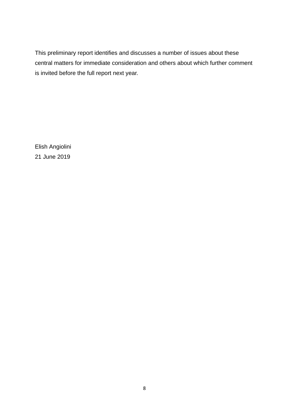This preliminary report identifies and discusses a number of issues about these central matters for immediate consideration and others about which further comment is invited before the full report next year.

Elish Angiolini 21 June 2019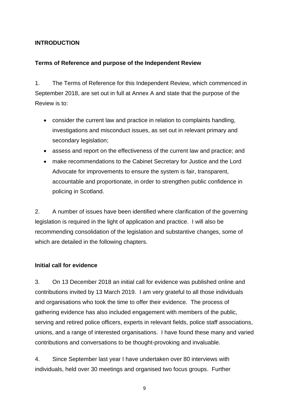# **INTRODUCTION**

## **Terms of Reference and purpose of the Independent Review**

1. The Terms of Reference for this Independent Review, which commenced in September 2018, are set out in full at Annex A and state that the purpose of the Review is to:

- consider the current law and practice in relation to complaints handling, investigations and misconduct issues, as set out in relevant primary and secondary legislation;
- assess and report on the effectiveness of the current law and practice; and
- make recommendations to the Cabinet Secretary for Justice and the Lord Advocate for improvements to ensure the system is fair, transparent, accountable and proportionate, in order to strengthen public confidence in policing in Scotland.

2. A number of issues have been identified where clarification of the governing legislation is required in the light of application and practice. I will also be recommending consolidation of the legislation and substantive changes, some of which are detailed in the following chapters.

## **Initial call for evidence**

3. On 13 December 2018 an initial call for evidence was published online and contributions invited by 13 March 2019. I am very grateful to all those individuals and organisations who took the time to offer their evidence. The process of gathering evidence has also included engagement with members of the public, serving and retired police officers, experts in relevant fields, police staff associations, unions, and a range of interested organisations. I have found these many and varied contributions and conversations to be thought-provoking and invaluable.

4. Since September last year I have undertaken over 80 interviews with individuals, held over 30 meetings and organised two focus groups. Further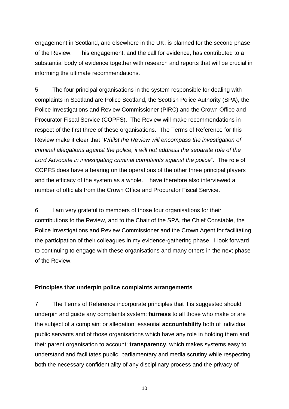engagement in Scotland, and elsewhere in the UK, is planned for the second phase of the Review. This engagement, and the call for evidence, has contributed to a substantial body of evidence together with research and reports that will be crucial in informing the ultimate recommendations.

5. The four principal organisations in the system responsible for dealing with complaints in Scotland are Police Scotland, the Scottish Police Authority (SPA), the Police Investigations and Review Commissioner (PIRC) and the Crown Office and Procurator Fiscal Service (COPFS). The Review will make recommendations in respect of the first three of these organisations. The Terms of Reference for this Review make it clear that "*Whilst the Review will encompass the investigation of criminal allegations against the police, it will not address the separate role of the Lord Advocate in investigating criminal complaints against the police*". The role of COPFS does have a bearing on the operations of the other three principal players and the efficacy of the system as a whole. I have therefore also interviewed a number of officials from the Crown Office and Procurator Fiscal Service.

6. I am very grateful to members of those four organisations for their contributions to the Review, and to the Chair of the SPA, the Chief Constable, the Police Investigations and Review Commissioner and the Crown Agent for facilitating the participation of their colleagues in my evidence-gathering phase. I look forward to continuing to engage with these organisations and many others in the next phase of the Review.

#### **Principles that underpin police complaints arrangements**

7. The Terms of Reference incorporate principles that it is suggested should underpin and guide any complaints system: **fairness** to all those who make or are the subject of a complaint or allegation; essential **accountability** both of individual public servants and of those organisations which have any role in holding them and their parent organisation to account; **transparency**, which makes systems easy to understand and facilitates public, parliamentary and media scrutiny while respecting both the necessary confidentiality of any disciplinary process and the privacy of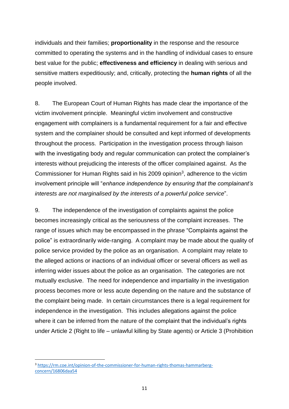individuals and their families; **proportionality** in the response and the resource committed to operating the systems and in the handling of individual cases to ensure best value for the public; **effectiveness and efficiency** in dealing with serious and sensitive matters expeditiously; and, critically, protecting the **human rights** of all the people involved.

8. The European Court of Human Rights has made clear the importance of the victim involvement principle. Meaningful victim involvement and constructive engagement with complainers is a fundamental requirement for a fair and effective system and the complainer should be consulted and kept informed of developments throughout the process. Participation in the investigation process through liaison with the investigating body and regular communication can protect the complainer's interests without prejudicing the interests of the officer complained against. As the Commissioner for Human Rights said in his 2009 opinion<sup>3</sup>, adherence to the victim involvement principle will "*enhance independence by ensuring that the complainant's interests are not marginalised by the interests of a powerful police service*".

9. The independence of the investigation of complaints against the police becomes increasingly critical as the seriousness of the complaint increases. The range of issues which may be encompassed in the phrase "Complaints against the police" is extraordinarily wide-ranging. A complaint may be made about the quality of police service provided by the police as an organisation. A complaint may relate to the alleged actions or inactions of an individual officer or several officers as well as inferring wider issues about the police as an organisation. The categories are not mutually exclusive. The need for independence and impartiality in the investigation process becomes more or less acute depending on the nature and the substance of the complaint being made. In certain circumstances there is a legal requirement for independence in the investigation. This includes allegations against the police where it can be inferred from the nature of the complaint that the individual's rights under Article 2 (Right to life – unlawful killing by State agents) or Article 3 (Prohibition

<sup>3</sup> [https://rm.coe.int/opinion-of-the-commissioner-for-human-rights-thomas-hammarberg](https://rm.coe.int/opinion-of-the-commissioner-for-human-rights-thomas-hammarberg-concern/16806daa54)[concern/16806daa54](https://rm.coe.int/opinion-of-the-commissioner-for-human-rights-thomas-hammarberg-concern/16806daa54)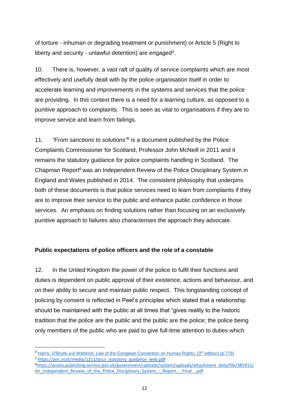of torture - inhuman or degrading treatment or punishment) or Article 5 (Right to liberty and security - unlawful detention) are engaged<sup>4</sup>.

10. There is, however, a vast raft of quality of service complaints which are most effectively and usefully dealt with by the police organisation itself in order to accelerate learning and improvements in the systems and services that the police are providing. In this context there is a need for a learning culture, as opposed to a punitive approach to complaints. This is seen as vital to organisations if they are to improve service and learn from failings.

11. *"From sanctions to solutions" 5* is a document published by the Police Complaints Commissioner for Scotland, Professor John McNeill in 2011 and it remains the statutory guidance for police complaints handling in Scotland. The Chapman Report<sup>6</sup> was an Independent Review of the Police Disciplinary System in England and Wales published in 2014. The consistent philosophy that underpins both of these documents is that police services need to learn from complaints if they are to improve their service to the public and enhance public confidence in those services. An emphasis on finding solutions rather than focusing on an exclusively punitive approach to failures also characterises the approach they advocate.

# **Public expectations of police officers and the role of a constable**

12. In the United Kingdom the power of the police to fulfil their functions and duties is dependent on public approval of their existence, actions and behaviour, and on their ability to secure and maintain public respect. This longstanding concept of policing by consent is reflected in Peel's principles which stated that a relationship should be maintained with the public at all times that "gives reality to the historic tradition that the police are the public and the public are the police; the police being only members of the public who are paid to give full-time attention to duties which

<sup>&</sup>lt;sup>4</sup> Harris, O'Boyle and Warbrick: Law of the European Convention on Human Rights, (3<sup>rd</sup> edition) (p.779) <sup>5</sup> [https://pirc.scot/media/1211/pccs\\_statutory\\_guidance\\_web.pdf](https://pirc.scot/media/1211/pccs_statutory_guidance_web.pdf)

<sup>&</sup>lt;sup>6</sup>[https://assets.publishing.service.gov.uk/government/uploads/system/uploads/attachment\\_data/file/385911/](https://assets.publishing.service.gov.uk/government/uploads/system/uploads/attachment_data/file/385911/An_Independent_Review_of_the_Police_Disciplinary_System_-_Report_-_Final....pdf) An Independent Review of the Police Disciplinary System - Report - Final....pdf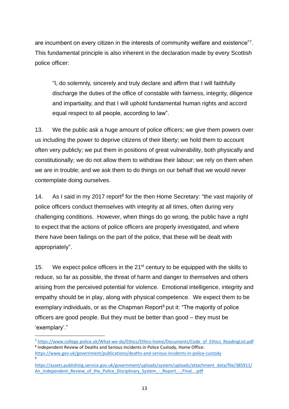are incumbent on every citizen in the interests of community welfare and existence"7. This fundamental principle is also inherent in the declaration made by every Scottish police officer:

"I, do solemnly, sincerely and truly declare and affirm that I will faithfully discharge the duties of the office of constable with fairness, integrity, diligence and impartiality, and that I will uphold fundamental human rights and accord equal respect to all people, according to law".

13. We the public ask a huge amount of police officers; we give them powers over us including the power to deprive citizens of their liberty; we hold them to account often very publicly; we put them in positions of great vulnerability, both physically and constitutionally; we do not allow them to withdraw their labour; we rely on them when we are in trouble; and we ask them to do things on our behalf that we would never contemplate doing ourselves.

14. As I said in my 2017 report<sup>8</sup> for the then Home Secretary: "the vast majority of police officers conduct themselves with integrity at all times, often during very challenging conditions. However, when things do go wrong, the public have a right to expect that the actions of police officers are properly investigated, and where there have been failings on the part of the police, that these will be dealt with appropriately".

15. We expect police officers in the  $21^{st}$  century to be equipped with the skills to reduce, so far as possible, the threat of harm and danger to themselves and others arising from the perceived potential for violence. Emotional intelligence, integrity and empathy should be in play, along with physical competence. We expect them to be exemplary individuals, or as the Chapman Report $9$  put it: "The majority of police officers are good people. But they must be better than good – they must be 'exemplary'."

<sup>7</sup> [https://www.college.police.uk/What-we-do/Ethics/Ethics-home/Documents/Code\\_of\\_Ethics\\_ReadingList.pdf](https://www.college.police.uk/What-we-do/Ethics/Ethics-home/Documents/Code_of_Ethics_ReadingList.pdf) <sup>8</sup> Independent Review of Deaths and Serious Incidents in Police Custody, Home Office: <https://www.gov.uk/government/publications/deaths-and-serious-incidents-in-police-custody> 9

[https://assets.publishing.service.gov.uk/government/uploads/system/uploads/attachment\\_data/file/385911/](https://assets.publishing.service.gov.uk/government/uploads/system/uploads/attachment_data/file/385911/An_Independent_Review_of_the_Police_Disciplinary_System_-_Report_-_Final....pdf) An Independent Review of the Police Disciplinary System - Report - Final....pdf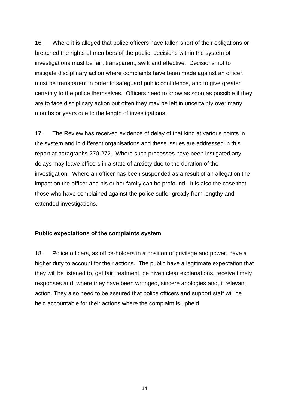16. Where it is alleged that police officers have fallen short of their obligations or breached the rights of members of the public, decisions within the system of investigations must be fair, transparent, swift and effective. Decisions not to instigate disciplinary action where complaints have been made against an officer, must be transparent in order to safeguard public confidence, and to give greater certainty to the police themselves. Officers need to know as soon as possible if they are to face disciplinary action but often they may be left in uncertainty over many months or years due to the length of investigations.

17. The Review has received evidence of delay of that kind at various points in the system and in different organisations and these issues are addressed in this report at paragraphs 270-272. Where such processes have been instigated any delays may leave officers in a state of anxiety due to the duration of the investigation. Where an officer has been suspended as a result of an allegation the impact on the officer and his or her family can be profound. It is also the case that those who have complained against the police suffer greatly from lengthy and extended investigations.

#### **Public expectations of the complaints system**

18. Police officers, as office-holders in a position of privilege and power, have a higher duty to account for their actions. The public have a legitimate expectation that they will be listened to, get fair treatment, be given clear explanations, receive timely responses and, where they have been wronged, sincere apologies and, if relevant, action. They also need to be assured that police officers and support staff will be held accountable for their actions where the complaint is upheld.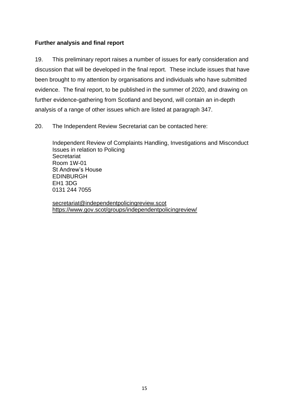# **Further analysis and final report**

19. This preliminary report raises a number of issues for early consideration and discussion that will be developed in the final report. These include issues that have been brought to my attention by organisations and individuals who have submitted evidence. The final report, to be published in the summer of 2020, and drawing on further evidence-gathering from Scotland and beyond, will contain an in-depth analysis of a range of other issues which are listed at paragraph 347.

20. The Independent Review Secretariat can be contacted here:

Independent Review of Complaints Handling, Investigations and Misconduct Issues in relation to Policing **Secretariat** Room 1W-01 St Andrew's House EDINBURGH EH1 3DG 0131 244 7055

[secretariat@independentpolicingreview.scot](mailto:secretariat@independentpolicingreview.scot) <https://www.gov.scot/groups/independentpolicingreview/>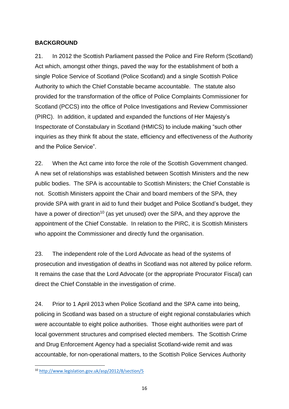## **BACKGROUND**

21. In 2012 the Scottish Parliament passed the Police and Fire Reform (Scotland) Act which, amongst other things, paved the way for the establishment of both a single Police Service of Scotland (Police Scotland) and a single Scottish Police Authority to which the Chief Constable became accountable. The statute also provided for the transformation of the office of Police Complaints Commissioner for Scotland (PCCS) into the office of Police Investigations and Review Commissioner (PIRC). In addition, it updated and expanded the functions of Her Majesty's Inspectorate of Constabulary in Scotland (HMICS) to include making "such other inquiries as they think fit about the state, efficiency and effectiveness of the Authority and the Police Service".

22. When the Act came into force the role of the Scottish Government changed. A new set of relationships was established between Scottish Ministers and the new public bodies. The SPA is accountable to Scottish Ministers; the Chief Constable is not. Scottish Ministers appoint the Chair and board members of the SPA, they provide SPA with grant in aid to fund their budget and Police Scotland's budget, they have a power of direction<sup>10</sup> (as yet unused) over the SPA, and they approve the appointment of the Chief Constable. In relation to the PIRC, it is Scottish Ministers who appoint the Commissioner and directly fund the organisation.

23. The independent role of the Lord Advocate as head of the systems of prosecution and investigation of deaths in Scotland was not altered by police reform. It remains the case that the Lord Advocate (or the appropriate Procurator Fiscal) can direct the Chief Constable in the investigation of crime.

24. Prior to 1 April 2013 when Police Scotland and the SPA came into being, policing in Scotland was based on a structure of eight regional constabularies which were accountable to eight police authorities. Those eight authorities were part of local government structures and comprised elected members. The Scottish Crime and Drug Enforcement Agency had a specialist Scotland-wide remit and was accountable, for non-operational matters, to the Scottish Police Services Authority

<sup>10</sup> <http://www.legislation.gov.uk/asp/2012/8/section/5>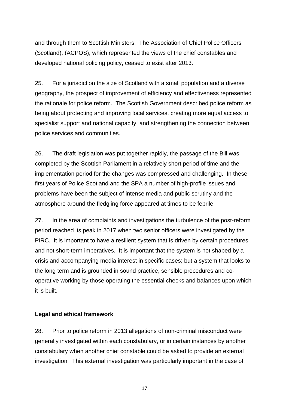and through them to Scottish Ministers. The Association of Chief Police Officers (Scotland), (ACPOS), which represented the views of the chief constables and developed national policing policy, ceased to exist after 2013.

25. For a jurisdiction the size of Scotland with a small population and a diverse geography, the prospect of improvement of efficiency and effectiveness represented the rationale for police reform. The Scottish Government described police reform as being about protecting and improving local services, creating more equal access to specialist support and national capacity, and strengthening the connection between police services and communities.

26. The draft legislation was put together rapidly, the passage of the Bill was completed by the Scottish Parliament in a relatively short period of time and the implementation period for the changes was compressed and challenging. In these first years of Police Scotland and the SPA a number of high-profile issues and problems have been the subject of intense media and public scrutiny and the atmosphere around the fledgling force appeared at times to be febrile.

27. In the area of complaints and investigations the turbulence of the post-reform period reached its peak in 2017 when two senior officers were investigated by the PIRC. It is important to have a resilient system that is driven by certain procedures and not short-term imperatives. It is important that the system is not shaped by a crisis and accompanying media interest in specific cases; but a system that looks to the long term and is grounded in sound practice, sensible procedures and cooperative working by those operating the essential checks and balances upon which it is built.

#### **Legal and ethical framework**

28. Prior to police reform in 2013 allegations of non-criminal misconduct were generally investigated within each constabulary, or in certain instances by another constabulary when another chief constable could be asked to provide an external investigation. This external investigation was particularly important in the case of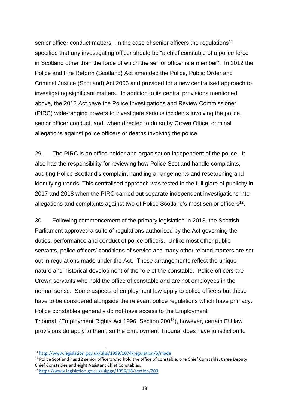senior officer conduct matters. In the case of senior officers the regulations<sup>11</sup> specified that any investigating officer should be "a chief constable of a police force in Scotland other than the force of which the senior officer is a member". In 2012 the Police and Fire Reform (Scotland) Act amended the Police, Public Order and Criminal Justice (Scotland) Act 2006 and provided for a new centralised approach to investigating significant matters. In addition to its central provisions mentioned above, the 2012 Act gave the Police Investigations and Review Commissioner (PIRC) wide-ranging powers to investigate serious incidents involving the police, senior officer conduct, and, when directed to do so by Crown Office, criminal allegations against police officers or deaths involving the police.

29. The PIRC is an office-holder and organisation independent of the police. It also has the responsibility for reviewing how Police Scotland handle complaints, auditing Police Scotland's complaint handling arrangements and researching and identifying trends. This centralised approach was tested in the full glare of publicity in 2017 and 2018 when the PIRC carried out separate independent investigations into allegations and complaints against two of Police Scotland's most senior officers<sup>12</sup>.

30. Following commencement of the primary legislation in 2013, the Scottish Parliament approved a suite of regulations authorised by the Act governing the duties, performance and conduct of police officers. Unlike most other public servants, police officers' conditions of service and many other related matters are set out in regulations made under the Act. These arrangements reflect the unique nature and historical development of the role of the constable. Police officers are Crown servants who hold the office of constable and are not employees in the normal sense. Some aspects of employment law apply to police officers but these have to be considered alongside the relevant police regulations which have primacy. Police constables generally do not have access to the Employment Tribunal (Employment Rights Act 1996, Section 200<sup>13</sup>), however, certain EU law provisions do apply to them, so the Employment Tribunal does have jurisdiction to

<sup>11</sup> <http://www.legislation.gov.uk/uksi/1999/1074/regulation/5/made>

<sup>&</sup>lt;sup>12</sup> Police Scotland has 12 senior officers who hold the office of constable: one Chief Constable, three Deputy Chief Constables and eight Assistant Chief Constables.

<sup>13</sup> <https://www.legislation.gov.uk/ukpga/1996/18/section/200>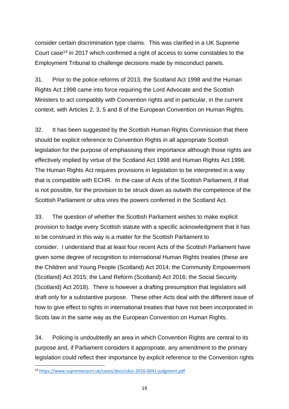consider certain discrimination type claims. This was clarified in a UK Supreme Court case<sup>14</sup> in 2017 which confirmed a right of access to some constables to the Employment Tribunal to challenge decisions made by misconduct panels.

31. Prior to the police reforms of 2013, the Scotland Act 1998 and the Human Rights Act 1998 came into force requiring the Lord Advocate and the Scottish Ministers to act compatibly with Convention rights and in particular, in the current context, with Articles 2, 3, 5 and 8 of the European Convention on Human Rights.

32. It has been suggested by the Scottish Human Rights Commission that there should be explicit reference to Convention Rights in all appropriate Scottish legislation for the purpose of emphasising their importance although those rights are effectively implied by virtue of the Scotland Act 1998 and Human Rights Act 1998. The Human Rights Act requires provisions in legislation to be interpreted in a way that is compatible with ECHR. In the case of Acts of the Scottish Parliament, if that is not possible, for the provision to be struck down as outwith the competence of the Scottish Parliament or ultra vires the powers conferred in the Scotland Act.

33. The question of whether the Scottish Parliament wishes to make explicit provision to badge every Scottish statute with a specific acknowledgment that it has to be construed in this way is a matter for the Scottish Parliament to consider. I understand that at least four recent Acts of the Scottish Parliament have given some degree of recognition to international Human Rights treaties (these are the Children and Young People (Scotland) Act 2014; the Community Empowerment (Scotland) Act 2015; the Land Reform (Scotland) Act 2016; the Social Security (Scotland) Act 2018). There is however a drafting presumption that legislators will draft only for a substantive purpose. These other Acts deal with the different issue of how to give effect to rights in international treaties that have not been incorporated in Scots law in the same way as the European Convention on Human Rights.

34. Policing is undoubtedly an area in which Convention Rights are central to its purpose and, if Parliament considers it appropriate, any amendment to the primary legislation could reflect their importance by explicit reference to the Convention rights

<sup>&</sup>lt;sup>14</sup> <https://www.supremecourt.uk/cases/docs/uksc-2016-0041-judgment.pdf>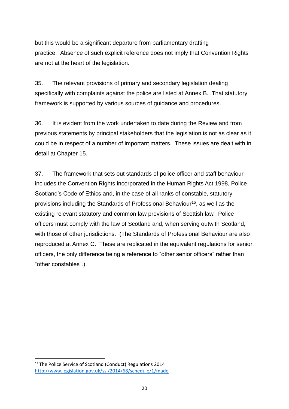but this would be a significant departure from parliamentary drafting practice. Absence of such explicit reference does not imply that Convention Rights are not at the heart of the legislation.

35. The relevant provisions of primary and secondary legislation dealing specifically with complaints against the police are listed at Annex B. That statutory framework is supported by various sources of guidance and procedures.

36. It is evident from the work undertaken to date during the Review and from previous statements by principal stakeholders that the legislation is not as clear as it could be in respect of a number of important matters. These issues are dealt with in detail at Chapter 15.

37. The framework that sets out standards of police officer and staff behaviour includes the Convention Rights incorporated in the Human Rights Act 1998, Police Scotland's Code of Ethics and, in the case of all ranks of constable, statutory provisions including the Standards of Professional Behaviour<sup>15</sup>, as well as the existing relevant statutory and common law provisions of Scottish law. Police officers must comply with the law of Scotland and, when serving outwith Scotland, with those of other jurisdictions. (The Standards of Professional Behaviour are also reproduced at Annex C. These are replicated in the equivalent regulations for senior officers, the only difference being a reference to "other senior officers" rather than "other constables".)

<sup>&</sup>lt;sup>15</sup> The Police Service of Scotland (Conduct) Regulations 2014 <http://www.legislation.gov.uk/ssi/2014/68/schedule/1/made>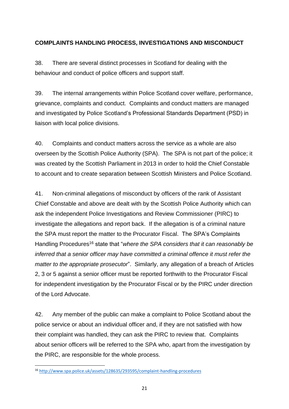# **COMPLAINTS HANDLING PROCESS, INVESTIGATIONS AND MISCONDUCT**

38. There are several distinct processes in Scotland for dealing with the behaviour and conduct of police officers and support staff.

39. The internal arrangements within Police Scotland cover welfare, performance, grievance, complaints and conduct. Complaints and conduct matters are managed and investigated by Police Scotland's Professional Standards Department (PSD) in liaison with local police divisions.

40. Complaints and conduct matters across the service as a whole are also overseen by the Scottish Police Authority (SPA). The SPA is not part of the police; it was created by the Scottish Parliament in 2013 in order to hold the Chief Constable to account and to create separation between Scottish Ministers and Police Scotland.

41. Non-criminal allegations of misconduct by officers of the rank of Assistant Chief Constable and above are dealt with by the Scottish Police Authority which can ask the independent Police Investigations and Review Commissioner (PIRC) to investigate the allegations and report back. If the allegation is of a criminal nature the SPA must report the matter to the Procurator Fiscal. The SPA's Complaints Handling Procedures<sup>16</sup> state that "*where the SPA considers that it can reasonably be inferred that a senior officer may have committed a criminal offence it must refer the matter to the appropriate prosecutor*". Similarly, any allegation of a breach of Articles 2, 3 or 5 against a senior officer must be reported forthwith to the Procurator Fiscal for independent investigation by the Procurator Fiscal or by the PIRC under direction of the Lord Advocate.

42. Any member of the public can make a complaint to Police Scotland about the police service or about an individual officer and, if they are not satisfied with how their complaint was handled, they can ask the PIRC to review that. Complaints about senior officers will be referred to the SPA who, apart from the investigation by the PIRC, are responsible for the whole process.

<sup>&</sup>lt;sup>16</sup> <http://www.spa.police.uk/assets/128635/293595/complaint-handling-procedures>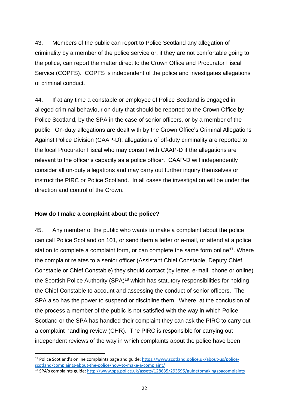43. Members of the public can report to Police Scotland any allegation of criminality by a member of the police service or, if they are not comfortable going to the police, can report the matter direct to the Crown Office and Procurator Fiscal Service (COPFS). COPFS is independent of the police and investigates allegations of criminal conduct.

44. If at any time a constable or employee of Police Scotland is engaged in alleged criminal behaviour on duty that should be reported to the Crown Office by Police Scotland, by the SPA in the case of senior officers, or by a member of the public. On-duty allegations are dealt with by the Crown Office's Criminal Allegations Against Police Division (CAAP-D); allegations of off-duty criminality are reported to the local Procurator Fiscal who may consult with CAAP-D if the allegations are relevant to the officer's capacity as a police officer. CAAP-D will independently consider all on-duty allegations and may carry out further inquiry themselves or instruct the PIRC or Police Scotland. In all cases the investigation will be under the direction and control of the Crown.

#### **How do I make a complaint about the police?**

**.** 

45. Any member of the public who wants to make a complaint about the police can call Police Scotland on 101, or send them a letter or e-mail, or attend at a police station to complete a complaint form, or can complete the same form online**<sup>17</sup>** . Where the complaint relates to a senior officer (Assistant Chief Constable, Deputy Chief Constable or Chief Constable) they should contact (by letter, e-mail, phone or online) the Scottish Police Authority (SPA)<sup>18</sup> which has statutory responsibilities for holding the Chief Constable to account and assessing the conduct of senior officers. The SPA also has the power to suspend or discipline them. Where, at the conclusion of the process a member of the public is not satisfied with the way in which Police Scotland or the SPA has handled their complaint they can ask the PIRC to carry out a complaint handling review (CHR). The PIRC is responsible for carrying out independent reviews of the way in which complaints about the police have been

<sup>&</sup>lt;sup>17</sup> Police Scotland's online complaints page and guide: [https://www.scotland.police.uk/about-us/police](https://www.scotland.police.uk/about-us/police-scotland/complaints-about-the-police/how-to-make-a-complaint/)[scotland/complaints-about-the-police/how-to-make-a-complaint/](https://www.scotland.police.uk/about-us/police-scotland/complaints-about-the-police/how-to-make-a-complaint/)

<sup>18</sup> SPA's complaints guide: <http://www.spa.police.uk/assets/128635/293595/guidetomakingspacomplaints>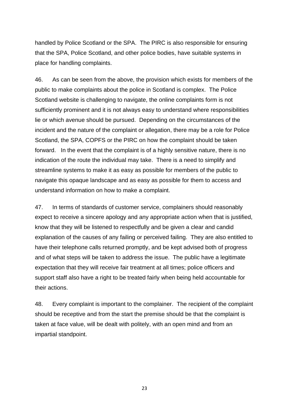handled by Police Scotland or the SPA. The PIRC is also responsible for ensuring that the SPA, Police Scotland, and other police bodies, have suitable systems in place for handling complaints.

46. As can be seen from the above, the provision which exists for members of the public to make complaints about the police in Scotland is complex. The Police Scotland website is challenging to navigate, the online complaints form is not sufficiently prominent and it is not always easy to understand where responsibilities lie or which avenue should be pursued. Depending on the circumstances of the incident and the nature of the complaint or allegation, there may be a role for Police Scotland, the SPA, COPFS or the PIRC on how the complaint should be taken forward. In the event that the complaint is of a highly sensitive nature, there is no indication of the route the individual may take. There is a need to simplify and streamline systems to make it as easy as possible for members of the public to navigate this opaque landscape and as easy as possible for them to access and understand information on how to make a complaint.

47. In terms of standards of customer service, complainers should reasonably expect to receive a sincere apology and any appropriate action when that is justified, know that they will be listened to respectfully and be given a clear and candid explanation of the causes of any failing or perceived failing. They are also entitled to have their telephone calls returned promptly, and be kept advised both of progress and of what steps will be taken to address the issue. The public have a legitimate expectation that they will receive fair treatment at all times; police officers and support staff also have a right to be treated fairly when being held accountable for their actions.

48. Every complaint is important to the complainer. The recipient of the complaint should be receptive and from the start the premise should be that the complaint is taken at face value, will be dealt with politely, with an open mind and from an impartial standpoint.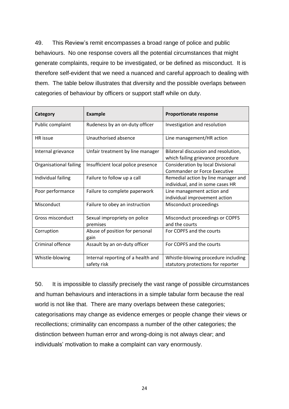49. This Review's remit encompasses a broad range of police and public behaviours. No one response covers all the potential circumstances that might generate complaints, require to be investigated, or be defined as misconduct. It is therefore self-evident that we need a nuanced and careful approach to dealing with them. The table below illustrates that diversity and the possible overlaps between categories of behaviour by officers or support staff while on duty.

| Category                | <b>Example</b>                                    | <b>Proportionate response</b>                                             |
|-------------------------|---------------------------------------------------|---------------------------------------------------------------------------|
| Public complaint        | Rudeness by an on-duty officer                    | Investigation and resolution                                              |
| <b>HR</b> issue         | Unauthorised absence                              | Line management/HR action                                                 |
| Internal grievance      | Unfair treatment by line manager                  | Bilateral discussion and resolution,<br>which failing grievance procedure |
| Organisational failing  | Insufficient local police presence                | Consideration by local Divisional<br><b>Commander or Force Executive</b>  |
| Individual failing      | Failure to follow up a call                       | Remedial action by line manager and<br>individual, and in some cases HR   |
| Poor performance        | Failure to complete paperwork                     | Line management action and<br>individual improvement action               |
| Misconduct              | Failure to obey an instruction                    | Misconduct proceedings                                                    |
| Gross misconduct        | Sexual impropriety on police<br>premises          | Misconduct proceedings or COPFS<br>and the courts                         |
| Corruption              | Abuse of position for personal<br>gain            | For COPFS and the courts                                                  |
| <b>Criminal offence</b> | Assault by an on-duty officer                     | For COPFS and the courts                                                  |
| Whistle-blowing         | Internal reporting of a health and<br>safety risk | Whistle-blowing procedure including<br>statutory protections for reporter |

50. It is impossible to classify precisely the vast range of possible circumstances and human behaviours and interactions in a simple tabular form because the real world is not like that. There are many overlaps between these categories; categorisations may change as evidence emerges or people change their views or recollections; criminality can encompass a number of the other categories; the distinction between human error and wrong-doing is not always clear; and individuals' motivation to make a complaint can vary enormously.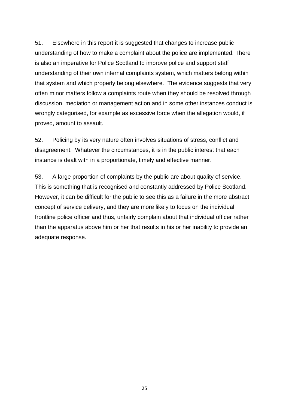51. Elsewhere in this report it is suggested that changes to increase public understanding of how to make a complaint about the police are implemented. There is also an imperative for Police Scotland to improve police and support staff understanding of their own internal complaints system, which matters belong within that system and which properly belong elsewhere. The evidence suggests that very often minor matters follow a complaints route when they should be resolved through discussion, mediation or management action and in some other instances conduct is wrongly categorised, for example as excessive force when the allegation would, if proved, amount to assault.

52. Policing by its very nature often involves situations of stress, conflict and disagreement. Whatever the circumstances, it is in the public interest that each instance is dealt with in a proportionate, timely and effective manner.

53. A large proportion of complaints by the public are about quality of service. This is something that is recognised and constantly addressed by Police Scotland. However, it can be difficult for the public to see this as a failure in the more abstract concept of service delivery, and they are more likely to focus on the individual frontline police officer and thus, unfairly complain about that individual officer rather than the apparatus above him or her that results in his or her inability to provide an adequate response.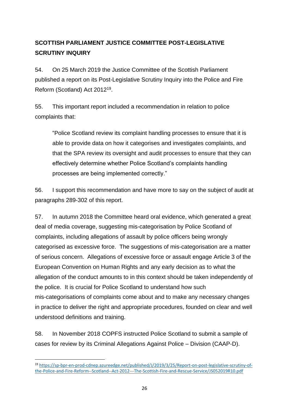# **SCOTTISH PARLIAMENT JUSTICE COMMITTEE POST-LEGISLATIVE SCRUTINY INQUIRY**

54. On 25 March 2019 the Justice Committee of the Scottish Parliament published a report on its Post-Legislative Scrutiny Inquiry into the Police and Fire Reform (Scotland) Act 2012<sup>19</sup> .

55. This important report included a recommendation in relation to police complaints that:

"Police Scotland review its complaint handling processes to ensure that it is able to provide data on how it categorises and investigates complaints, and that the SPA review its oversight and audit processes to ensure that they can effectively determine whether Police Scotland's complaints handling processes are being implemented correctly."

56. I support this recommendation and have more to say on the subject of audit at paragraphs 289-302 of this report.

57. In autumn 2018 the Committee heard oral evidence, which generated a great deal of media coverage, suggesting mis-categorisation by Police Scotland of complaints, including allegations of assault by police officers being wrongly categorised as excessive force. The suggestions of mis-categorisation are a matter of serious concern. Allegations of excessive force or assault engage Article 3 of the European Convention on Human Rights and any early decision as to what the allegation of the conduct amounts to in this context should be taken independently of the police. It is crucial for Police Scotland to understand how such mis-categorisations of complaints come about and to make any necessary changes in practice to deliver the right and appropriate procedures, founded on clear and well understood definitions and training.

58. In November 2018 COPFS instructed Police Scotland to submit a sample of cases for review by its Criminal Allegations Against Police – Division (CAAP-D).

<sup>19</sup> [https://sp-bpr-en-prod-cdnep.azureedge.net/published/J/2019/3/25/Report-on-post-legislative-scrutiny-of](https://sp-bpr-en-prod-cdnep.azureedge.net/published/J/2019/3/25/Report-on-post-legislative-scrutiny-of-the-Police-and-Fire-Reform--Scotland--Act-2012---The-Scottish-Fire-and-Rescue-Service/JS052019R10.pdf)[the-Police-and-Fire-Reform--Scotland--Act-2012---The-Scottish-Fire-and-Rescue-Service/JS052019R10.pdf](https://sp-bpr-en-prod-cdnep.azureedge.net/published/J/2019/3/25/Report-on-post-legislative-scrutiny-of-the-Police-and-Fire-Reform--Scotland--Act-2012---The-Scottish-Fire-and-Rescue-Service/JS052019R10.pdf)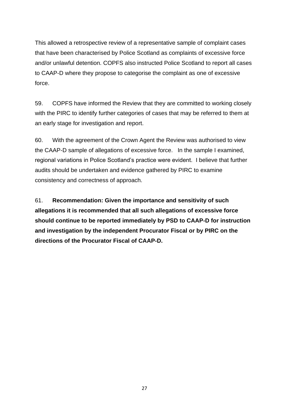This allowed a retrospective review of a representative sample of complaint cases that have been characterised by Police Scotland as complaints of excessive force and/or unlawful detention. COPFS also instructed Police Scotland to report all cases to CAAP-D where they propose to categorise the complaint as one of excessive force.

59. COPFS have informed the Review that they are committed to working closely with the PIRC to identify further categories of cases that may be referred to them at an early stage for investigation and report.

60. With the agreement of the Crown Agent the Review was authorised to view the CAAP-D sample of allegations of excessive force. In the sample I examined, regional variations in Police Scotland's practice were evident. I believe that further audits should be undertaken and evidence gathered by PIRC to examine consistency and correctness of approach.

61. **Recommendation: Given the importance and sensitivity of such allegations it is recommended that all such allegations of excessive force should continue to be reported immediately by PSD to CAAP-D for instruction and investigation by the independent Procurator Fiscal or by PIRC on the directions of the Procurator Fiscal of CAAP-D.**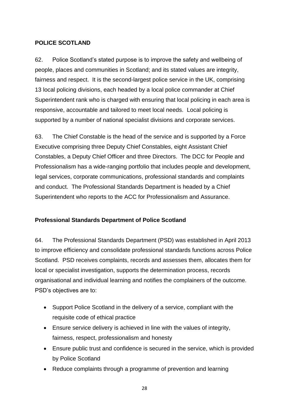### **POLICE SCOTLAND**

62. Police Scotland's stated purpose is to improve the safety and wellbeing of people, places and communities in Scotland; and its stated values are integrity, fairness and respect. It is the second-largest police service in the UK, comprising 13 local policing divisions, each headed by a local police commander at Chief Superintendent rank who is charged with ensuring that local policing in each area is responsive, accountable and tailored to meet local needs. Local policing is supported by a number of national specialist divisions and corporate services.

63. The Chief Constable is the head of the service and is supported by a Force Executive comprising three Deputy Chief Constables, eight Assistant Chief Constables, a Deputy Chief Officer and three Directors. The DCC for People and Professionalism has a wide-ranging portfolio that includes people and development, legal services, corporate communications, professional standards and complaints and conduct. The Professional Standards Department is headed by a Chief Superintendent who reports to the ACC for Professionalism and Assurance.

# **Professional Standards Department of Police Scotland**

64. The Professional Standards Department (PSD) was established in April 2013 to improve efficiency and consolidate professional standards functions across Police Scotland. PSD receives complaints, records and assesses them, allocates them for local or specialist investigation, supports the determination process, records organisational and individual learning and notifies the complainers of the outcome. PSD's objectives are to:

- Support Police Scotland in the delivery of a service, compliant with the requisite code of ethical practice
- Ensure service delivery is achieved in line with the values of integrity, fairness, respect, professionalism and honesty
- Ensure public trust and confidence is secured in the service, which is provided by Police Scotland
- Reduce complaints through a programme of prevention and learning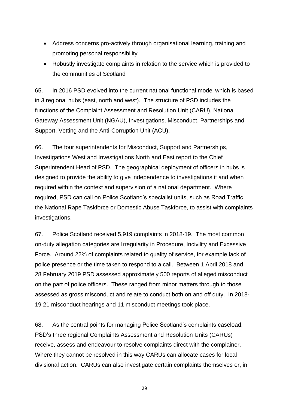- Address concerns pro-actively through organisational learning, training and promoting personal responsibility
- Robustly investigate complaints in relation to the service which is provided to the communities of Scotland

65. In 2016 PSD evolved into the current national functional model which is based in 3 regional hubs (east, north and west). The structure of PSD includes the functions of the Complaint Assessment and Resolution Unit (CARU), National Gateway Assessment Unit (NGAU), Investigations, Misconduct, Partnerships and Support, Vetting and the Anti-Corruption Unit (ACU).

66. The four superintendents for Misconduct, Support and Partnerships, Investigations West and Investigations North and East report to the Chief Superintendent Head of PSD. The geographical deployment of officers in hubs is designed to provide the ability to give independence to investigations if and when required within the context and supervision of a national department. Where required, PSD can call on Police Scotland's specialist units, such as Road Traffic, the National Rape Taskforce or Domestic Abuse Taskforce, to assist with complaints investigations.

67. Police Scotland received 5,919 complaints in 2018-19. The most common on-duty allegation categories are Irregularity in Procedure, Incivility and Excessive Force. Around 22% of complaints related to quality of service, for example lack of police presence or the time taken to respond to a call. Between 1 April 2018 and 28 February 2019 PSD assessed approximately 500 reports of alleged misconduct on the part of police officers. These ranged from minor matters through to those assessed as gross misconduct and relate to conduct both on and off duty. In 2018- 19 21 misconduct hearings and 11 misconduct meetings took place.

68. As the central points for managing Police Scotland's complaints caseload, PSD's three regional Complaints Assessment and Resolution Units (CARUs) receive, assess and endeavour to resolve complaints direct with the complainer. Where they cannot be resolved in this way CARUs can allocate cases for local divisional action. CARUs can also investigate certain complaints themselves or, in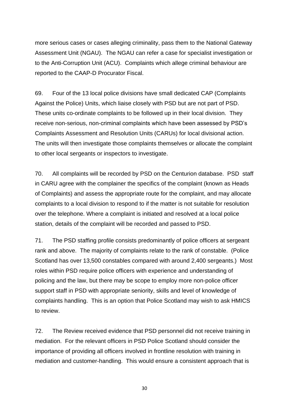more serious cases or cases alleging criminality, pass them to the National Gateway Assessment Unit (NGAU). The NGAU can refer a case for specialist investigation or to the Anti-Corruption Unit (ACU). Complaints which allege criminal behaviour are reported to the CAAP-D Procurator Fiscal.

69. Four of the 13 local police divisions have small dedicated CAP (Complaints Against the Police) Units, which liaise closely with PSD but are not part of PSD. These units co-ordinate complaints to be followed up in their local division. They receive non-serious, non-criminal complaints which have been assessed by PSD's Complaints Assessment and Resolution Units (CARUs) for local divisional action. The units will then investigate those complaints themselves or allocate the complaint to other local sergeants or inspectors to investigate.

70. All complaints will be recorded by PSD on the Centurion database. PSD staff in CARU agree with the complainer the specifics of the complaint (known as Heads of Complaints) and assess the appropriate route for the complaint, and may allocate complaints to a local division to respond to if the matter is not suitable for resolution over the telephone. Where a complaint is initiated and resolved at a local police station, details of the complaint will be recorded and passed to PSD.

71. The PSD staffing profile consists predominantly of police officers at sergeant rank and above. The majority of complaints relate to the rank of constable. (Police Scotland has over 13,500 constables compared with around 2,400 sergeants.) Most roles within PSD require police officers with experience and understanding of policing and the law, but there may be scope to employ more non-police officer support staff in PSD with appropriate seniority, skills and level of knowledge of complaints handling. This is an option that Police Scotland may wish to ask HMICS to review.

72. The Review received evidence that PSD personnel did not receive training in mediation. For the relevant officers in PSD Police Scotland should consider the importance of providing all officers involved in frontline resolution with training in mediation and customer-handling. This would ensure a consistent approach that is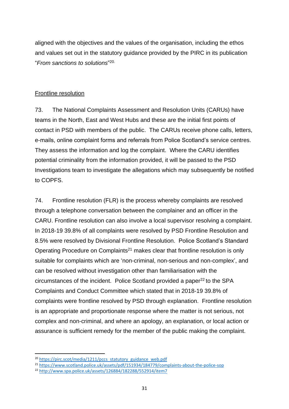aligned with the objectives and the values of the organisation, including the ethos and values set out in the statutory guidance provided by the PIRC in its publication "*From sanctions to solutions*" 20.

### Frontline resolution

73. The National Complaints Assessment and Resolution Units (CARUs) have teams in the North, East and West Hubs and these are the initial first points of contact in PSD with members of the public. The CARUs receive phone calls, letters, e-mails, online complaint forms and referrals from Police Scotland's service centres. They assess the information and log the complaint. Where the CARU identifies potential criminality from the information provided, it will be passed to the PSD Investigations team to investigate the allegations which may subsequently be notified to COPFS.

74. Frontline resolution (FLR) is the process whereby complaints are resolved through a telephone conversation between the complainer and an officer in the CARU. Frontline resolution can also involve a local supervisor resolving a complaint. In 2018-19 39.8% of all complaints were resolved by PSD Frontline Resolution and 8.5% were resolved by Divisional Frontline Resolution. Police Scotland's Standard Operating Procedure on Complaints<sup>21</sup> makes clear that frontline resolution is only suitable for complaints which are 'non-criminal, non-serious and non-complex', and can be resolved without investigation other than familiarisation with the  $circumstances$  of the incident. Police Scotland provided a paper<sup>22</sup> to the SPA Complaints and Conduct Committee which stated that in 2018-19 39.8% of complaints were frontline resolved by PSD through explanation. Frontline resolution is an appropriate and proportionate response where the matter is not serious, not complex and non-criminal, and where an apology, an explanation, or local action or assurance is sufficient remedy for the member of the public making the complaint.

<sup>&</sup>lt;sup>20</sup> [https://pirc.scot/media/1211/pccs\\_statutory\\_guidance\\_web.pdf](https://pirc.scot/media/1211/pccs_statutory_guidance_web.pdf)

<sup>21</sup> <https://www.scotland.police.uk/assets/pdf/151934/184779/complaints-about-the-police-sop>

<sup>22</sup> <http://www.spa.police.uk/assets/126884/182288/552914/item7>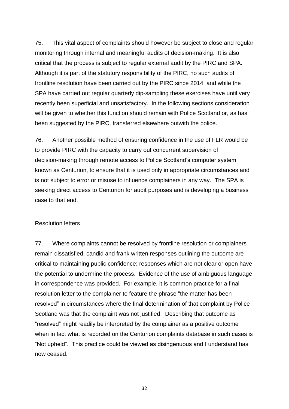75. This vital aspect of complaints should however be subject to close and regular monitoring through internal and meaningful audits of decision-making. It is also critical that the process is subject to regular external audit by the PIRC and SPA. Although it is part of the statutory responsibility of the PIRC, no such audits of frontline resolution have been carried out by the PIRC since 2014; and while the SPA have carried out regular quarterly dip-sampling these exercises have until very recently been superficial and unsatisfactory. In the following sections consideration will be given to whether this function should remain with Police Scotland or, as has been suggested by the PIRC, transferred elsewhere outwith the police.

76. Another possible method of ensuring confidence in the use of FLR would be to provide PIRC with the capacity to carry out concurrent supervision of decision-making through remote access to Police Scotland's computer system known as Centurion, to ensure that it is used only in appropriate circumstances and is not subject to error or misuse to influence complainers in any way. The SPA is seeking direct access to Centurion for audit purposes and is developing a business case to that end.

#### Resolution letters

77. Where complaints cannot be resolved by frontline resolution or complainers remain dissatisfied, candid and frank written responses outlining the outcome are critical to maintaining public confidence; responses which are not clear or open have the potential to undermine the process. Evidence of the use of ambiguous language in correspondence was provided. For example, it is common practice for a final resolution letter to the complainer to feature the phrase "the matter has been resolved" in circumstances where the final determination of that complaint by Police Scotland was that the complaint was not justified. Describing that outcome as "resolved" might readily be interpreted by the complainer as a positive outcome when in fact what is recorded on the Centurion complaints database in such cases is "Not upheld". This practice could be viewed as disingenuous and I understand has now ceased.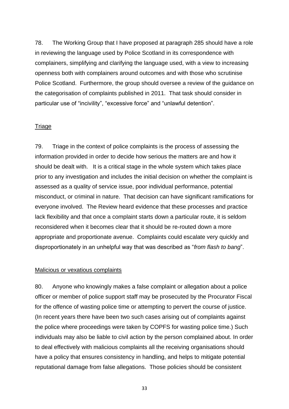78. The Working Group that I have proposed at paragraph 285 should have a role in reviewing the language used by Police Scotland in its correspondence with complainers, simplifying and clarifying the language used, with a view to increasing openness both with complainers around outcomes and with those who scrutinise Police Scotland. Furthermore, the group should oversee a review of the guidance on the categorisation of complaints published in 2011. That task should consider in particular use of "incivility", "excessive force" and "unlawful detention".

#### **Triage**

79. Triage in the context of police complaints is the process of assessing the information provided in order to decide how serious the matters are and how it should be dealt with. It is a critical stage in the whole system which takes place prior to any investigation and includes the initial decision on whether the complaint is assessed as a quality of service issue, poor individual performance, potential misconduct, or criminal in nature. That decision can have significant ramifications for everyone involved. The Review heard evidence that these processes and practice lack flexibility and that once a complaint starts down a particular route, it is seldom reconsidered when it becomes clear that it should be re-routed down a more appropriate and proportionate avenue. Complaints could escalate very quickly and disproportionately in an unhelpful way that was described as "*from flash to bang*".

#### Malicious or vexatious complaints

80. Anyone who knowingly makes a false complaint or allegation about a police officer or member of police support staff may be prosecuted by the Procurator Fiscal for the offence of wasting police time or attempting to pervert the course of justice. (In recent years there have been two such cases arising out of complaints against the police where proceedings were taken by COPFS for wasting police time.) Such individuals may also be liable to civil action by the person complained about. In order to deal effectively with malicious complaints all the receiving organisations should have a policy that ensures consistency in handling, and helps to mitigate potential reputational damage from false allegations. Those policies should be consistent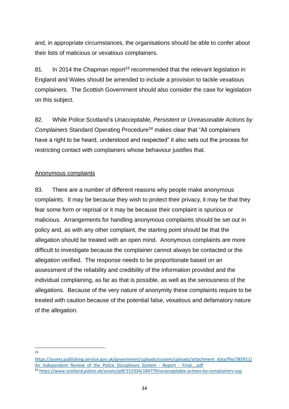and, in appropriate circumstances, the organisations should be able to confer about their lists of malicious or vexatious complainers.

81. In 2014 the Chapman report<sup>23</sup> recommended that the relevant legislation in England and Wales should be amended to include a provision to tackle vexatious complainers. The Scottish Government should also consider the case for legislation on this subject.

82. While Police Scotland's *Unacceptable, Persistent or Unreasonable Actions by Complainers* Standard Operating Procedure<sup>24</sup> makes clear that "All complainers" have a right to be heard, understood and respected" it also sets out the process for restricting contact with complainers whose behaviour justifies that.

## Anonymous complaints

83. There are a number of different reasons why people make anonymous complaints. It may be because they wish to protect their privacy, it may be that they fear some form or reprisal or it may be because their complaint is spurious or malicious. Arrangements for handling anonymous complaints should be set out in policy and, as with any other complaint, the starting point should be that the allegation should be treated with an open mind. Anonymous complaints are more difficult to investigate because the complainer cannot always be contacted or the allegation verified. The response needs to be proportionate based on an assessment of the reliability and credibility of the information provided and the individual complaining, as far as that is possible, as well as the seriousness of the allegations. Because of the very nature of anonymity these complaints require to be treated with caution because of the potential false, vexatious and defamatory nature of the allegation.

 $\frac{1}{23}$ 

[https://assets.publishing.service.gov.uk/government/uploads/system/uploads/attachment\\_data/file/385911/](https://assets.publishing.service.gov.uk/government/uploads/system/uploads/attachment_data/file/385911/An_Independent_Review_of_the_Police_Disciplinary_System_-_Report_-_Final....pdf) An Independent Review of the Police Disciplinary System - Report - Final....pdf

<sup>24</sup> <https://www.scotland.police.uk/assets/pdf/151934/184779/unacceptable-actions-by-complainers-sop>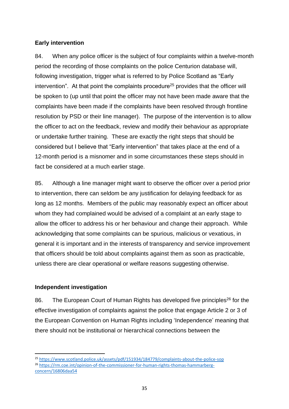## **Early intervention**

84. When any police officer is the subject of four complaints within a twelve-month period the recording of those complaints on the police Centurion database will, following investigation, trigger what is referred to by Police Scotland as "Early intervention". At that point the complaints procedure<sup>25</sup> provides that the officer will be spoken to (up until that point the officer may not have been made aware that the complaints have been made if the complaints have been resolved through frontline resolution by PSD or their line manager). The purpose of the intervention is to allow the officer to act on the feedback, review and modify their behaviour as appropriate or undertake further training. These are exactly the right steps that should be considered but I believe that "Early intervention" that takes place at the end of a 12-month period is a misnomer and in some circumstances these steps should in fact be considered at a much earlier stage.

85. Although a line manager might want to observe the officer over a period prior to intervention, there can seldom be any justification for delaying feedback for as long as 12 months. Members of the public may reasonably expect an officer about whom they had complained would be advised of a complaint at an early stage to allow the officer to address his or her behaviour and change their approach. While acknowledging that some complaints can be spurious, malicious or vexatious, in general it is important and in the interests of transparency and service improvement that officers should be told about complaints against them as soon as practicable, unless there are clear operational or welfare reasons suggesting otherwise.

# **Independent investigation**

86. The European Court of Human Rights has developed five principles<sup>26</sup> for the effective investigation of complaints against the police that engage Article 2 or 3 of the European Convention on Human Rights including 'Independence' meaning that there should not be institutional or hierarchical connections between the

**<sup>.</sup>** <sup>25</sup> <https://www.scotland.police.uk/assets/pdf/151934/184779/complaints-about-the-police-sop> <sup>26</sup> [https://rm.coe.int/opinion-of-the-commissioner-for-human-rights-thomas-hammarberg](https://rm.coe.int/opinion-of-the-commissioner-for-human-rights-thomas-hammarberg-concern/16806daa54)[concern/16806daa54](https://rm.coe.int/opinion-of-the-commissioner-for-human-rights-thomas-hammarberg-concern/16806daa54)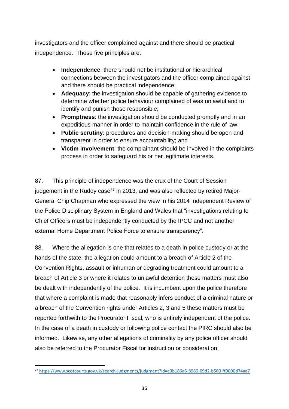investigators and the officer complained against and there should be practical independence. Those five principles are:

- **Independence**: there should not be institutional or hierarchical connections between the investigators and the officer complained against and there should be practical independence;
- **Adequacy**: the investigation should be capable of gathering evidence to determine whether police behaviour complained of was unlawful and to identify and punish those responsible;
- **Promptness**: the investigation should be conducted promptly and in an expeditious manner in order to maintain confidence in the rule of law;
- **Public scrutiny**: procedures and decision-making should be open and transparent in order to ensure accountability; and
- **Victim involvement**: the complainant should be involved in the complaints process in order to safeguard his or her legitimate interests.

87. This principle of independence was the crux of the Court of Session judgement in the Ruddy case $^{27}$  in 2013, and was also reflected by retired Major-General Chip Chapman who expressed the view in his 2014 Independent Review of the Police Disciplinary System in England and Wales that "investigations relating to Chief Officers must be independently conducted by the IPCC and not another external Home Department Police Force to ensure transparency".

88. Where the allegation is one that relates to a death in police custody or at the hands of the state, the allegation could amount to a breach of Article 2 of the Convention Rights, assault or inhuman or degrading treatment could amount to a breach of Article 3 or where it relates to unlawful detention these matters must also be dealt with independently of the police. It is incumbent upon the police therefore that where a complaint is made that reasonably infers conduct of a criminal nature or a breach of the Convention rights under Articles 2, 3 and 5 these matters must be reported forthwith to the Procurator Fiscal, who is entirely independent of the police. In the case of a death in custody or following police contact the PIRC should also be informed. Likewise, any other allegations of criminality by any police officer should also be referred to the Procurator Fiscal for instruction or consideration.

**<sup>.</sup>** <sup>27</sup> <https://www.scotcourts.gov.uk/search-judgments/judgment?id=e3b186a6-8980-69d2-b500-ff0000d74aa7>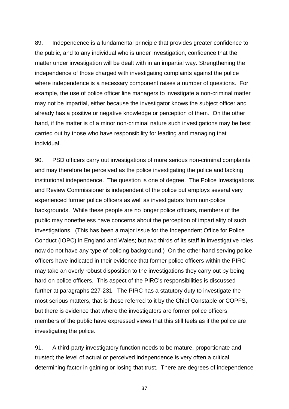89. Independence is a fundamental principle that provides greater confidence to the public, and to any individual who is under investigation, confidence that the matter under investigation will be dealt with in an impartial way. Strengthening the independence of those charged with investigating complaints against the police where independence is a necessary component raises a number of questions. For example, the use of police officer line managers to investigate a non-criminal matter may not be impartial, either because the investigator knows the subject officer and already has a positive or negative knowledge or perception of them. On the other hand, if the matter is of a minor non-criminal nature such investigations may be best carried out by those who have responsibility for leading and managing that individual.

90. PSD officers carry out investigations of more serious non-criminal complaints and may therefore be perceived as the police investigating the police and lacking institutional independence. The question is one of degree. The Police Investigations and Review Commissioner is independent of the police but employs several very experienced former police officers as well as investigators from non-police backgrounds. While these people are no longer police officers, members of the public may nonetheless have concerns about the perception of impartiality of such investigations. (This has been a major issue for the Independent Office for Police Conduct (IOPC) in England and Wales; but two thirds of its staff in investigative roles now do not have any type of policing background.) On the other hand serving police officers have indicated in their evidence that former police officers within the PIRC may take an overly robust disposition to the investigations they carry out by being hard on police officers. This aspect of the PIRC's responsibilities is discussed further at paragraphs 227-231. The PIRC has a statutory duty to investigate the most serious matters, that is those referred to it by the Chief Constable or COPFS, but there is evidence that where the investigators are former police officers, members of the public have expressed views that this still feels as if the police are investigating the police.

91. A third-party investigatory function needs to be mature, proportionate and trusted; the level of actual or perceived independence is very often a critical determining factor in gaining or losing that trust. There are degrees of independence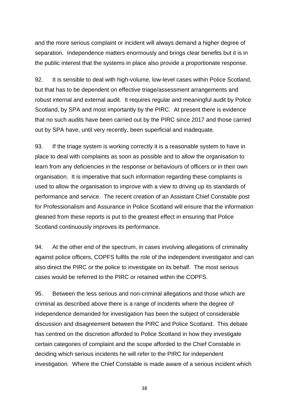and the more serious complaint or incident will always demand a higher degree of separation. Independence matters enormously and brings clear benefits but it is in the public interest that the systems in place also provide a proportionate response.

92. It is sensible to deal with high-volume, low-level cases within Police Scotland, but that has to be dependent on effective triage/assessment arrangements and robust internal and external audit. It requires regular and meaningful audit by Police Scotland, by SPA and most importantly by the PIRC. At present there is evidence that no such audits have been carried out by the PIRC since 2017 and those carried out by SPA have, until very recently, been superficial and inadequate.

93. If the triage system is working correctly it is a reasonable system to have in place to deal with complaints as soon as possible and to allow the organisation to learn from any deficiencies in the response or behaviours of officers or in their own organisation. It is imperative that such information regarding these complaints is used to allow the organisation to improve with a view to driving up its standards of performance and service. The recent creation of an Assistant Chief Constable post for Professionalism and Assurance in Police Scotland will ensure that the information gleaned from these reports is put to the greatest effect in ensuring that Police Scotland continuously improves its performance.

94. At the other end of the spectrum, in cases involving allegations of criminality against police officers, COPFS fulfils the role of the independent investigator and can also direct the PIRC or the police to investigate on its behalf. The most serious cases would be referred to the PIRC or retained within the COPFS.

95. Between the less serious and non-criminal allegations and those which are criminal as described above there is a range of incidents where the degree of independence demanded for investigation has been the subject of considerable discussion and disagreement between the PIRC and Police Scotland. This debate has centred on the discretion afforded to Police Scotland in how they investigate certain categories of complaint and the scope afforded to the Chief Constable in deciding which serious incidents he will refer to the PIRC for independent investigation. Where the Chief Constable is made aware of a serious incident which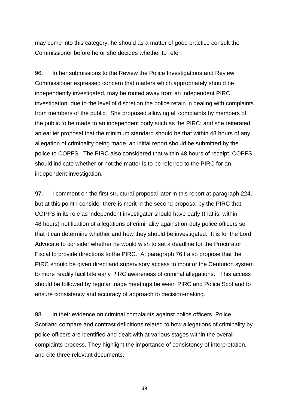may come into this category, he should as a matter of good practice consult the Commissioner before he or she decides whether to refer.

96. In her submissions to the Review the Police Investigations and Review Commissioner expressed concern that matters which appropriately should be independently investigated, may be routed away from an independent PIRC investigation, due to the level of discretion the police retain in dealing with complaints from members of the public. She proposed allowing all complaints by members of the public to be made to an independent body such as the PIRC; and she reiterated an earlier proposal that the minimum standard should be that within 48 hours of any allegation of criminality being made, an initial report should be submitted by the police to COPFS. The PIRC also considered that within 48 hours of receipt, COPFS should indicate whether or not the matter is to be referred to the PIRC for an independent investigation.

97. I comment on the first structural proposal later in this report at paragraph 224, but at this point I consider there is merit in the second proposal by the PIRC that COPFS in its role as independent investigator should have early (that is, within 48 hours) notification of allegations of criminality against on-duty police officers so that it can determine whether and how they should be investigated. It is for the Lord Advocate to consider whether he would wish to set a deadline for the Procurator Fiscal to provide directions to the PIRC. At paragraph 76 I also propose that the PIRC should be given direct and supervisory access to monitor the Centurion system to more readily facilitate early PIRC awareness of criminal allegations. This access should be followed by regular triage meetings between PIRC and Police Scotland to ensure consistency and accuracy of approach to decision-making.

98. In their evidence on criminal complaints against police officers, Police Scotland compare and contrast definitions related to how allegations of criminality by police officers are identified and dealt with at various stages within the overall complaints process. They highlight the importance of consistency of interpretation, and cite three relevant documents: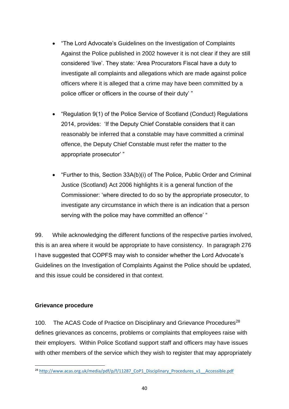- "The Lord Advocate's Guidelines on the Investigation of Complaints Against the Police published in 2002 however it is not clear if they are still considered 'live'. They state: 'Area Procurators Fiscal have a duty to investigate all complaints and allegations which are made against police officers where it is alleged that a crime may have been committed by a police officer or officers in the course of their duty' "
- "Regulation 9(1) of the Police Service of Scotland (Conduct) Regulations 2014, provides: 'If the Deputy Chief Constable considers that it can reasonably be inferred that a constable may have committed a criminal offence, the Deputy Chief Constable must refer the matter to the appropriate prosecutor' "
- "Further to this, Section 33A(b)(i) of The Police, Public Order and Criminal Justice (Scotland) Act 2006 highlights it is a general function of the Commissioner: 'where directed to do so by the appropriate prosecutor, to investigate any circumstance in which there is an indication that a person serving with the police may have committed an offence' "

99. While acknowledging the different functions of the respective parties involved, this is an area where it would be appropriate to have consistency. In paragraph 276 I have suggested that COPFS may wish to consider whether the Lord Advocate's Guidelines on the Investigation of Complaints Against the Police should be updated, and this issue could be considered in that context.

#### **Grievance procedure**

**.** 

100. The ACAS Code of Practice on Disciplinary and Grievance Procedures<sup>28</sup> defines grievances as concerns, problems or complaints that employees raise with their employers. Within Police Scotland support staff and officers may have issues with other members of the service which they wish to register that may appropriately

<sup>&</sup>lt;sup>28</sup> http://www.acas.org.uk/media/pdf/p/f/11287 CoP1 Disciplinary Procedures v1 Accessible.pdf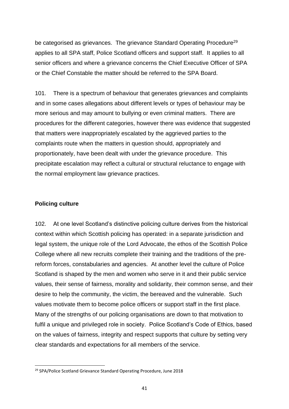be categorised as grievances. The grievance Standard Operating Procedure<sup>29</sup> applies to all SPA staff, Police Scotland officers and support staff. It applies to all senior officers and where a grievance concerns the Chief Executive Officer of SPA or the Chief Constable the matter should be referred to the SPA Board.

101. There is a spectrum of behaviour that generates grievances and complaints and in some cases allegations about different levels or types of behaviour may be more serious and may amount to bullying or even criminal matters. There are procedures for the different categories, however there was evidence that suggested that matters were inappropriately escalated by the aggrieved parties to the complaints route when the matters in question should, appropriately and proportionately, have been dealt with under the grievance procedure. This precipitate escalation may reflect a cultural or structural reluctance to engage with the normal employment law grievance practices.

# **Policing culture**

**.** 

102. At one level Scotland's distinctive policing culture derives from the historical context within which Scottish policing has operated: in a separate jurisdiction and legal system, the unique role of the Lord Advocate, the ethos of the Scottish Police College where all new recruits complete their training and the traditions of the prereform forces, constabularies and agencies. At another level the culture of Police Scotland is shaped by the men and women who serve in it and their public service values, their sense of fairness, morality and solidarity, their common sense, and their desire to help the community, the victim, the bereaved and the vulnerable. Such values motivate them to become police officers or support staff in the first place. Many of the strengths of our policing organisations are down to that motivation to fulfil a unique and privileged role in society. Police Scotland's Code of Ethics, based on the values of fairness, integrity and respect supports that culture by setting very clear standards and expectations for all members of the service.

<sup>&</sup>lt;sup>29</sup> SPA/Police Scotland Grievance Standard Operating Procedure, June 2018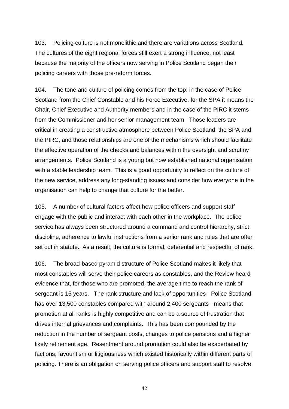103. Policing culture is not monolithic and there are variations across Scotland. The cultures of the eight regional forces still exert a strong influence, not least because the majority of the officers now serving in Police Scotland began their policing careers with those pre-reform forces.

104. The tone and culture of policing comes from the top: in the case of Police Scotland from the Chief Constable and his Force Executive, for the SPA it means the Chair, Chief Executive and Authority members and in the case of the PIRC it stems from the Commissioner and her senior management team. Those leaders are critical in creating a constructive atmosphere between Police Scotland, the SPA and the PIRC, and those relationships are one of the mechanisms which should facilitate the effective operation of the checks and balances within the oversight and scrutiny arrangements. Police Scotland is a young but now established national organisation with a stable leadership team. This is a good opportunity to reflect on the culture of the new service, address any long-standing issues and consider how everyone in the organisation can help to change that culture for the better.

105. A number of cultural factors affect how police officers and support staff engage with the public and interact with each other in the workplace. The police service has always been structured around a command and control hierarchy, strict discipline, adherence to lawful instructions from a senior rank and rules that are often set out in statute. As a result, the culture is formal, deferential and respectful of rank.

106. The broad-based pyramid structure of Police Scotland makes it likely that most constables will serve their police careers as constables, and the Review heard evidence that, for those who are promoted, the average time to reach the rank of sergeant is 15 years. The rank structure and lack of opportunities - Police Scotland has over 13,500 constables compared with around 2,400 sergeants - means that promotion at all ranks is highly competitive and can be a source of frustration that drives internal grievances and complaints. This has been compounded by the reduction in the number of sergeant posts, changes to police pensions and a higher likely retirement age. Resentment around promotion could also be exacerbated by factions, favouritism or litigiousness which existed historically within different parts of policing. There is an obligation on serving police officers and support staff to resolve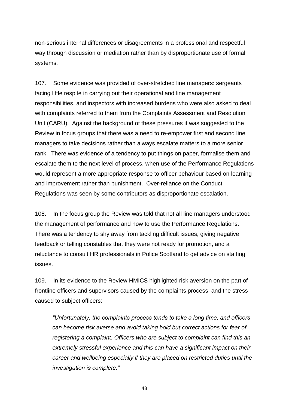non-serious internal differences or disagreements in a professional and respectful way through discussion or mediation rather than by disproportionate use of formal systems.

107. Some evidence was provided of over-stretched line managers: sergeants facing little respite in carrying out their operational and line management responsibilities, and inspectors with increased burdens who were also asked to deal with complaints referred to them from the Complaints Assessment and Resolution Unit (CARU). Against the background of these pressures it was suggested to the Review in focus groups that there was a need to re-empower first and second line managers to take decisions rather than always escalate matters to a more senior rank. There was evidence of a tendency to put things on paper, formalise them and escalate them to the next level of process, when use of the Performance Regulations would represent a more appropriate response to officer behaviour based on learning and improvement rather than punishment. Over-reliance on the Conduct Regulations was seen by some contributors as disproportionate escalation.

108. In the focus group the Review was told that not all line managers understood the management of performance and how to use the Performance Regulations. There was a tendency to shy away from tackling difficult issues, giving negative feedback or telling constables that they were not ready for promotion, and a reluctance to consult HR professionals in Police Scotland to get advice on staffing issues.

109. In its evidence to the Review HMICS highlighted risk aversion on the part of frontline officers and supervisors caused by the complaints process, and the stress caused to subject officers:

*"Unfortunately, the complaints process tends to take a long time, and officers can become risk averse and avoid taking bold but correct actions for fear of registering a complaint. Officers who are subject to complaint can find this an extremely stressful experience and this can have a significant impact on their career and wellbeing especially if they are placed on restricted duties until the investigation is complete."*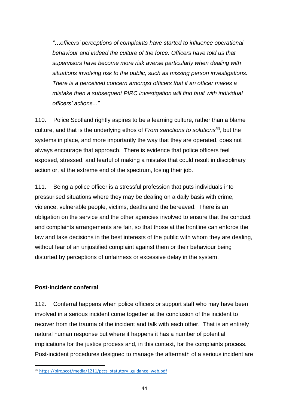*"…officers' perceptions of complaints have started to influence operational behaviour and indeed the culture of the force. Officers have told us that supervisors have become more risk averse particularly when dealing with situations involving risk to the public, such as missing person investigations. There is a perceived concern amongst officers that if an officer makes a mistake then a subsequent PIRC investigation will find fault with individual officers' actions..."*

110. Police Scotland rightly aspires to be a learning culture, rather than a blame culture, and that is the underlying ethos of *From sanctions to solutions<sup>30</sup>*, but the systems in place, and more importantly the way that they are operated, does not always encourage that approach. There is evidence that police officers feel exposed, stressed, and fearful of making a mistake that could result in disciplinary action or, at the extreme end of the spectrum, losing their job.

111. Being a police officer is a stressful profession that puts individuals into pressurised situations where they may be dealing on a daily basis with crime, violence, vulnerable people, victims, deaths and the bereaved. There is an obligation on the service and the other agencies involved to ensure that the conduct and complaints arrangements are fair, so that those at the frontline can enforce the law and take decisions in the best interests of the public with whom they are dealing, without fear of an unjustified complaint against them or their behaviour being distorted by perceptions of unfairness or excessive delay in the system.

#### **Post-incident conferral**

**.** 

112. Conferral happens when police officers or support staff who may have been involved in a serious incident come together at the conclusion of the incident to recover from the trauma of the incident and talk with each other. That is an entirely natural human response but where it happens it has a number of potential implications for the justice process and, in this context, for the complaints process. Post-incident procedures designed to manage the aftermath of a serious incident are

<sup>&</sup>lt;sup>30</sup> [https://pirc.scot/media/1211/pccs\\_statutory\\_guidance\\_web.pdf](https://pirc.scot/media/1211/pccs_statutory_guidance_web.pdf)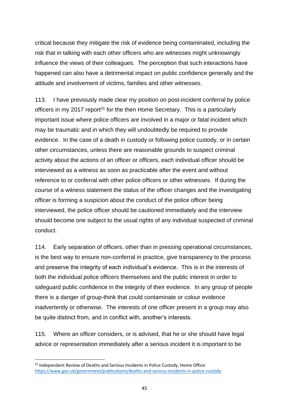critical because they mitigate the risk of evidence being contaminated, including the risk that in talking with each other officers who are witnesses might unknowingly influence the views of their colleagues. The perception that such interactions have happened can also have a detrimental impact on public confidence generally and the attitude and involvement of victims, families and other witnesses.

113. I have previously made clear my position on post-incident conferral by police officers in my 2017 report<sup>31</sup> for the then Home Secretary. This is a particularly important issue where police officers are involved in a major or fatal incident which may be traumatic and in which they will undoubtedly be required to provide evidence. In the case of a death in custody or following police custody, or in certain other circumstances, unless there are reasonable grounds to suspect criminal activity about the actions of an officer or officers, each individual officer should be interviewed as a witness as soon as practicable after the event and without reference to or conferral with other police officers or other witnesses. If during the course of a witness statement the status of the officer changes and the investigating officer is forming a suspicion about the conduct of the police officer being interviewed, the police officer should be cautioned immediately and the interview should become one subject to the usual rights of any individual suspected of criminal conduct.

114. Early separation of officers, other than in pressing operational circumstances, is the best way to ensure non-conferral in practice, give transparency to the process and preserve the integrity of each individual's evidence. This is in the interests of both the individual police officers themselves and the public interest in order to safeguard public confidence in the integrity of their evidence. In any group of people there is a danger of group-think that could contaminate or colour evidence inadvertently or otherwise. The interests of one officer present in a group may also be quite distinct from, and in conflict with, another's interests.

115. Where an officer considers, or is advised, that he or she should have legal advice or representation immediately after a serious incident it is important to be

<sup>&</sup>lt;sup>31</sup> Independent Review of Deaths and Serious Incidents in Police Custody, Home Office: <https://www.gov.uk/government/publications/deaths-and-serious-incidents-in-police-custody>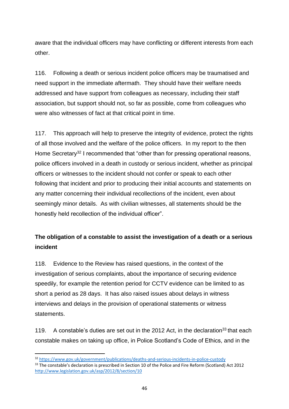aware that the individual officers may have conflicting or different interests from each other.

116. Following a death or serious incident police officers may be traumatised and need support in the immediate aftermath. They should have their welfare needs addressed and have support from colleagues as necessary, including their staff association, but support should not, so far as possible, come from colleagues who were also witnesses of fact at that critical point in time.

117. This approach will help to preserve the integrity of evidence, protect the rights of all those involved and the welfare of the police officers. In my report to the then Home Secretary<sup>32</sup> I recommended that "other than for pressing operational reasons, police officers involved in a death in custody or serious incident, whether as principal officers or witnesses to the incident should not confer or speak to each other following that incident and prior to producing their initial accounts and statements on any matter concerning their individual recollections of the incident, even about seemingly minor details. As with civilian witnesses, all statements should be the honestly held recollection of the individual officer".

# **The obligation of a constable to assist the investigation of a death or a serious incident**

118. Evidence to the Review has raised questions, in the context of the investigation of serious complaints, about the importance of securing evidence speedily, for example the retention period for CCTV evidence can be limited to as short a period as 28 days. It has also raised issues about delays in witness interviews and delays in the provision of operational statements or witness statements.

119. A constable's duties are set out in the 2012 Act, in the declaration<sup>33</sup> that each constable makes on taking up office, in Police Scotland's Code of Ethics, and in the

<sup>32</sup> <https://www.gov.uk/government/publications/deaths-and-serious-incidents-in-police-custody>

<sup>&</sup>lt;sup>33</sup> The constable's declaration is prescribed in Section 10 of the Police and Fire Reform (Scotland) Act 2012 <http://www.legislation.gov.uk/asp/2012/8/section/10>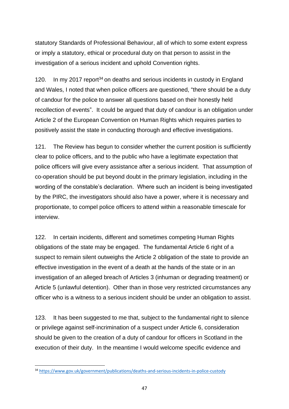statutory Standards of Professional Behaviour, all of which to some extent express or imply a statutory, ethical or procedural duty on that person to assist in the investigation of a serious incident and uphold Convention rights.

120. In my 2017 report<sup>34</sup> on deaths and serious incidents in custody in England and Wales, I noted that when police officers are questioned, "there should be a duty of candour for the police to answer all questions based on their honestly held recollection of events". It could be argued that duty of candour is an obligation under Article 2 of the European Convention on Human Rights which requires parties to positively assist the state in conducting thorough and effective investigations.

121. The Review has begun to consider whether the current position is sufficiently clear to police officers, and to the public who have a legitimate expectation that police officers will give every assistance after a serious incident. That assumption of co-operation should be put beyond doubt in the primary legislation, including in the wording of the constable's declaration. Where such an incident is being investigated by the PIRC, the investigators should also have a power, where it is necessary and proportionate, to compel police officers to attend within a reasonable timescale for interview.

122. In certain incidents, different and sometimes competing Human Rights obligations of the state may be engaged. The fundamental Article 6 right of a suspect to remain silent outweighs the Article 2 obligation of the state to provide an effective investigation in the event of a death at the hands of the state or in an investigation of an alleged breach of Articles 3 (inhuman or degrading treatment) or Article 5 (unlawful detention). Other than in those very restricted circumstances any officer who is a witness to a serious incident should be under an obligation to assist.

123. It has been suggested to me that, subject to the fundamental right to silence or privilege against self-incrimination of a suspect under Article 6, consideration should be given to the creation of a duty of candour for officers in Scotland in the execution of their duty. In the meantime I would welcome specific evidence and

<sup>34</sup> <https://www.gov.uk/government/publications/deaths-and-serious-incidents-in-police-custody>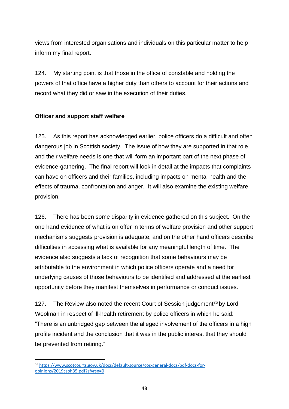views from interested organisations and individuals on this particular matter to help inform my final report.

124. My starting point is that those in the office of constable and holding the powers of that office have a higher duty than others to account for their actions and record what they did or saw in the execution of their duties.

# **Officer and support staff welfare**

125. As this report has acknowledged earlier, police officers do a difficult and often dangerous job in Scottish society. The issue of how they are supported in that role and their welfare needs is one that will form an important part of the next phase of evidence-gathering. The final report will look in detail at the impacts that complaints can have on officers and their families, including impacts on mental health and the effects of trauma, confrontation and anger. It will also examine the existing welfare provision.

126. There has been some disparity in evidence gathered on this subject. On the one hand evidence of what is on offer in terms of welfare provision and other support mechanisms suggests provision is adequate; and on the other hand officers describe difficulties in accessing what is available for any meaningful length of time. The evidence also suggests a lack of recognition that some behaviours may be attributable to the environment in which police officers operate and a need for underlying causes of those behaviours to be identified and addressed at the earliest opportunity before they manifest themselves in performance or conduct issues.

127. The Review also noted the recent Court of Session judgement<sup>35</sup> by Lord Woolman in respect of ill-health retirement by police officers in which he said: "There is an unbridged gap between the alleged involvement of the officers in a high profile incident and the conclusion that it was in the public interest that they should be prevented from retiring."

**<sup>.</sup>** <sup>35</sup> [https://www.scotcourts.gov.uk/docs/default-source/cos-general-docs/pdf-docs-for](https://www.scotcourts.gov.uk/docs/default-source/cos-general-docs/pdf-docs-for-opinions/2019csoh35.pdf?sfvrsn=0)[opinions/2019csoh35.pdf?sfvrsn=0](https://www.scotcourts.gov.uk/docs/default-source/cos-general-docs/pdf-docs-for-opinions/2019csoh35.pdf?sfvrsn=0)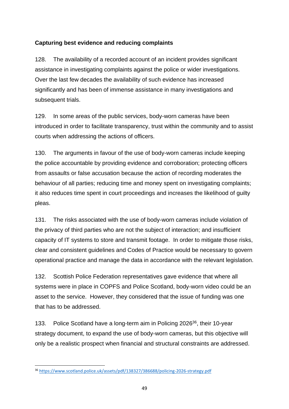# **Capturing best evidence and reducing complaints**

128. The availability of a recorded account of an incident provides significant assistance in investigating complaints against the police or wider investigations. Over the last few decades the availability of such evidence has increased significantly and has been of immense assistance in many investigations and subsequent trials.

129. In some areas of the public services, body-worn cameras have been introduced in order to facilitate transparency, trust within the community and to assist courts when addressing the actions of officers.

130. The arguments in favour of the use of body-worn cameras include keeping the police accountable by providing evidence and corroboration; protecting officers from assaults or false accusation because the action of recording moderates the behaviour of all parties; reducing time and money spent on investigating complaints; it also reduces time spent in court proceedings and increases the likelihood of guilty pleas.

131. The risks associated with the use of body-worn cameras include violation of the privacy of third parties who are not the subject of interaction; and insufficient capacity of IT systems to store and transmit footage. In order to mitigate those risks, clear and consistent guidelines and Codes of Practice would be necessary to govern operational practice and manage the data in accordance with the relevant legislation.

132. Scottish Police Federation representatives gave evidence that where all systems were in place in COPFS and Police Scotland, body-worn video could be an asset to the service. However, they considered that the issue of funding was one that has to be addressed.

133. Police Scotland have a long-term aim in Policing 2026<sup>36</sup>, their 10-year strategy document, to expand the use of body-worn cameras, but this objective will only be a realistic prospect when financial and structural constraints are addressed.

**<sup>.</sup>** <sup>36</sup> <https://www.scotland.police.uk/assets/pdf/138327/386688/policing-2026-strategy.pdf>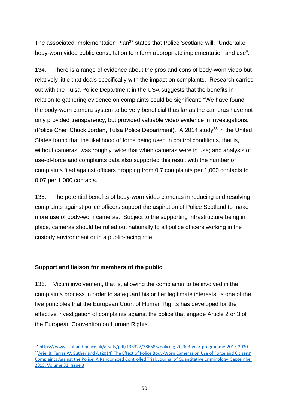The associated Implementation Plan<sup>37</sup> states that Police Scotland will, "Undertake body-worn video public consultation to inform appropriate implementation and use".

134. There is a range of evidence about the pros and cons of body-worn video but relatively little that deals specifically with the impact on complaints. Research carried out with the Tulsa Police Department in the USA suggests that the benefits in relation to gathering evidence on complaints could be significant: "We have found the body-worn camera system to be very beneficial thus far as the cameras have not only provided transparency, but provided valuable video evidence in investigations." (Police Chief Chuck Jordan, Tulsa Police Department). A 2014 study<sup>38</sup> in the United States found that the likelihood of force being used in control conditions, that is, without cameras, was roughly twice that when cameras were in use; and analysis of use-of-force and complaints data also supported this result with the number of complaints filed against officers dropping from 0.7 complaints per 1,000 contacts to 0.07 per 1,000 contacts.

135. The potential benefits of body-worn video cameras in reducing and resolving complaints against police officers support the aspiration of Police Scotland to make more use of body-worn cameras. Subject to the supporting infrastructure being in place, cameras should be rolled out nationally to all police officers working in the custody environment or in a public-facing role.

#### **Support and liaison for members of the public**

1

136. Victim involvement, that is, allowing the complainer to be involved in the complaints process in order to safeguard his or her legitimate interests, is one of the five principles that the European Court of Human Rights has developed for the effective investigation of complaints against the police that engage Article 2 or 3 of the European Convention on Human Rights.

<sup>37</sup> <https://www.scotland.police.uk/assets/pdf/138327/386688/policing-2026-3-year-programme-2017-2020> 38 Ariel B, Farrar W, Sutherland A (2014) The Effect of Police Body-Worn Cameras on Use of Force and Citizens' Complaints Against the Police: A Randomized Controlled Trial, Journal of Quantitative Criminology, September 2015, Volume 31, Issue 3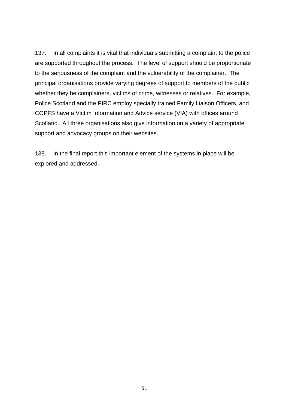137. In all complaints it is vital that individuals submitting a complaint to the police are supported throughout the process. The level of support should be proportionate to the seriousness of the complaint and the vulnerability of the complainer. The principal organisations provide varying degrees of support to members of the public whether they be complainers, victims of crime, witnesses or relatives. For example, Police Scotland and the PIRC employ specially trained Family Liaison Officers, and COPFS have a Victim Information and Advice service (VIA) with offices around Scotland. All three organisations also give information on a variety of appropriate support and advocacy groups on their websites.

138. In the final report this important element of the systems in place will be explored and addressed.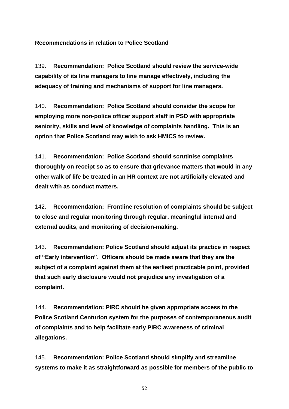**Recommendations in relation to Police Scotland**

139. **Recommendation: Police Scotland should review the service-wide capability of its line managers to line manage effectively, including the adequacy of training and mechanisms of support for line managers.**

140. **Recommendation: Police Scotland should consider the scope for employing more non-police officer support staff in PSD with appropriate seniority, skills and level of knowledge of complaints handling. This is an option that Police Scotland may wish to ask HMICS to review.**

141. **Recommendation: Police Scotland should scrutinise complaints thoroughly on receipt so as to ensure that grievance matters that would in any other walk of life be treated in an HR context are not artificially elevated and dealt with as conduct matters.**

142. **Recommendation: Frontline resolution of complaints should be subject to close and regular monitoring through regular, meaningful internal and external audits, and monitoring of decision-making.** 

143. **Recommendation: Police Scotland should adjust its practice in respect of "Early intervention". Officers should be made aware that they are the subject of a complaint against them at the earliest practicable point, provided that such early disclosure would not prejudice any investigation of a complaint.**

144. **Recommendation: PIRC should be given appropriate access to the Police Scotland Centurion system for the purposes of contemporaneous audit of complaints and to help facilitate early PIRC awareness of criminal allegations.**

145. **Recommendation: Police Scotland should simplify and streamline systems to make it as straightforward as possible for members of the public to**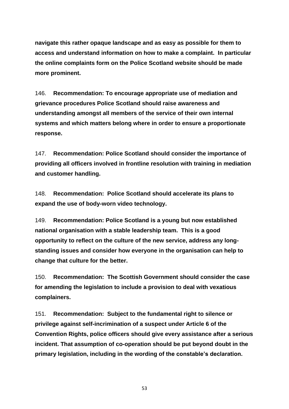**navigate this rather opaque landscape and as easy as possible for them to access and understand information on how to make a complaint. In particular the online complaints form on the Police Scotland website should be made more prominent.**

146. **Recommendation: To encourage appropriate use of mediation and grievance procedures Police Scotland should raise awareness and understanding amongst all members of the service of their own internal systems and which matters belong where in order to ensure a proportionate response.**

147. **Recommendation: Police Scotland should consider the importance of providing all officers involved in frontline resolution with training in mediation and customer handling.**

148. **Recommendation: Police Scotland should accelerate its plans to expand the use of body-worn video technology.**

149. **Recommendation: Police Scotland is a young but now established national organisation with a stable leadership team. This is a good opportunity to reflect on the culture of the new service, address any longstanding issues and consider how everyone in the organisation can help to change that culture for the better.**

150. **Recommendation: The Scottish Government should consider the case for amending the legislation to include a provision to deal with vexatious complainers.** 

151. **Recommendation: Subject to the fundamental right to silence or privilege against self-incrimination of a suspect under Article 6 of the Convention Rights, police officers should give every assistance after a serious incident. That assumption of co-operation should be put beyond doubt in the primary legislation, including in the wording of the constable's declaration.**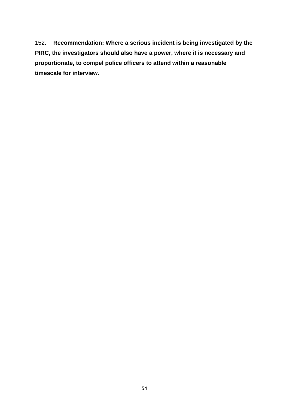152. **Recommendation: Where a serious incident is being investigated by the PIRC, the investigators should also have a power, where it is necessary and proportionate, to compel police officers to attend within a reasonable timescale for interview.**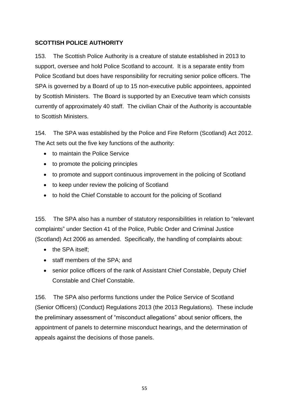# **SCOTTISH POLICE AUTHORITY**

153. The Scottish Police Authority is a creature of statute established in 2013 to support, oversee and hold Police Scotland to account. It is a separate entity from Police Scotland but does have responsibility for recruiting senior police officers. The SPA is governed by a Board of up to 15 non-executive public appointees, appointed by Scottish Ministers. The Board is supported by an Executive team which consists currently of approximately 40 staff. The civilian Chair of the Authority is accountable to Scottish Ministers.

154. The SPA was established by the Police and Fire Reform (Scotland) Act 2012. The Act sets out the five key functions of the authority:

- to maintain the Police Service
- to promote the policing principles
- to promote and support continuous improvement in the policing of Scotland
- to keep under review the policing of Scotland
- to hold the Chief Constable to account for the policing of Scotland

155. The SPA also has a number of statutory responsibilities in relation to "relevant complaints" under Section 41 of the Police, Public Order and Criminal Justice (Scotland) Act 2006 as amended. Specifically, the handling of complaints about:

- the SPA itself:
- staff members of the SPA; and
- senior police officers of the rank of Assistant Chief Constable, Deputy Chief Constable and Chief Constable.

156. The SPA also performs functions under the Police Service of Scotland (Senior Officers) (Conduct) Regulations 2013 (the 2013 Regulations). These include the preliminary assessment of "misconduct allegations" about senior officers, the appointment of panels to determine misconduct hearings, and the determination of appeals against the decisions of those panels.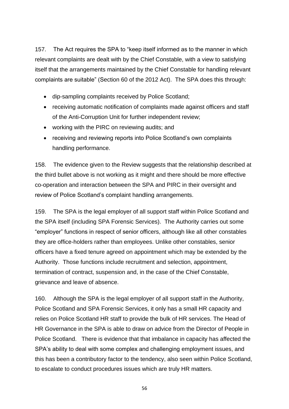157. The Act requires the SPA to "keep itself informed as to the manner in which relevant complaints are dealt with by the Chief Constable, with a view to satisfying itself that the arrangements maintained by the Chief Constable for handling relevant complaints are suitable" (Section 60 of the 2012 Act). The SPA does this through:

- dip-sampling complaints received by Police Scotland;
- receiving automatic notification of complaints made against officers and staff of the Anti-Corruption Unit for further independent review;
- working with the PIRC on reviewing audits; and
- receiving and reviewing reports into Police Scotland's own complaints handling performance.

158. The evidence given to the Review suggests that the relationship described at the third bullet above is not working as it might and there should be more effective co-operation and interaction between the SPA and PIRC in their oversight and review of Police Scotland's complaint handling arrangements.

159. The SPA is the legal employer of all support staff within Police Scotland and the SPA itself (including SPA Forensic Services). The Authority carries out some "employer" functions in respect of senior officers, although like all other constables they are office-holders rather than employees. Unlike other constables, senior officers have a fixed tenure agreed on appointment which may be extended by the Authority. Those functions include recruitment and selection, appointment, termination of contract, suspension and, in the case of the Chief Constable, grievance and leave of absence.

160. Although the SPA is the legal employer of all support staff in the Authority, Police Scotland and SPA Forensic Services, it only has a small HR capacity and relies on Police Scotland HR staff to provide the bulk of HR services. The Head of HR Governance in the SPA is able to draw on advice from the Director of People in Police Scotland. There is evidence that that imbalance in capacity has affected the SPA's ability to deal with some complex and challenging employment issues, and this has been a contributory factor to the tendency, also seen within Police Scotland, to escalate to conduct procedures issues which are truly HR matters.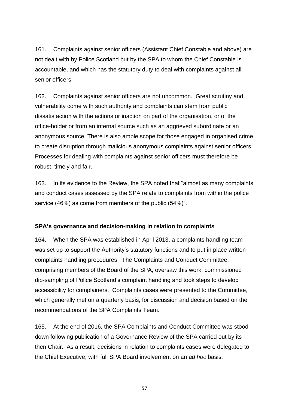161. Complaints against senior officers (Assistant Chief Constable and above) are not dealt with by Police Scotland but by the SPA to whom the Chief Constable is accountable, and which has the statutory duty to deal with complaints against all senior officers.

162. Complaints against senior officers are not uncommon. Great scrutiny and vulnerability come with such authority and complaints can stem from public dissatisfaction with the actions or inaction on part of the organisation, or of the office-holder or from an internal source such as an aggrieved subordinate or an anonymous source. There is also ample scope for those engaged in organised crime to create disruption through malicious anonymous complaints against senior officers. Processes for dealing with complaints against senior officers must therefore be robust, timely and fair.

163. In its evidence to the Review, the SPA noted that "almost as many complaints and conduct cases assessed by the SPA relate to complaints from within the police service (46%) as come from members of the public (54%)".

#### **SPA's governance and decision-making in relation to complaints**

164. When the SPA was established in April 2013, a complaints handling team was set up to support the Authority's statutory functions and to put in place written complaints handling procedures. The Complaints and Conduct Committee, comprising members of the Board of the SPA, oversaw this work, commissioned dip-sampling of Police Scotland's complaint handling and took steps to develop accessibility for complainers. Complaints cases were presented to the Committee, which generally met on a quarterly basis, for discussion and decision based on the recommendations of the SPA Complaints Team.

165. At the end of 2016, the SPA Complaints and Conduct Committee was stood down following publication of a Governance Review of the SPA carried out by its then Chair. As a result, decisions in relation to complaints cases were delegated to the Chief Executive, with full SPA Board involvement on an *ad hoc* basis.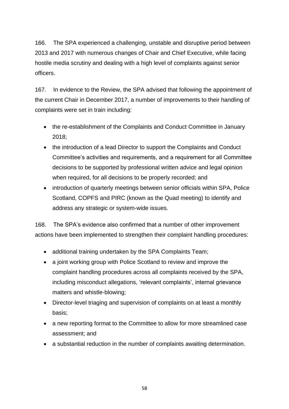166. The SPA experienced a challenging, unstable and disruptive period between 2013 and 2017 with numerous changes of Chair and Chief Executive, while facing hostile media scrutiny and dealing with a high level of complaints against senior officers.

167. In evidence to the Review, the SPA advised that following the appointment of the current Chair in December 2017, a number of improvements to their handling of complaints were set in train including:

- the re-establishment of the Complaints and Conduct Committee in January 2018;
- the introduction of a lead Director to support the Complaints and Conduct Committee's activities and requirements, and a requirement for all Committee decisions to be supported by professional written advice and legal opinion when required, for all decisions to be properly recorded; and
- introduction of quarterly meetings between senior officials within SPA, Police Scotland, COPFS and PIRC (known as the Quad meeting) to identify and address any strategic or system-wide issues.

168. The SPA's evidence also confirmed that a number of other improvement actions have been implemented to strengthen their complaint handling procedures:

- additional training undertaken by the SPA Complaints Team;
- a joint working group with Police Scotland to review and improve the complaint handling procedures across all complaints received by the SPA, including misconduct allegations, 'relevant complaints', internal grievance matters and whistle-blowing;
- Director-level triaging and supervision of complaints on at least a monthly basis;
- a new reporting format to the Committee to allow for more streamlined case assessment; and
- a substantial reduction in the number of complaints awaiting determination.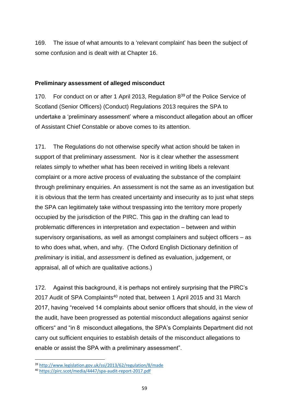169. The issue of what amounts to a 'relevant complaint' has been the subject of some confusion and is dealt with at Chapter 16.

### **Preliminary assessment of alleged misconduct**

170. For conduct on or after 1 April 2013, Regulation 8<sup>39</sup> of the Police Service of Scotland (Senior Officers) (Conduct) Regulations 2013 requires the SPA to undertake a 'preliminary assessment' where a misconduct allegation about an officer of Assistant Chief Constable or above comes to its attention.

171. The Regulations do not otherwise specify what action should be taken in support of that preliminary assessment. Nor is it clear whether the assessment relates simply to whether what has been received in writing libels a relevant complaint or a more active process of evaluating the substance of the complaint through preliminary enquiries. An assessment is not the same as an investigation but it is obvious that the term has created uncertainty and insecurity as to just what steps the SPA can legitimately take without trespassing into the territory more properly occupied by the jurisdiction of the PIRC. This gap in the drafting can lead to problematic differences in interpretation and expectation – between and within supervisory organisations, as well as amongst complainers and subject officers – as to who does what, when, and why. (The Oxford English Dictionary definition of *preliminary* is initial, and *assessment* is defined as evaluation, judgement, or appraisal, all of which are qualitative actions.)

172. Against this background, it is perhaps not entirely surprising that the PIRC's 2017 Audit of SPA Complaints<sup>40</sup> noted that, between 1 April 2015 and 31 March 2017, having "received 14 complaints about senior officers that should, in the view of the audit, have been progressed as potential misconduct allegations against senior officers" and "in 8 misconduct allegations, the SPA's Complaints Department did not carry out sufficient enquiries to establish details of the misconduct allegations to enable or assist the SPA with a preliminary assessment".

<sup>39</sup> <http://www.legislation.gov.uk/ssi/2013/62/regulation/8/made>

<sup>40</sup> <https://pirc.scot/media/4447/spa-audit-report-2017.pdf>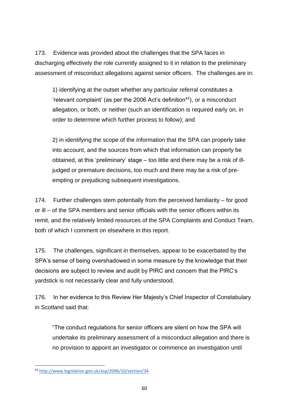173. Evidence was provided about the challenges that the SPA faces in discharging effectively the role currently assigned to it in relation to the preliminary assessment of misconduct allegations against senior officers. The challenges are in:

1) identifying at the outset whether any particular referral constitutes a  $i$ relevant complaint' (as per the 2006 Act's definition<sup>41</sup>), or a misconduct allegation, or both, or neither (such an identification is required early on, in order to determine which further process to follow); and

2) in identifying the scope of the information that the SPA can properly take into account, and the sources from which that information can properly be obtained, at this 'preliminary' stage – too little and there may be a risk of illjudged or premature decisions, too much and there may be a risk of preempting or prejudicing subsequent investigations.

174. Further challenges stem potentially from the perceived familiarity – for good or ill – of the SPA members and senior officials with the senior officers within its remit, and the relatively limited resources of the SPA Complaints and Conduct Team, both of which I comment on elsewhere in this report.

175. The challenges, significant in themselves, appear to be exacerbated by the SPA's sense of being overshadowed in some measure by the knowledge that their decisions are subject to review and audit by PIRC and concern that the PIRC's yardstick is not necessarily clear and fully understood.

176. In her evidence to this Review Her Majesty's Chief Inspector of Constabulary in Scotland said that:

"The conduct regulations for senior officers are silent on how the SPA will undertake its preliminary assessment of a misconduct allegation and there is no provision to appoint an investigator or commence an investigation until

**<sup>.</sup>** <sup>41</sup> <http://www.legislation.gov.uk/asp/2006/10/section/34>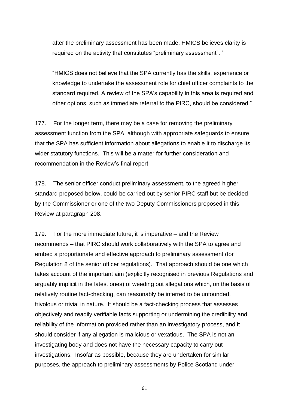after the preliminary assessment has been made. HMICS believes clarity is required on the activity that constitutes "preliminary assessment". "

"HMICS does not believe that the SPA currently has the skills, experience or knowledge to undertake the assessment role for chief officer complaints to the standard required. A review of the SPA's capability in this area is required and other options, such as immediate referral to the PIRC, should be considered."

177. For the longer term, there may be a case for removing the preliminary assessment function from the SPA, although with appropriate safeguards to ensure that the SPA has sufficient information about allegations to enable it to discharge its wider statutory functions. This will be a matter for further consideration and recommendation in the Review's final report.

178. The senior officer conduct preliminary assessment, to the agreed higher standard proposed below, could be carried out by senior PIRC staff but be decided by the Commissioner or one of the two Deputy Commissioners proposed in this Review at paragraph 208.

179. For the more immediate future, it is imperative – and the Review recommends – that PIRC should work collaboratively with the SPA to agree and embed a proportionate and effective approach to preliminary assessment (for Regulation 8 of the senior officer regulations). That approach should be one which takes account of the important aim (explicitly recognised in previous Regulations and arguably implicit in the latest ones) of weeding out allegations which, on the basis of relatively routine fact-checking, can reasonably be inferred to be unfounded, frivolous or trivial in nature. It should be a fact-checking process that assesses objectively and readily verifiable facts supporting or undermining the credibility and reliability of the information provided rather than an investigatory process, and it should consider if any allegation is malicious or vexatious. The SPA is not an investigating body and does not have the necessary capacity to carry out investigations. Insofar as possible, because they are undertaken for similar purposes, the approach to preliminary assessments by Police Scotland under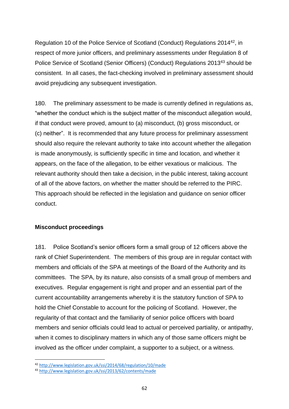Regulation 10 of the Police Service of Scotland (Conduct) Regulations 2014<sup>42</sup>, in respect of more junior officers, and preliminary assessments under Regulation 8 of Police Service of Scotland (Senior Officers) (Conduct) Regulations 2013<sup>43</sup> should be consistent. In all cases, the fact-checking involved in preliminary assessment should avoid prejudicing any subsequent investigation.

180. The preliminary assessment to be made is currently defined in regulations as, "whether the conduct which is the subject matter of the misconduct allegation would, if that conduct were proved, amount to (a) misconduct, (b) gross misconduct, or (c) neither". It is recommended that any future process for preliminary assessment should also require the relevant authority to take into account whether the allegation is made anonymously, is sufficiently specific in time and location, and whether it appears, on the face of the allegation, to be either vexatious or malicious. The relevant authority should then take a decision, in the public interest, taking account of all of the above factors, on whether the matter should be referred to the PIRC. This approach should be reflected in the legislation and guidance on senior officer conduct.

#### **Misconduct proceedings**

**.** 

181. Police Scotland's senior officers form a small group of 12 officers above the rank of Chief Superintendent. The members of this group are in regular contact with members and officials of the SPA at meetings of the Board of the Authority and its committees. The SPA, by its nature, also consists of a small group of members and executives. Regular engagement is right and proper and an essential part of the current accountability arrangements whereby it is the statutory function of SPA to hold the Chief Constable to account for the policing of Scotland. However, the regularity of that contact and the familiarity of senior police officers with board members and senior officials could lead to actual or perceived partiality, or antipathy, when it comes to disciplinary matters in which any of those same officers might be involved as the officer under complaint, a supporter to a subject, or a witness.

<sup>42</sup> <http://www.legislation.gov.uk/ssi/2014/68/regulation/10/made>

<sup>43</sup> <http://www.legislation.gov.uk/ssi/2013/62/contents/made>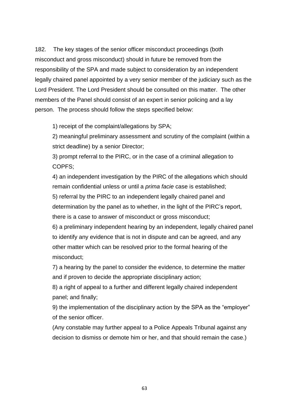182. The key stages of the senior officer misconduct proceedings (both misconduct and gross misconduct) should in future be removed from the responsibility of the SPA and made subject to consideration by an independent legally chaired panel appointed by a very senior member of the judiciary such as the Lord President. The Lord President should be consulted on this matter. The other members of the Panel should consist of an expert in senior policing and a lay person. The process should follow the steps specified below:

1) receipt of the complaint/allegations by SPA;

2) meaningful preliminary assessment and scrutiny of the complaint (within a strict deadline) by a senior Director;

3) prompt referral to the PIRC, or in the case of a criminal allegation to COPFS;

4) an independent investigation by the PIRC of the allegations which should remain confidential unless or until a *prima facie* case is established;

5) referral by the PIRC to an independent legally chaired panel and determination by the panel as to whether, in the light of the PIRC's report, there is a case to answer of misconduct or gross misconduct;

6) a preliminary independent hearing by an independent, legally chaired panel to identify any evidence that is not in dispute and can be agreed, and any other matter which can be resolved prior to the formal hearing of the misconduct;

7) a hearing by the panel to consider the evidence, to determine the matter and if proven to decide the appropriate disciplinary action;

8) a right of appeal to a further and different legally chaired independent panel; and finally;

9) the implementation of the disciplinary action by the SPA as the "employer" of the senior officer.

(Any constable may further appeal to a Police Appeals Tribunal against any decision to dismiss or demote him or her, and that should remain the case.)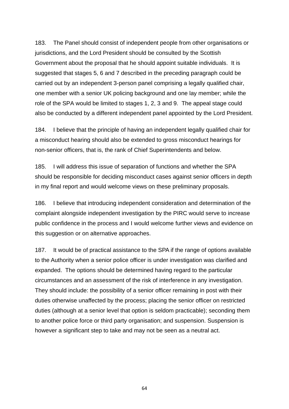183. The Panel should consist of independent people from other organisations or jurisdictions, and the Lord President should be consulted by the Scottish Government about the proposal that he should appoint suitable individuals. It is suggested that stages 5, 6 and 7 described in the preceding paragraph could be carried out by an independent 3-person panel comprising a legally qualified chair, one member with a senior UK policing background and one lay member; while the role of the SPA would be limited to stages 1, 2, 3 and 9. The appeal stage could also be conducted by a different independent panel appointed by the Lord President.

184. I believe that the principle of having an independent legally qualified chair for a misconduct hearing should also be extended to gross misconduct hearings for non-senior officers, that is, the rank of Chief Superintendents and below.

185. I will address this issue of separation of functions and whether the SPA should be responsible for deciding misconduct cases against senior officers in depth in my final report and would welcome views on these preliminary proposals.

186. I believe that introducing independent consideration and determination of the complaint alongside independent investigation by the PIRC would serve to increase public confidence in the process and I would welcome further views and evidence on this suggestion or on alternative approaches.

187. It would be of practical assistance to the SPA if the range of options available to the Authority when a senior police officer is under investigation was clarified and expanded. The options should be determined having regard to the particular circumstances and an assessment of the risk of interference in any investigation. They should include: the possibility of a senior officer remaining in post with their duties otherwise unaffected by the process; placing the senior officer on restricted duties (although at a senior level that option is seldom practicable); seconding them to another police force or third party organisation; and suspension. Suspension is however a significant step to take and may not be seen as a neutral act.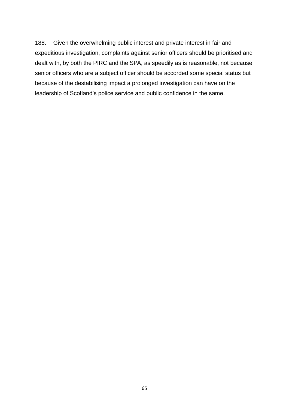188. Given the overwhelming public interest and private interest in fair and expeditious investigation, complaints against senior officers should be prioritised and dealt with, by both the PIRC and the SPA, as speedily as is reasonable, not because senior officers who are a subject officer should be accorded some special status but because of the destabilising impact a prolonged investigation can have on the leadership of Scotland's police service and public confidence in the same.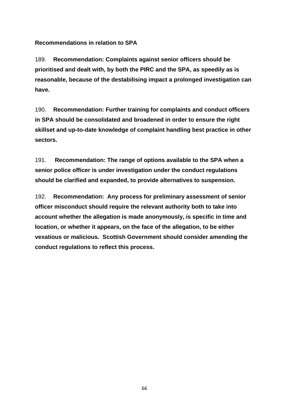**Recommendations in relation to SPA**

189. **Recommendation: Complaints against senior officers should be prioritised and dealt with, by both the PIRC and the SPA, as speedily as is reasonable, because of the destabilising impact a prolonged investigation can have.**

190. **Recommendation: Further training for complaints and conduct officers in SPA should be consolidated and broadened in order to ensure the right skillset and up-to-date knowledge of complaint handling best practice in other sectors.**

191. **Recommendation: The range of options available to the SPA when a senior police officer is under investigation under the conduct regulations should be clarified and expanded, to provide alternatives to suspension.**

192. **Recommendation: Any process for preliminary assessment of senior officer misconduct should require the relevant authority both to take into account whether the allegation is made anonymously, is specific in time and location, or whether it appears, on the face of the allegation, to be either vexatious or malicious. Scottish Government should consider amending the conduct regulations to reflect this process.**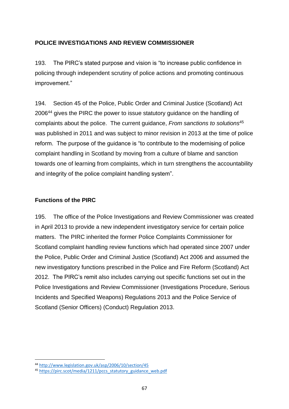# **POLICE INVESTIGATIONS AND REVIEW COMMISSIONER**

193. The PIRC's stated purpose and vision is "to increase public confidence in policing through independent scrutiny of police actions and promoting continuous improvement."

194. Section 45 of the Police, Public Order and Criminal Justice (Scotland) Act 2006<sup>44</sup> gives the PIRC the power to issue statutory guidance on the handling of complaints about the police. The current guidance, *From sanctions to solutions*<sup>45</sup> was published in 2011 and was subject to minor revision in 2013 at the time of police reform. The purpose of the guidance is "to contribute to the modernising of police complaint handling in Scotland by moving from a culture of blame and sanction towards one of learning from complaints, which in turn strengthens the accountability and integrity of the police complaint handling system".

### **Functions of the PIRC**

195. The office of the Police Investigations and Review Commissioner was created in April 2013 to provide a new independent investigatory service for certain police matters. The PIRC inherited the former Police Complaints Commissioner for Scotland complaint handling review functions which had operated since 2007 under the Police, Public Order and Criminal Justice (Scotland) Act 2006 and assumed the new investigatory functions prescribed in the Police and Fire Reform (Scotland) Act 2012. The PIRC's remit also includes carrying out specific functions set out in the Police Investigations and Review Commissioner (Investigations Procedure, Serious Incidents and Specified Weapons) Regulations 2013 and the Police Service of Scotland (Senior Officers) (Conduct) Regulation 2013.

**<sup>.</sup>** <sup>44</sup> <http://www.legislation.gov.uk/asp/2006/10/section/45>

<sup>&</sup>lt;sup>45</sup> [https://pirc.scot/media/1211/pccs\\_statutory\\_guidance\\_web.pdf](https://pirc.scot/media/1211/pccs_statutory_guidance_web.pdf)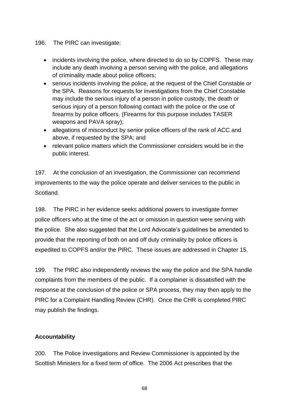#### 196. The PIRC can investigate:

- incidents involving the police, where directed to do so by COPFS. These may include any death involving a person serving with the police, and allegations of criminality made about police officers;
- serious incidents involving the police, at the request of the Chief Constable or the SPA. Reasons for requests for investigations from the Chief Constable may include the serious injury of a person in police custody, the death or serious injury of a person following contact with the police or the use of firearms by police officers. (Firearms for this purpose includes TASER weapons and PAVA spray);
- allegations of misconduct by senior police officers of the rank of ACC and above, if requested by the SPA; and
- relevant police matters which the Commissioner considers would be in the public interest.

197. At the conclusion of an investigation, the Commissioner can recommend improvements to the way the police operate and deliver services to the public in Scotland.

198. The PIRC in her evidence seeks additional powers to investigate former police officers who at the time of the act or omission in question were serving with the police. She also suggested that the Lord Advocate's guidelines be amended to provide that the reporting of both on and off duty criminality by police officers is expedited to COPFS and/or the PIRC. These issues are addressed in Chapter 15.

199. The PIRC also independently reviews the way the police and the SPA handle complaints from the members of the public. If a complainer is dissatisfied with the response at the conclusion of the police or SPA process, they may then apply to the PIRC for a Complaint Handling Review (CHR). Once the CHR is completed PIRC may publish the findings.

# **Accountability**

200. The Police Investigations and Review Commissioner is appointed by the Scottish Ministers for a fixed term of office. The 2006 Act prescribes that the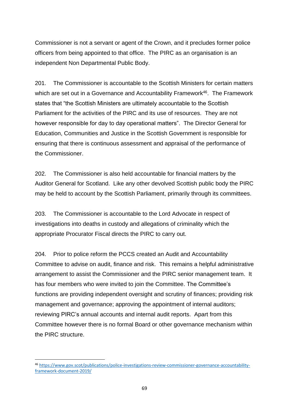Commissioner is not a servant or agent of the Crown, and it precludes former police officers from being appointed to that office. The PIRC as an organisation is an independent Non Departmental Public Body.

201. The Commissioner is accountable to the Scottish Ministers for certain matters which are set out in a Governance and Accountability Framework<sup>46</sup>. The Framework states that "the Scottish Ministers are ultimately accountable to the Scottish Parliament for the activities of the PIRC and its use of resources. They are not however responsible for day to day operational matters". The Director General for Education, Communities and Justice in the Scottish Government is responsible for ensuring that there is continuous assessment and appraisal of the performance of the Commissioner.

202. The Commissioner is also held accountable for financial matters by the Auditor General for Scotland. Like any other devolved Scottish public body the PIRC may be held to account by the Scottish Parliament, primarily through its committees.

203. The Commissioner is accountable to the Lord Advocate in respect of investigations into deaths in custody and allegations of criminality which the appropriate Procurator Fiscal directs the PIRC to carry out.

204. Prior to police reform the PCCS created an Audit and Accountability Committee to advise on audit, finance and risk. This remains a helpful administrative arrangement to assist the Commissioner and the PIRC senior management team. It has four members who were invited to join the Committee. The Committee's functions are providing independent oversight and scrutiny of finances; providing risk management and governance; approving the appointment of internal auditors; reviewing PIRC's annual accounts and internal audit reports. Apart from this Committee however there is no formal Board or other governance mechanism within the PIRC structure.

<sup>46</sup> [https://www.gov.scot/publications/police-investigations-review-commissioner-governance-accountability](https://www.gov.scot/publications/police-investigations-review-commissioner-governance-accountability-framework-document-2019/)[framework-document-2019/](https://www.gov.scot/publications/police-investigations-review-commissioner-governance-accountability-framework-document-2019/)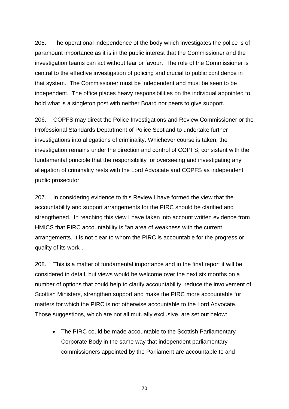205. The operational independence of the body which investigates the police is of paramount importance as it is in the public interest that the Commissioner and the investigation teams can act without fear or favour. The role of the Commissioner is central to the effective investigation of policing and crucial to public confidence in that system. The Commissioner must be independent and must be seen to be independent. The office places heavy responsibilities on the individual appointed to hold what is a singleton post with neither Board nor peers to give support.

206. COPFS may direct the Police Investigations and Review Commissioner or the Professional Standards Department of Police Scotland to undertake further investigations into allegations of criminality. Whichever course is taken, the investigation remains under the direction and control of COPFS, consistent with the fundamental principle that the responsibility for overseeing and investigating any allegation of criminality rests with the Lord Advocate and COPFS as independent public prosecutor.

207. In considering evidence to this Review I have formed the view that the accountability and support arrangements for the PIRC should be clarified and strengthened. In reaching this view I have taken into account written evidence from HMICS that PIRC accountability is "an area of weakness with the current arrangements. It is not clear to whom the PIRC is accountable for the progress or quality of its work".

208. This is a matter of fundamental importance and in the final report it will be considered in detail, but views would be welcome over the next six months on a number of options that could help to clarify accountability, reduce the involvement of Scottish Ministers, strengthen support and make the PIRC more accountable for matters for which the PIRC is not otherwise accountable to the Lord Advocate. Those suggestions, which are not all mutually exclusive, are set out below:

• The PIRC could be made accountable to the Scottish Parliamentary Corporate Body in the same way that independent parliamentary commissioners appointed by the Parliament are accountable to and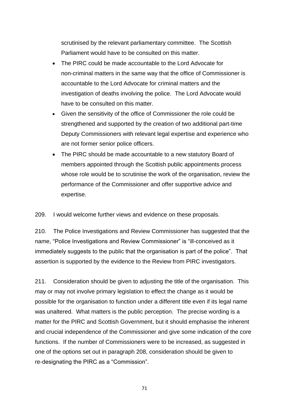scrutinised by the relevant parliamentary committee. The Scottish Parliament would have to be consulted on this matter.

- The PIRC could be made accountable to the Lord Advocate for non-criminal matters in the same way that the office of Commissioner is accountable to the Lord Advocate for criminal matters and the investigation of deaths involving the police. The Lord Advocate would have to be consulted on this matter.
- Given the sensitivity of the office of Commissioner the role could be strengthened and supported by the creation of two additional part-time Deputy Commissioners with relevant legal expertise and experience who are not former senior police officers.
- The PIRC should be made accountable to a new statutory Board of members appointed through the Scottish public appointments process whose role would be to scrutinise the work of the organisation, review the performance of the Commissioner and offer supportive advice and expertise.

209. I would welcome further views and evidence on these proposals.

210. The Police Investigations and Review Commissioner has suggested that the name, "Police Investigations and Review Commissioner" is "ill-conceived as it immediately suggests to the public that the organisation is part of the police". That assertion is supported by the evidence to the Review from PIRC investigators.

211. Consideration should be given to adjusting the title of the organisation. This may or may not involve primary legislation to effect the change as it would be possible for the organisation to function under a different title even if its legal name was unaltered. What matters is the public perception. The precise wording is a matter for the PIRC and Scottish Government, but it should emphasise the inherent and crucial independence of the Commissioner and give some indication of the core functions. If the number of Commissioners were to be increased, as suggested in one of the options set out in paragraph 208, consideration should be given to re-designating the PIRC as a "Commission".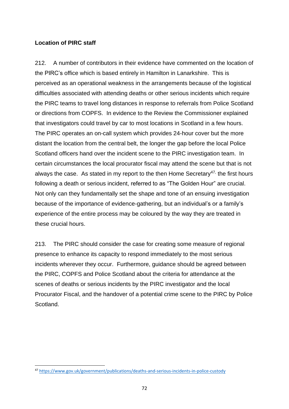# **Location of PIRC staff**

212. A number of contributors in their evidence have commented on the location of the PIRC's office which is based entirely in Hamilton in Lanarkshire. This is perceived as an operational weakness in the arrangements because of the logistical difficulties associated with attending deaths or other serious incidents which require the PIRC teams to travel long distances in response to referrals from Police Scotland or directions from COPFS. In evidence to the Review the Commissioner explained that investigators could travel by car to most locations in Scotland in a few hours. The PIRC operates an on-call system which provides 24-hour cover but the more distant the location from the central belt, the longer the gap before the local Police Scotland officers hand over the incident scene to the PIRC investigation team. In certain circumstances the local procurator fiscal may attend the scene but that is not always the case. As stated in my report to the then Home Secretary<sup>47,</sup> the first hours following a death or serious incident, referred to as "The Golden Hour" are crucial. Not only can they fundamentally set the shape and tone of an ensuing investigation because of the importance of evidence-gathering, but an individual's or a family's experience of the entire process may be coloured by the way they are treated in these crucial hours.

213. The PIRC should consider the case for creating some measure of regional presence to enhance its capacity to respond immediately to the most serious incidents wherever they occur. Furthermore, guidance should be agreed between the PIRC, COPFS and Police Scotland about the criteria for attendance at the scenes of deaths or serious incidents by the PIRC investigator and the local Procurator Fiscal, and the handover of a potential crime scene to the PIRC by Police Scotland.

**<sup>.</sup>** <sup>47</sup> <https://www.gov.uk/government/publications/deaths-and-serious-incidents-in-police-custody>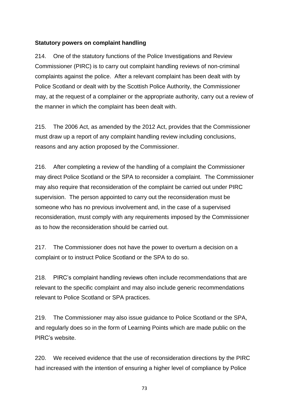## **Statutory powers on complaint handling**

214. One of the statutory functions of the Police Investigations and Review Commissioner (PIRC) is to carry out complaint handling reviews of non-criminal complaints against the police. After a relevant complaint has been dealt with by Police Scotland or dealt with by the Scottish Police Authority, the Commissioner may, at the request of a complainer or the appropriate authority, carry out a review of the manner in which the complaint has been dealt with.

215. The 2006 Act, as amended by the 2012 Act, provides that the Commissioner must draw up a report of any complaint handling review including conclusions, reasons and any action proposed by the Commissioner.

216. After completing a review of the handling of a complaint the Commissioner may direct Police Scotland or the SPA to reconsider a complaint. The Commissioner may also require that reconsideration of the complaint be carried out under PIRC supervision. The person appointed to carry out the reconsideration must be someone who has no previous involvement and, in the case of a supervised reconsideration, must comply with any requirements imposed by the Commissioner as to how the reconsideration should be carried out.

217. The Commissioner does not have the power to overturn a decision on a complaint or to instruct Police Scotland or the SPA to do so.

218. PIRC's complaint handling reviews often include recommendations that are relevant to the specific complaint and may also include generic recommendations relevant to Police Scotland or SPA practices.

219. The Commissioner may also issue guidance to Police Scotland or the SPA, and regularly does so in the form of Learning Points which are made public on the PIRC's website.

220. We received evidence that the use of reconsideration directions by the PIRC had increased with the intention of ensuring a higher level of compliance by Police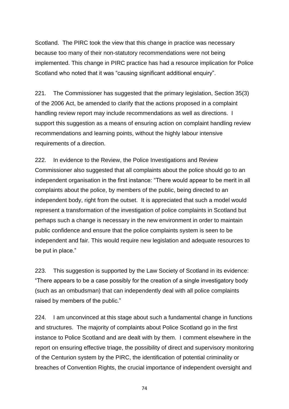Scotland. The PIRC took the view that this change in practice was necessary because too many of their non-statutory recommendations were not being implemented. This change in PIRC practice has had a resource implication for Police Scotland who noted that it was "causing significant additional enquiry".

221. The Commissioner has suggested that the primary legislation, Section 35(3) of the 2006 Act, be amended to clarify that the actions proposed in a complaint handling review report may include recommendations as well as directions. I support this suggestion as a means of ensuring action on complaint handling review recommendations and learning points, without the highly labour intensive requirements of a direction.

222. In evidence to the Review, the Police Investigations and Review Commissioner also suggested that all complaints about the police should go to an independent organisation in the first instance: "There would appear to be merit in all complaints about the police, by members of the public, being directed to an independent body, right from the outset. It is appreciated that such a model would represent a transformation of the investigation of police complaints in Scotland but perhaps such a change is necessary in the new environment in order to maintain public confidence and ensure that the police complaints system is seen to be independent and fair. This would require new legislation and adequate resources to be put in place."

223. This suggestion is supported by the Law Society of Scotland in its evidence: "There appears to be a case possibly for the creation of a single investigatory body (such as an ombudsman) that can independently deal with all police complaints raised by members of the public."

224. I am unconvinced at this stage about such a fundamental change in functions and structures. The majority of complaints about Police Scotland go in the first instance to Police Scotland and are dealt with by them. I comment elsewhere in the report on ensuring effective triage, the possibility of direct and supervisory monitoring of the Centurion system by the PIRC, the identification of potential criminality or breaches of Convention Rights, the crucial importance of independent oversight and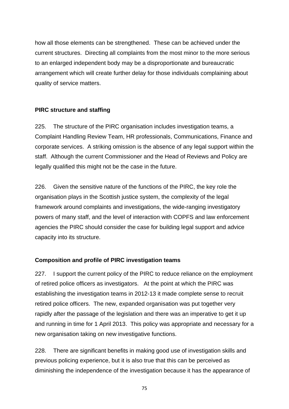how all those elements can be strengthened. These can be achieved under the current structures. Directing all complaints from the most minor to the more serious to an enlarged independent body may be a disproportionate and bureaucratic arrangement which will create further delay for those individuals complaining about quality of service matters.

## **PIRC structure and staffing**

225. The structure of the PIRC organisation includes investigation teams, a Complaint Handling Review Team, HR professionals, Communications, Finance and corporate services. A striking omission is the absence of any legal support within the staff. Although the current Commissioner and the Head of Reviews and Policy are legally qualified this might not be the case in the future.

226. Given the sensitive nature of the functions of the PIRC, the key role the organisation plays in the Scottish justice system, the complexity of the legal framework around complaints and investigations, the wide-ranging investigatory powers of many staff, and the level of interaction with COPFS and law enforcement agencies the PIRC should consider the case for building legal support and advice capacity into its structure.

# **Composition and profile of PIRC investigation teams**

227. I support the current policy of the PIRC to reduce reliance on the employment of retired police officers as investigators. At the point at which the PIRC was establishing the investigation teams in 2012-13 it made complete sense to recruit retired police officers. The new, expanded organisation was put together very rapidly after the passage of the legislation and there was an imperative to get it up and running in time for 1 April 2013. This policy was appropriate and necessary for a new organisation taking on new investigative functions.

228. There are significant benefits in making good use of investigation skills and previous policing experience, but it is also true that this can be perceived as diminishing the independence of the investigation because it has the appearance of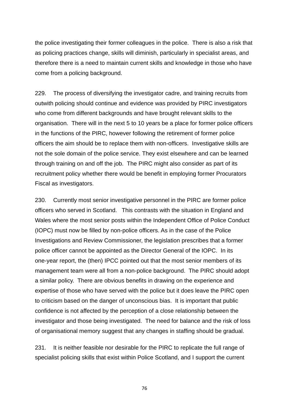the police investigating their former colleagues in the police. There is also a risk that as policing practices change, skills will diminish, particularly in specialist areas, and therefore there is a need to maintain current skills and knowledge in those who have come from a policing background.

229. The process of diversifying the investigator cadre, and training recruits from outwith policing should continue and evidence was provided by PIRC investigators who come from different backgrounds and have brought relevant skills to the organisation. There will in the next 5 to 10 years be a place for former police officers in the functions of the PIRC, however following the retirement of former police officers the aim should be to replace them with non-officers. Investigative skills are not the sole domain of the police service. They exist elsewhere and can be learned through training on and off the job. The PIRC might also consider as part of its recruitment policy whether there would be benefit in employing former Procurators Fiscal as investigators.

230. Currently most senior investigative personnel in the PIRC are former police officers who served in Scotland. This contrasts with the situation in England and Wales where the most senior posts within the Independent Office of Police Conduct (IOPC) must now be filled by non-police officers. As in the case of the Police Investigations and Review Commissioner, the legislation prescribes that a former police officer cannot be appointed as the Director General of the IOPC. In its one-year report, the (then) IPCC pointed out that the most senior members of its management team were all from a non-police background. The PIRC should adopt a similar policy. There are obvious benefits in drawing on the experience and expertise of those who have served with the police but it does leave the PIRC open to criticism based on the danger of unconscious bias. It is important that public confidence is not affected by the perception of a close relationship between the investigator and those being investigated. The need for balance and the risk of loss of organisational memory suggest that any changes in staffing should be gradual.

231. It is neither feasible nor desirable for the PIRC to replicate the full range of specialist policing skills that exist within Police Scotland, and I support the current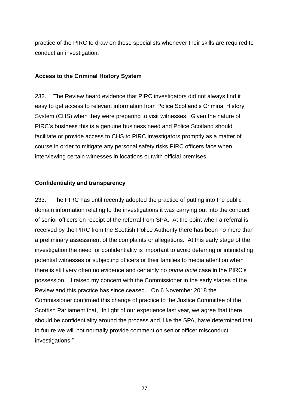practice of the PIRC to draw on those specialists whenever their skills are required to conduct an investigation.

#### **Access to the Criminal History System**

232. The Review heard evidence that PIRC investigators did not always find it easy to get access to relevant information from Police Scotland's Criminal History System (CHS) when they were preparing to visit witnesses. Given the nature of PIRC's business this is a genuine business need and Police Scotland should facilitate or provide access to CHS to PIRC investigators promptly as a matter of course in order to mitigate any personal safety risks PIRC officers face when interviewing certain witnesses in locations outwith official premises.

## **Confidentiality and transparency**

233. The PIRC has until recently adopted the practice of putting into the public domain information relating to the investigations it was carrying out into the conduct of senior officers on receipt of the referral from SPA. At the point when a referral is received by the PIRC from the Scottish Police Authority there has been no more than a preliminary assessment of the complaints or allegations. At this early stage of the investigation the need for confidentiality is important to avoid deterring or intimidating potential witnesses or subjecting officers or their families to media attention when there is still very often no evidence and certainly no *prima facie* case in the PIRC's possession. I raised my concern with the Commissioner in the early stages of the Review and this practice has since ceased. On 6 November 2018 the Commissioner confirmed this change of practice to the Justice Committee of the Scottish Parliament that, "In light of our experience last year, we agree that there should be confidentiality around the process and, like the SPA, have determined that in future we will not normally provide comment on senior officer misconduct investigations."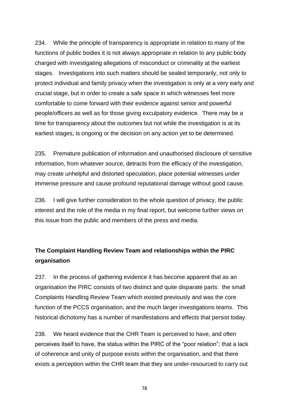234. While the principle of transparency is appropriate in relation to many of the functions of public bodies it is not always appropriate in relation to any public body charged with investigating allegations of misconduct or criminality at the earliest stages. Investigations into such matters should be sealed temporarily, not only to protect individual and family privacy when the investigation is only at a very early and crucial stage, but in order to create a safe space in which witnesses feel more comfortable to come forward with their evidence against senior and powerful people/officers as well as for those giving exculpatory evidence. There may be a time for transparency about the outcomes but not while the investigation is at its earliest stages, is ongoing or the decision on any action yet to be determined.

235. Premature publication of information and unauthorised disclosure of sensitive information, from whatever source, detracts from the efficacy of the investigation, may create unhelpful and distorted speculation, place potential witnesses under immense pressure and cause profound reputational damage without good cause.

236. I will give further consideration to the whole question of privacy, the public interest and the role of the media in my final report, but welcome further views on this issue from the public and members of the press and media.

# **The Complaint Handling Review Team and relationships within the PIRC organisation**

237. In the process of gathering evidence it has become apparent that as an organisation the PIRC consists of two distinct and quite disparate parts: the small Complaints Handling Review Team which existed previously and was the core function of the PCCS organisation, and the much larger investigations teams. This historical dichotomy has a number of manifestations and effects that persist today.

238. We heard evidence that the CHR Team is perceived to have, and often perceives itself to have, the status within the PIRC of the "poor relation"; that a lack of coherence and unity of purpose exists within the organisation, and that there exists a perception within the CHR team that they are under-resourced to carry out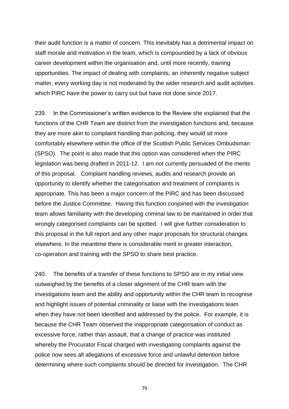their audit function is a matter of concern. This inevitably has a detrimental impact on staff morale and motivation in the team, which is compounded by a lack of obvious career development within the organisation and, until more recently, training opportunities. The impact of dealing with complaints, an inherently negative subject matter, every working day is not moderated by the wider research and audit activities which PIRC have the power to carry out but have not done since 2017.

239. In the Commissioner's written evidence to the Review she explained that the functions of the CHR Team are distinct from the investigation functions and, because they are more akin to complaint handling than policing, they would sit more comfortably elsewhere within the office of the Scottish Public Services Ombudsman (SPSO). The point is also made that this option was considered when the PIRC legislation was being drafted in 2011-12. I am not currently persuaded of the merits of this proposal. Complaint handling reviews, audits and research provide an opportunity to identify whether the categorisation and treatment of complaints is appropriate. This has been a major concern of the PIRC and has been discussed before the Justice Committee. Having this function conjoined with the investigation team allows familiarity with the developing criminal law to be maintained in order that wrongly categorised complaints can be spotted. I will give further consideration to this proposal in the full report and any other major proposals for structural changes elsewhere. In the meantime there is considerable merit in greater interaction, co-operation and training with the SPSO to share best practice.

240. The benefits of a transfer of these functions to SPSO are in my initial view outweighed by the benefits of a closer alignment of the CHR team with the investigations team and the ability and opportunity within the CHR team to recognise and highlight issues of potential criminality or liaise with the investigations team when they have not been identified and addressed by the police. For example, it is because the CHR Team observed the inappropriate categorisation of conduct as excessive force, rather than assault, that a change of practice was instituted whereby the Procurator Fiscal charged with investigating complaints against the police now sees all allegations of excessive force and unlawful detention before determining where such complaints should be directed for investigation. The CHR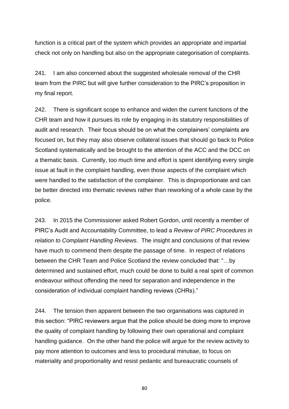function is a critical part of the system which provides an appropriate and impartial check not only on handling but also on the appropriate categorisation of complaints.

241. I am also concerned about the suggested wholesale removal of the CHR team from the PIRC but will give further consideration to the PIRC's proposition in my final report.

242. There is significant scope to enhance and widen the current functions of the CHR team and how it pursues its role by engaging in its statutory responsibilities of audit and research. Their focus should be on what the complainers' complaints are focused on, but they may also observe collateral issues that should go back to Police Scotland systematically and be brought to the attention of the ACC and the DCC on a thematic basis. Currently, too much time and effort is spent identifying every single issue at fault in the complaint handling, even those aspects of the complaint which were handled to the satisfaction of the complainer. This is disproportionate and can be better directed into thematic reviews rather than reworking of a whole case by the police.

243. In 2015 the Commissioner asked Robert Gordon, until recently a member of PIRC's Audit and Accountability Committee, to lead a *Review of PIRC Procedures in relation to Complaint Handling Reviews*. The insight and conclusions of that review have much to commend them despite the passage of time. In respect of relations between the CHR Team and Police Scotland the review concluded that: "…by determined and sustained effort, much could be done to build a real spirit of common endeavour without offending the need for separation and independence in the consideration of individual complaint handling reviews (CHRs)."

244. The tension then apparent between the two organisations was captured in this section: "PIRC reviewers argue that the police should be doing more to improve the quality of complaint handling by following their own operational and complaint handling guidance. On the other hand the police will argue for the review activity to pay more attention to outcomes and less to procedural minutiae, to focus on materiality and proportionality and resist pedantic and bureaucratic counsels of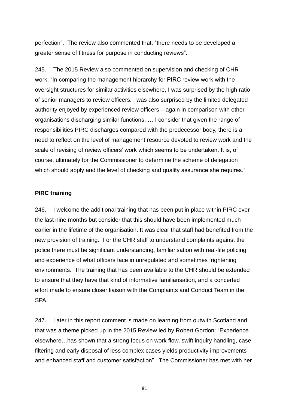perfection". The review also commented that: "there needs to be developed a greater sense of fitness for purpose in conducting reviews".

245. The 2015 Review also commented on supervision and checking of CHR work: "In comparing the management hierarchy for PIRC review work with the oversight structures for similar activities elsewhere, I was surprised by the high ratio of senior managers to review officers. I was also surprised by the limited delegated authority enjoyed by experienced review officers – again in comparison with other organisations discharging similar functions. … I consider that given the range of responsibilities PIRC discharges compared with the predecessor body, there is a need to reflect on the level of management resource devoted to review work and the scale of revising of review officers' work which seems to be undertaken. It is, of course, ultimately for the Commissioner to determine the scheme of delegation which should apply and the level of checking and quality assurance she requires."

#### **PIRC training**

246. I welcome the additional training that has been put in place within PIRC over the last nine months but consider that this should have been implemented much earlier in the lifetime of the organisation. It was clear that staff had benefited from the new provision of training. For the CHR staff to understand complaints against the police there must be significant understanding, familiarisation with real-life policing and experience of what officers face in unregulated and sometimes frightening environments. The training that has been available to the CHR should be extended to ensure that they have that kind of informative familiarisation, and a concerted effort made to ensure closer liaison with the Complaints and Conduct Team in the SPA.

247. Later in this report comment is made on learning from outwith Scotland and that was a theme picked up in the 2015 Review led by Robert Gordon: "Experience elsewhere…has shown that a strong focus on work flow, swift inquiry handling, case filtering and early disposal of less complex cases yields productivity improvements and enhanced staff and customer satisfaction". The Commissioner has met with her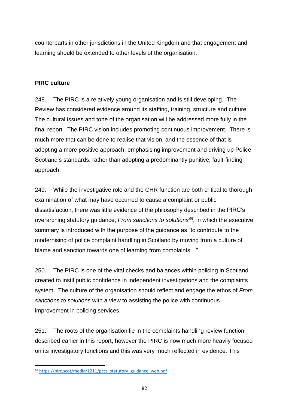counterparts in other jurisdictions in the United Kingdom and that engagement and learning should be extended to other levels of the organisation.

## **PIRC culture**

248. The PIRC is a relatively young organisation and is still developing. The Review has considered evidence around its staffing, training, structure and culture. The cultural issues and tone of the organisation will be addressed more fully in the final report. The PIRC vision includes promoting continuous improvement. There is much more that can be done to realise that vision, and the essence of that is adopting a more positive approach, emphasising improvement and driving up Police Scotland's standards, rather than adopting a predominantly punitive, fault-finding approach.

249. While the investigative role and the CHR function are both critical to thorough examination of what may have occurred to cause a complaint or public dissatisfaction, there was little evidence of the philosophy described in the PIRC's overarching statutory guidance, *From sanctions to solutions<sup>48</sup>*, in which the executive summary is introduced with the purpose of the guidance as "to contribute to the modernising of police complaint handling in Scotland by moving from a culture of blame and sanction towards one of learning from complaints…".

250. The PIRC is one of the vital checks and balances within policing in Scotland created to instil public confidence in independent investigations and the complaints system. The culture of the organisation should reflect and engage the ethos of *From sanctions to solutions* with a view to assisting the police with continuous improvement in policing services.

251. The roots of the organisation lie in the complaints handling review function described earlier in this report, however the PIRC is now much more heavily focused on its investigatory functions and this was very much reflected in evidence. This

**.** 

<sup>&</sup>lt;sup>48</sup> [https://pirc.scot/media/1211/pccs\\_statutory\\_guidance\\_web.pdf](https://pirc.scot/media/1211/pccs_statutory_guidance_web.pdf)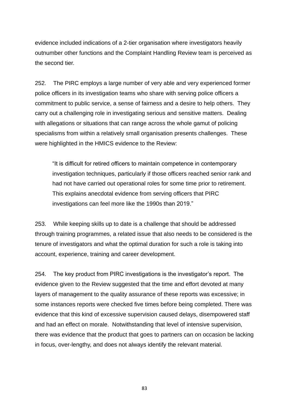evidence included indications of a 2-tier organisation where investigators heavily outnumber other functions and the Complaint Handling Review team is perceived as the second tier.

252. The PIRC employs a large number of very able and very experienced former police officers in its investigation teams who share with serving police officers a commitment to public service, a sense of fairness and a desire to help others. They carry out a challenging role in investigating serious and sensitive matters. Dealing with allegations or situations that can range across the whole gamut of policing specialisms from within a relatively small organisation presents challenges. These were highlighted in the HMICS evidence to the Review:

"It is difficult for retired officers to maintain competence in contemporary investigation techniques, particularly if those officers reached senior rank and had not have carried out operational roles for some time prior to retirement. This explains anecdotal evidence from serving officers that PIRC investigations can feel more like the 1990s than 2019."

253. While keeping skills up to date is a challenge that should be addressed through training programmes, a related issue that also needs to be considered is the tenure of investigators and what the optimal duration for such a role is taking into account, experience, training and career development.

254. The key product from PIRC investigations is the investigator's report. The evidence given to the Review suggested that the time and effort devoted at many layers of management to the quality assurance of these reports was excessive; in some instances reports were checked five times before being completed. There was evidence that this kind of excessive supervision caused delays, disempowered staff and had an effect on morale. Notwithstanding that level of intensive supervision, there was evidence that the product that goes to partners can on occasion be lacking in focus, over-lengthy, and does not always identify the relevant material.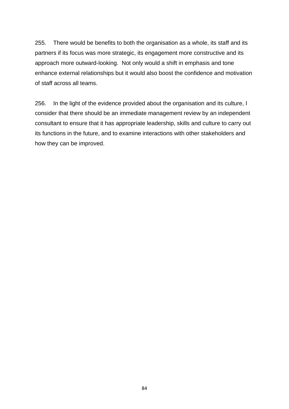255. There would be benefits to both the organisation as a whole, its staff and its partners if its focus was more strategic, its engagement more constructive and its approach more outward-looking. Not only would a shift in emphasis and tone enhance external relationships but it would also boost the confidence and motivation of staff across all teams.

256. In the light of the evidence provided about the organisation and its culture, I consider that there should be an immediate management review by an independent consultant to ensure that it has appropriate leadership, skills and culture to carry out its functions in the future, and to examine interactions with other stakeholders and how they can be improved.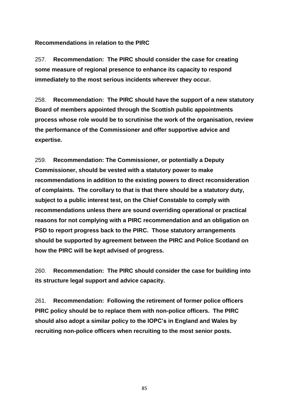#### **Recommendations in relation to the PIRC**

257. **Recommendation: The PIRC should consider the case for creating some measure of regional presence to enhance its capacity to respond immediately to the most serious incidents wherever they occur.**

258. **Recommendation: The PIRC should have the support of a new statutory Board of members appointed through the Scottish public appointments process whose role would be to scrutinise the work of the organisation, review the performance of the Commissioner and offer supportive advice and expertise.** 

259. **Recommendation: The Commissioner, or potentially a Deputy Commissioner, should be vested with a statutory power to make recommendations in addition to the existing powers to direct reconsideration of complaints. The corollary to that is that there should be a statutory duty, subject to a public interest test, on the Chief Constable to comply with recommendations unless there are sound overriding operational or practical reasons for not complying with a PIRC recommendation and an obligation on PSD to report progress back to the PIRC. Those statutory arrangements should be supported by agreement between the PIRC and Police Scotland on how the PIRC will be kept advised of progress.**

260. **Recommendation: The PIRC should consider the case for building into its structure legal support and advice capacity.**

261. **Recommendation: Following the retirement of former police officers PIRC policy should be to replace them with non-police officers. The PIRC should also adopt a similar policy to the IOPC's in England and Wales by recruiting non-police officers when recruiting to the most senior posts.**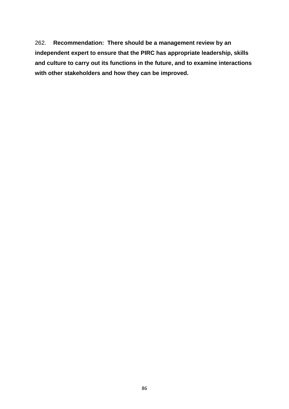262. **Recommendation: There should be a management review by an independent expert to ensure that the PIRC has appropriate leadership, skills and culture to carry out its functions in the future, and to examine interactions with other stakeholders and how they can be improved.**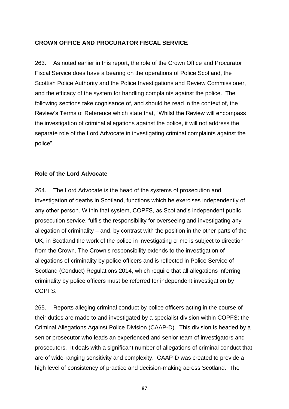#### **CROWN OFFICE AND PROCURATOR FISCAL SERVICE**

263. As noted earlier in this report, the role of the Crown Office and Procurator Fiscal Service does have a bearing on the operations of Police Scotland, the Scottish Police Authority and the Police Investigations and Review Commissioner, and the efficacy of the system for handling complaints against the police. The following sections take cognisance of, and should be read in the context of, the Review's Terms of Reference which state that, "Whilst the Review will encompass the investigation of criminal allegations against the police, it will not address the separate role of the Lord Advocate in investigating criminal complaints against the police".

#### **Role of the Lord Advocate**

264. The Lord Advocate is the head of the systems of prosecution and investigation of deaths in Scotland, functions which he exercises independently of any other person. Within that system, COPFS, as Scotland's independent public prosecution service, fulfils the responsibility for overseeing and investigating any allegation of criminality – and, by contrast with the position in the other parts of the UK, in Scotland the work of the police in investigating crime is subject to direction from the Crown. The Crown's responsibility extends to the investigation of allegations of criminality by police officers and is reflected in Police Service of Scotland (Conduct) Regulations 2014, which require that all allegations inferring criminality by police officers must be referred for independent investigation by COPFS.

265. Reports alleging criminal conduct by police officers acting in the course of their duties are made to and investigated by a specialist division within COPFS: the Criminal Allegations Against Police Division (CAAP-D). This division is headed by a senior prosecutor who leads an experienced and senior team of investigators and prosecutors. It deals with a significant number of allegations of criminal conduct that are of wide-ranging sensitivity and complexity. CAAP-D was created to provide a high level of consistency of practice and decision-making across Scotland. The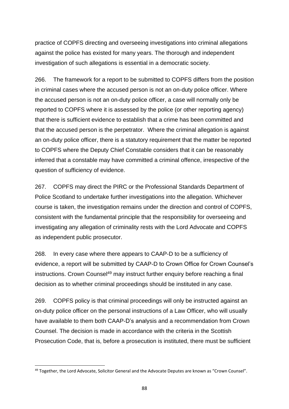practice of COPFS directing and overseeing investigations into criminal allegations against the police has existed for many years. The thorough and independent investigation of such allegations is essential in a democratic society.

266. The framework for a report to be submitted to COPFS differs from the position in criminal cases where the accused person is not an on-duty police officer. Where the accused person is not an on-duty police officer, a case will normally only be reported to COPFS where it is assessed by the police (or other reporting agency) that there is sufficient evidence to establish that a crime has been committed and that the accused person is the perpetrator. Where the criminal allegation is against an on-duty police officer, there is a statutory requirement that the matter be reported to COPFS where the Deputy Chief Constable considers that it can be reasonably inferred that a constable may have committed a criminal offence, irrespective of the question of sufficiency of evidence.

267. COPFS may direct the PIRC or the Professional Standards Department of Police Scotland to undertake further investigations into the allegation. Whichever course is taken, the investigation remains under the direction and control of COPFS, consistent with the fundamental principle that the responsibility for overseeing and investigating any allegation of criminality rests with the Lord Advocate and COPFS as independent public prosecutor.

268. In every case where there appears to CAAP-D to be a sufficiency of evidence, a report will be submitted by CAAP-D to Crown Office for Crown Counsel's instructions. Crown Counsel<sup>49</sup> may instruct further enquiry before reaching a final decision as to whether criminal proceedings should be instituted in any case.

269. COPFS policy is that criminal proceedings will only be instructed against an on-duty police officer on the personal instructions of a Law Officer, who will usually have available to them both CAAP-D's analysis and a recommendation from Crown Counsel. The decision is made in accordance with the criteria in the Scottish Prosecution Code, that is, before a prosecution is instituted, there must be sufficient

**.** 

<sup>&</sup>lt;sup>49</sup> Together, the Lord Advocate, Solicitor General and the Advocate Deputes are known as "Crown Counsel".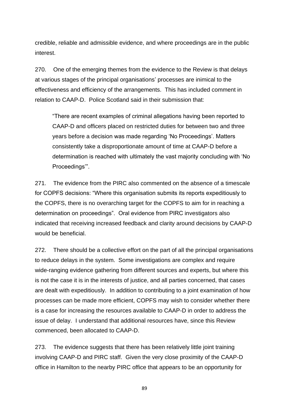credible, reliable and admissible evidence, and where proceedings are in the public interest.

270. One of the emerging themes from the evidence to the Review is that delays at various stages of the principal organisations' processes are inimical to the effectiveness and efficiency of the arrangements. This has included comment in relation to CAAP-D. Police Scotland said in their submission that:

"There are recent examples of criminal allegations having been reported to CAAP-D and officers placed on restricted duties for between two and three years before a decision was made regarding 'No Proceedings'. Matters consistently take a disproportionate amount of time at CAAP-D before a determination is reached with ultimately the vast majority concluding with 'No Proceedings'".

271. The evidence from the PIRC also commented on the absence of a timescale for COPFS decisions: "Where this organisation submits its reports expeditiously to the COPFS, there is no overarching target for the COPFS to aim for in reaching a determination on proceedings". Oral evidence from PIRC investigators also indicated that receiving increased feedback and clarity around decisions by CAAP-D would be beneficial.

272. There should be a collective effort on the part of all the principal organisations to reduce delays in the system. Some investigations are complex and require wide-ranging evidence gathering from different sources and experts, but where this is not the case it is in the interests of justice, and all parties concerned, that cases are dealt with expeditiously. In addition to contributing to a joint examination of how processes can be made more efficient, COPFS may wish to consider whether there is a case for increasing the resources available to CAAP-D in order to address the issue of delay. I understand that additional resources have, since this Review commenced, been allocated to CAAP-D.

273. The evidence suggests that there has been relatively little joint training involving CAAP-D and PIRC staff. Given the very close proximity of the CAAP-D office in Hamilton to the nearby PIRC office that appears to be an opportunity for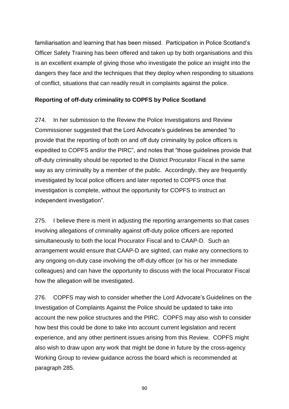familiarisation and learning that has been missed. Participation in Police Scotland's Officer Safety Training has been offered and taken up by both organisations and this is an excellent example of giving those who investigate the police an insight into the dangers they face and the techniques that they deploy when responding to situations of conflict, situations that can readily result in complaints against the police.

# **Reporting of off-duty criminality to COPFS by Police Scotland**

274. In her submission to the Review the Police Investigations and Review Commissioner suggested that the Lord Advocate's guidelines be amended "to provide that the reporting of both on and off duty criminality by police officers is expedited to COPFS and/or the PIRC", and notes that "those guidelines provide that off-duty criminality should be reported to the District Procurator Fiscal in the same way as any criminality by a member of the public. Accordingly, they are frequently investigated by local police officers and later reported to COPFS once that investigation is complete, without the opportunity for COPFS to instruct an independent investigation".

275. I believe there is merit in adjusting the reporting arrangements so that cases involving allegations of criminality against off-duty police officers are reported simultaneously to both the local Procurator Fiscal and to CAAP-D. Such an arrangement would ensure that CAAP-D are sighted, can make any connections to any ongoing on-duty case involving the off-duty officer (or his or her immediate colleagues) and can have the opportunity to discuss with the local Procurator Fiscal how the allegation will be investigated.

276. COPFS may wish to consider whether the Lord Advocate's Guidelines on the Investigation of Complaints Against the Police should be updated to take into account the new police structures and the PIRC. COPFS may also wish to consider how best this could be done to take into account current legislation and recent experience, and any other pertinent issues arising from this Review. COPFS might also wish to draw upon any work that might be done in future by the cross-agency Working Group to review guidance across the board which is recommended at paragraph 285.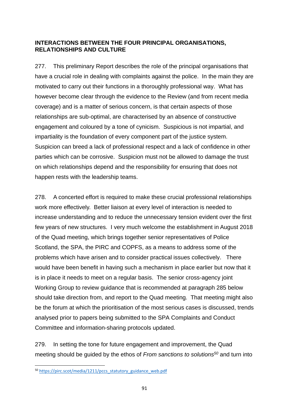# **INTERACTIONS BETWEEN THE FOUR PRINCIPAL ORGANISATIONS, RELATIONSHIPS AND CULTURE**

277. This preliminary Report describes the role of the principal organisations that have a crucial role in dealing with complaints against the police. In the main they are motivated to carry out their functions in a thoroughly professional way. What has however become clear through the evidence to the Review (and from recent media coverage) and is a matter of serious concern, is that certain aspects of those relationships are sub-optimal, are characterised by an absence of constructive engagement and coloured by a tone of cynicism. Suspicious is not impartial, and impartiality is the foundation of every component part of the justice system. Suspicion can breed a lack of professional respect and a lack of confidence in other parties which can be corrosive. Suspicion must not be allowed to damage the trust on which relationships depend and the responsibility for ensuring that does not happen rests with the leadership teams.

278. A concerted effort is required to make these crucial professional relationships work more effectively. Better liaison at every level of interaction is needed to increase understanding and to reduce the unnecessary tension evident over the first few years of new structures. I very much welcome the establishment in August 2018 of the Quad meeting, which brings together senior representatives of Police Scotland, the SPA, the PIRC and COPFS, as a means to address some of the problems which have arisen and to consider practical issues collectively. There would have been benefit in having such a mechanism in place earlier but now that it is in place it needs to meet on a regular basis. The senior cross-agency joint Working Group to review guidance that is recommended at paragraph 285 below should take direction from, and report to the Quad meeting. That meeting might also be the forum at which the prioritisation of the most serious cases is discussed, trends analysed prior to papers being submitted to the SPA Complaints and Conduct Committee and information-sharing protocols updated.

279. In setting the tone for future engagement and improvement, the Quad meeting should be guided by the ethos of *From sanctions to solutions<sup>50</sup>* and turn into

**.** 

<sup>&</sup>lt;sup>50</sup> [https://pirc.scot/media/1211/pccs\\_statutory\\_guidance\\_web.pdf](https://pirc.scot/media/1211/pccs_statutory_guidance_web.pdf)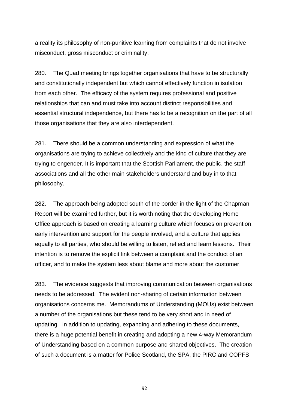a reality its philosophy of non-punitive learning from complaints that do not involve misconduct, gross misconduct or criminality.

280. The Quad meeting brings together organisations that have to be structurally and constitutionally independent but which cannot effectively function in isolation from each other. The efficacy of the system requires professional and positive relationships that can and must take into account distinct responsibilities and essential structural independence, but there has to be a recognition on the part of all those organisations that they are also interdependent.

281. There should be a common understanding and expression of what the organisations are trying to achieve collectively and the kind of culture that they are trying to engender. It is important that the Scottish Parliament, the public, the staff associations and all the other main stakeholders understand and buy in to that philosophy.

282. The approach being adopted south of the border in the light of the Chapman Report will be examined further, but it is worth noting that the developing Home Office approach is based on creating a learning culture which focuses on prevention, early intervention and support for the people involved, and a culture that applies equally to all parties, who should be willing to listen, reflect and learn lessons. Their intention is to remove the explicit link between a complaint and the conduct of an officer, and to make the system less about blame and more about the customer.

283. The evidence suggests that improving communication between organisations needs to be addressed. The evident non-sharing of certain information between organisations concerns me. Memorandums of Understanding (MOUs) exist between a number of the organisations but these tend to be very short and in need of updating. In addition to updating, expanding and adhering to these documents, there is a huge potential benefit in creating and adopting a new 4-way Memorandum of Understanding based on a common purpose and shared objectives. The creation of such a document is a matter for Police Scotland, the SPA, the PIRC and COPFS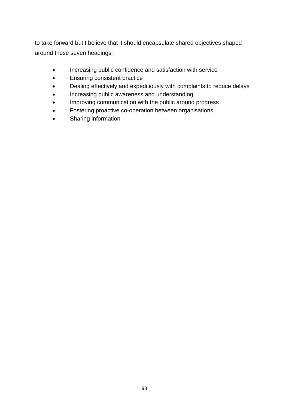to take forward but I believe that it should encapsulate shared objectives shaped around these seven headings:

- Increasing public confidence and satisfaction with service
- Ensuring consistent practice
- Dealing effectively and expeditiously with complaints to reduce delays
- Increasing public awareness and understanding
- Improving communication with the public around progress
- Fostering proactive co-operation between organisations
- Sharing information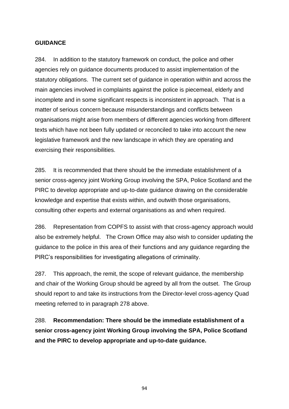## **GUIDANCE**

284. In addition to the statutory framework on conduct, the police and other agencies rely on guidance documents produced to assist implementation of the statutory obligations. The current set of guidance in operation within and across the main agencies involved in complaints against the police is piecemeal, elderly and incomplete and in some significant respects is inconsistent in approach. That is a matter of serious concern because misunderstandings and conflicts between organisations might arise from members of different agencies working from different texts which have not been fully updated or reconciled to take into account the new legislative framework and the new landscape in which they are operating and exercising their responsibilities.

285. It is recommended that there should be the immediate establishment of a senior cross-agency joint Working Group involving the SPA, Police Scotland and the PIRC to develop appropriate and up-to-date guidance drawing on the considerable knowledge and expertise that exists within, and outwith those organisations, consulting other experts and external organisations as and when required.

286. Representation from COPFS to assist with that cross-agency approach would also be extremely helpful. The Crown Office may also wish to consider updating the guidance to the police in this area of their functions and any guidance regarding the PIRC's responsibilities for investigating allegations of criminality.

287. This approach, the remit, the scope of relevant guidance, the membership and chair of the Working Group should be agreed by all from the outset. The Group should report to and take its instructions from the Director-level cross-agency Quad meeting referred to in paragraph 278 above.

288. **Recommendation: There should be the immediate establishment of a senior cross-agency joint Working Group involving the SPA, Police Scotland and the PIRC to develop appropriate and up-to-date guidance.**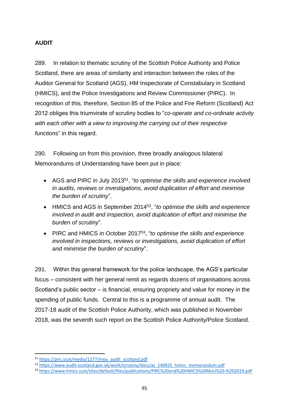## **AUDIT**

289. In relation to thematic scrutiny of the Scottish Police Authority and Police Scotland, there are areas of similarity and interaction between the roles of the Auditor General for Scotland (AGS), HM Inspectorate of Constabulary in Scotland (HMICS), and the Police Investigations and Review Commissioner (PIRC). In recognition of this, therefore, Section 85 of the Police and Fire Reform (Scotland) Act 2012 obliges this triumvirate of scrutiny bodies to "*co-operate and co-ordinate activity with each other with a view to improving the carrying out of their respective functions*" in this regard.

290. Following on from this provision, three broadly analogous bilateral Memorandums of Understanding have been put in place:

- AGS and PIRC in July 2013<sup>51</sup>, "*to optimise the skills and experience involved in audits, reviews or investigations, avoid duplication of effort and minimise the burden of scrutiny*".
- HMICS and AGS in September 2014<sup>52</sup>, "*to optimise the skills and experience involved in audit and inspection, avoid duplication of effort and minimise the burden of scrutiny*".
- PIRC and HMICS in October 2017<sup>53</sup>, "*to optimise the skills and experience involved in inspections, reviews or investigations, avoid duplication of effort and minimise the burden of scrutiny*".

291. Within this general framework for the police landscape, the AGS's particular focus – consistent with her general remit as regards dozens of organisations across Scotland's public sector – is financial, ensuring propriety and value for money in the spending of public funds. Central to this is a programme of annual audit. The 2017-18 audit of the Scottish Police Authority, which was published in November 2018, was the seventh such report on the Scottish Police Authority/Police Scotland.

**.** 

<sup>51</sup> [https://pirc.scot/media/1277/mou\\_audit\\_scotland.pdf](https://pirc.scot/media/1277/mou_audit_scotland.pdf)

<sup>52</sup> [https://www.audit-scotland.gov.uk/work/scrutiny/docs/as\\_140925\\_hmics\\_memorandum.pdf](https://www.audit-scotland.gov.uk/work/scrutiny/docs/as_140925_hmics_memorandum.pdf)

<sup>53</sup> <https://www.hmics.scot/sites/default/files/publications/PIRC%20and%20HMICS%20MoU%20-%202019.pdf>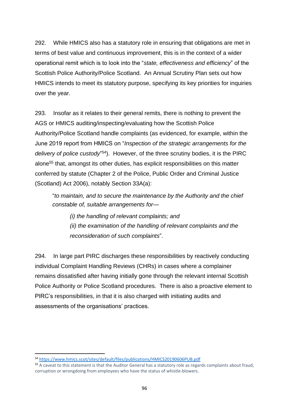292. While HMICS also has a statutory role in ensuring that obligations are met in terms of best value and continuous improvement, this is in the context of a wider operational remit which is to look into the "*state, effectiveness and efficiency*" of the Scottish Police Authority/Police Scotland. An Annual Scrutiny Plan sets out how HMICS intends to meet its statutory purpose, specifying its key priorities for inquiries over the year.

293. Insofar as it relates to their general remits, there is nothing to prevent the AGS or HMICS auditing/inspecting/evaluating how the Scottish Police Authority/Police Scotland handle complaints (as evidenced, for example, within the June 2019 report from HMICS on "*Inspection of the strategic arrangements for the*  delivery of police custody<sup>'54</sup>). However, of the three scrutiny bodies, it is the PIRC alone<sup>55</sup> that, amongst its other duties, has explicit responsibilities on this matter conferred by statute (Chapter 2 of the Police, Public Order and Criminal Justice (Scotland) Act 2006), notably Section 33A(a):

"*to maintain, and to secure the maintenance by the Authority and the chief constable of, suitable arrangements for—*

*(i) the handling of relevant complaints; and (ii) the examination of the handling of relevant complaints and the reconsideration of such complaints*".

294. In large part PIRC discharges these responsibilities by reactively conducting individual Complaint Handling Reviews (CHRs) in cases where a complainer remains dissatisfied after having initially gone through the relevant internal Scottish Police Authority or Police Scotland procedures. There is also a proactive element to PIRC's responsibilities, in that it is also charged with initiating audits and assessments of the organisations' practices.

**.** 

<sup>54</sup> <https://www.hmics.scot/sites/default/files/publications/HMICS20190606PUB.pdf>

<sup>55</sup> A caveat to this statement is that the Auditor General has a statutory role as regards complaints about fraud, corruption or wrongdoing from employees who have the status of whistle-blowers.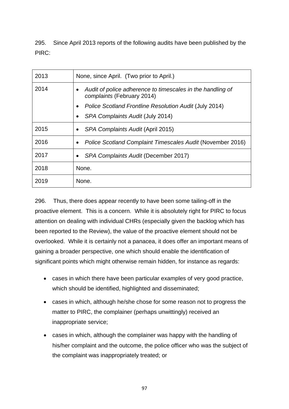295. Since April 2013 reports of the following audits have been published by the PIRC:

| 2013 | None, since April. (Two prior to April.)                                                 |
|------|------------------------------------------------------------------------------------------|
| 2014 | Audit of police adherence to timescales in the handling of<br>complaints (February 2014) |
|      | Police Scotland Frontline Resolution Audit (July 2014)                                   |
|      | SPA Complaints Audit (July 2014)                                                         |
| 2015 | SPA Complaints Audit (April 2015)<br>٠                                                   |
| 2016 | Police Scotland Complaint Timescales Audit (November 2016)<br>$\bullet$                  |
| 2017 | SPA Complaints Audit (December 2017)                                                     |
| 2018 | None.                                                                                    |
| 2019 | None.                                                                                    |

296. Thus, there does appear recently to have been some tailing-off in the proactive element. This is a concern. While it is absolutely right for PIRC to focus attention on dealing with individual CHRs (especially given the backlog which has been reported to the Review), the value of the proactive element should not be overlooked. While it is certainly not a panacea, it does offer an important means of gaining a broader perspective, one which should enable the identification of significant points which might otherwise remain hidden, for instance as regards:

- cases in which there have been particular examples of very good practice, which should be identified, highlighted and disseminated;
- cases in which, although he/she chose for some reason not to progress the matter to PIRC, the complainer (perhaps unwittingly) received an inappropriate service;
- cases in which, although the complainer was happy with the handling of his/her complaint and the outcome, the police officer who was the subject of the complaint was inappropriately treated; or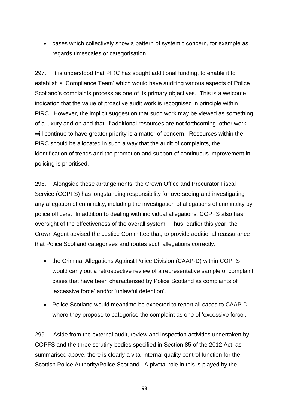• cases which collectively show a pattern of systemic concern, for example as regards timescales or categorisation.

297. It is understood that PIRC has sought additional funding, to enable it to establish a 'Compliance Team' which would have auditing various aspects of Police Scotland's complaints process as one of its primary objectives. This is a welcome indication that the value of proactive audit work is recognised in principle within PIRC. However, the implicit suggestion that such work may be viewed as something of a luxury add-on and that, if additional resources are not forthcoming, other work will continue to have greater priority is a matter of concern. Resources within the PIRC should be allocated in such a way that the audit of complaints, the identification of trends and the promotion and support of continuous improvement in policing is prioritised.

298. Alongside these arrangements, the Crown Office and Procurator Fiscal Service (COPFS) has longstanding responsibility for overseeing and investigating any allegation of criminality, including the investigation of allegations of criminality by police officers. In addition to dealing with individual allegations, COPFS also has oversight of the effectiveness of the overall system. Thus, earlier this year, the Crown Agent advised the Justice Committee that, to provide additional reassurance that Police Scotland categorises and routes such allegations correctly:

- the Criminal Allegations Against Police Division (CAAP-D) within COPFS would carry out a retrospective review of a representative sample of complaint cases that have been characterised by Police Scotland as complaints of 'excessive force' and/or 'unlawful detention'.
- Police Scotland would meantime be expected to report all cases to CAAP-D where they propose to categorise the complaint as one of 'excessive force'.

299. Aside from the external audit, review and inspection activities undertaken by COPFS and the three scrutiny bodies specified in Section 85 of the 2012 Act, as summarised above, there is clearly a vital internal quality control function for the Scottish Police Authority/Police Scotland. A pivotal role in this is played by the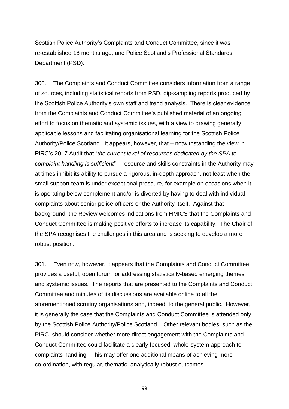Scottish Police Authority's Complaints and Conduct Committee, since it was re-established 18 months ago, and Police Scotland's Professional Standards Department (PSD).

300. The Complaints and Conduct Committee considers information from a range of sources, including statistical reports from PSD, dip-sampling reports produced by the Scottish Police Authority's own staff and trend analysis. There is clear evidence from the Complaints and Conduct Committee's published material of an ongoing effort to focus on thematic and systemic issues, with a view to drawing generally applicable lessons and facilitating organisational learning for the Scottish Police Authority/Police Scotland. It appears, however, that – notwithstanding the view in PIRC's 2017 Audit that "*the current level of resources dedicated by the SPA to complaint handling is sufficient*" – resource and skills constraints in the Authority may at times inhibit its ability to pursue a rigorous, in-depth approach, not least when the small support team is under exceptional pressure, for example on occasions when it is operating below complement and/or is diverted by having to deal with individual complaints about senior police officers or the Authority itself. Against that background, the Review welcomes indications from HMICS that the Complaints and Conduct Committee is making positive efforts to increase its capability. The Chair of the SPA recognises the challenges in this area and is seeking to develop a more robust position.

301. Even now, however, it appears that the Complaints and Conduct Committee provides a useful, open forum for addressing statistically-based emerging themes and systemic issues. The reports that are presented to the Complaints and Conduct Committee and minutes of its discussions are available online to all the aforementioned scrutiny organisations and, indeed, to the general public. However, it is generally the case that the Complaints and Conduct Committee is attended only by the Scottish Police Authority/Police Scotland. Other relevant bodies, such as the PIRC, should consider whether more direct engagement with the Complaints and Conduct Committee could facilitate a clearly focused, whole-system approach to complaints handling. This may offer one additional means of achieving more co-ordination, with regular, thematic, analytically robust outcomes.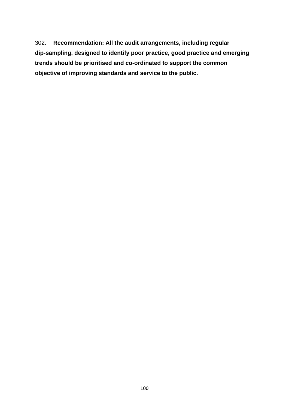302. **Recommendation: All the audit arrangements, including regular dip-sampling, designed to identify poor practice, good practice and emerging trends should be prioritised and co-ordinated to support the common objective of improving standards and service to the public.**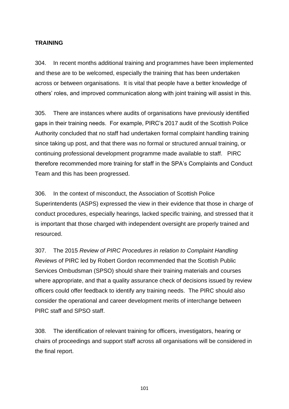#### **TRAINING**

304. In recent months additional training and programmes have been implemented and these are to be welcomed, especially the training that has been undertaken across or between organisations. It is vital that people have a better knowledge of others' roles, and improved communication along with joint training will assist in this.

305. There are instances where audits of organisations have previously identified gaps in their training needs. For example, PIRC's 2017 audit of the Scottish Police Authority concluded that no staff had undertaken formal complaint handling training since taking up post, and that there was no formal or structured annual training, or continuing professional development programme made available to staff. PIRC therefore recommended more training for staff in the SPA's Complaints and Conduct Team and this has been progressed.

306. In the context of misconduct, the Association of Scottish Police Superintendents (ASPS) expressed the view in their evidence that those in charge of conduct procedures, especially hearings, lacked specific training, and stressed that it is important that those charged with independent oversight are properly trained and resourced.

307. The 2015 *Review of PIRC Procedures in relation to Complaint Handling Reviews* of PIRC led by Robert Gordon recommended that the Scottish Public Services Ombudsman (SPSO) should share their training materials and courses where appropriate, and that a quality assurance check of decisions issued by review officers could offer feedback to identify any training needs. The PIRC should also consider the operational and career development merits of interchange between PIRC staff and SPSO staff.

308. The identification of relevant training for officers, investigators, hearing or chairs of proceedings and support staff across all organisations will be considered in the final report.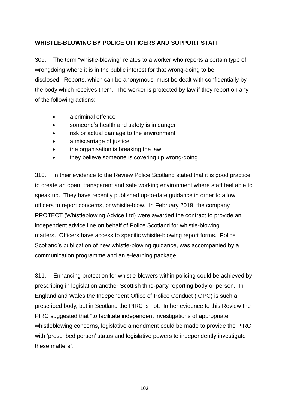# **WHISTLE-BLOWING BY POLICE OFFICERS AND SUPPORT STAFF**

309. The term "whistle-blowing" relates to a worker who reports a certain type of wrongdoing where it is in the public interest for that wrong-doing to be disclosed. Reports, which can be anonymous, must be dealt with confidentially by the body which receives them. The worker is protected by law if they report on any of the following actions:

- a criminal offence
- someone's health and safety is in danger
- risk or actual damage to the environment
- a miscarriage of justice
- the organisation is breaking the law
- they believe someone is covering up wrong-doing

310. In their evidence to the Review Police Scotland stated that it is good practice to create an open, transparent and safe working environment where staff feel able to speak up. They have recently published up-to-date guidance in order to allow officers to report concerns, or whistle-blow. In February 2019, the company PROTECT (Whistleblowing Advice Ltd) were awarded the contract to provide an independent advice line on behalf of Police Scotland for whistle-blowing matters. Officers have access to specific whistle-blowing report forms. Police Scotland's publication of new whistle-blowing guidance, was accompanied by a communication programme and an e-learning package.

311. Enhancing protection for whistle-blowers within policing could be achieved by prescribing in legislation another Scottish third-party reporting body or person. In England and Wales the Independent Office of Police Conduct (IOPC) is such a prescribed body, but in Scotland the PIRC is not. In her evidence to this Review the PIRC suggested that "to facilitate independent investigations of appropriate whistleblowing concerns, legislative amendment could be made to provide the PIRC with 'prescribed person' status and legislative powers to independently investigate these matters".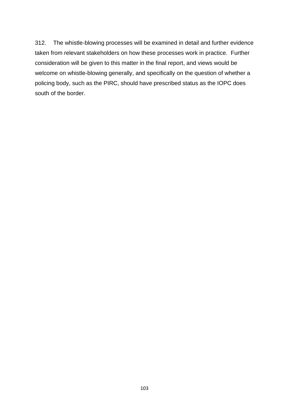312. The whistle-blowing processes will be examined in detail and further evidence taken from relevant stakeholders on how these processes work in practice. Further consideration will be given to this matter in the final report, and views would be welcome on whistle-blowing generally, and specifically on the question of whether a policing body, such as the PIRC, should have prescribed status as the IOPC does south of the border.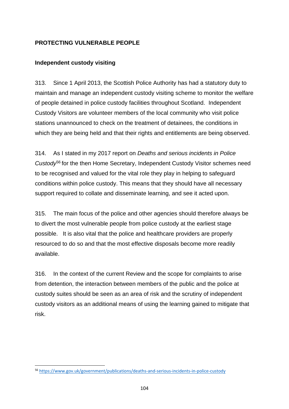## **PROTECTING VULNERABLE PEOPLE**

## **Independent custody visiting**

313. Since 1 April 2013, the Scottish Police Authority has had a statutory duty to maintain and manage an independent custody visiting scheme to monitor the welfare of people detained in police custody facilities throughout Scotland. Independent Custody Visitors are volunteer members of the local community who visit police stations unannounced to check on the treatment of detainees, the conditions in which they are being held and that their rights and entitlements are being observed.

314. As I stated in my 2017 report on *Deaths and serious incidents in Police Custody*<sup>56</sup> for the then Home Secretary, Independent Custody Visitor schemes need to be recognised and valued for the vital role they play in helping to safeguard conditions within police custody. This means that they should have all necessary support required to collate and disseminate learning, and see it acted upon.

315. The main focus of the police and other agencies should therefore always be to divert the most vulnerable people from police custody at the earliest stage possible. It is also vital that the police and healthcare providers are properly resourced to do so and that the most effective disposals become more readily available.

316. In the context of the current Review and the scope for complaints to arise from detention, the interaction between members of the public and the police at custody suites should be seen as an area of risk and the scrutiny of independent custody visitors as an additional means of using the learning gained to mitigate that risk.

**<sup>.</sup>** <sup>56</sup> <https://www.gov.uk/government/publications/deaths-and-serious-incidents-in-police-custody>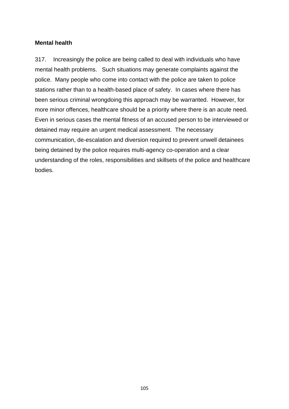# **Mental health**

317. Increasingly the police are being called to deal with individuals who have mental health problems. Such situations may generate complaints against the police. Many people who come into contact with the police are taken to police stations rather than to a health-based place of safety. In cases where there has been serious criminal wrongdoing this approach may be warranted. However, for more minor offences, healthcare should be a priority where there is an acute need. Even in serious cases the mental fitness of an accused person to be interviewed or detained may require an urgent medical assessment. The necessary communication, de-escalation and diversion required to prevent unwell detainees being detained by the police requires multi-agency co-operation and a clear understanding of the roles, responsibilities and skillsets of the police and healthcare bodies.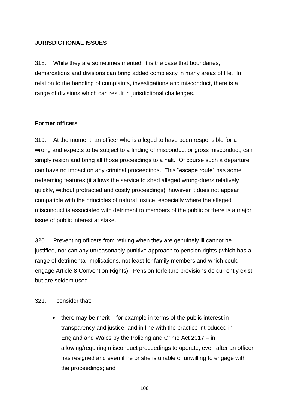#### **JURISDICTIONAL ISSUES**

318. While they are sometimes merited, it is the case that boundaries, demarcations and divisions can bring added complexity in many areas of life. In relation to the handling of complaints, investigations and misconduct, there is a range of divisions which can result in jurisdictional challenges.

#### **Former officers**

319. At the moment, an officer who is alleged to have been responsible for a wrong and expects to be subject to a finding of misconduct or gross misconduct, can simply resign and bring all those proceedings to a halt. Of course such a departure can have no impact on any criminal proceedings. This "escape route" has some redeeming features (it allows the service to shed alleged wrong-doers relatively quickly, without protracted and costly proceedings), however it does not appear compatible with the principles of natural justice, especially where the alleged misconduct is associated with detriment to members of the public or there is a major issue of public interest at stake.

320. Preventing officers from retiring when they are genuinely ill cannot be justified, nor can any unreasonably punitive approach to pension rights (which has a range of detrimental implications, not least for family members and which could engage Article 8 Convention Rights). Pension forfeiture provisions do currently exist but are seldom used.

#### 321. I consider that:

there may be merit  $-$  for example in terms of the public interest in transparency and justice, and in line with the practice introduced in England and Wales by the Policing and Crime Act 2017 – in allowing/requiring misconduct proceedings to operate, even after an officer has resigned and even if he or she is unable or unwilling to engage with the proceedings; and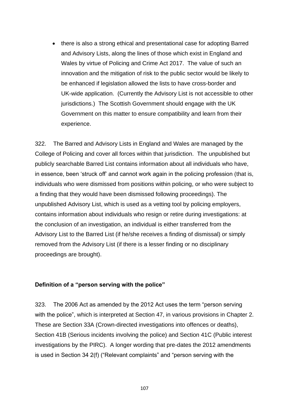• there is also a strong ethical and presentational case for adopting Barred and Advisory Lists, along the lines of those which exist in England and Wales by virtue of Policing and Crime Act 2017. The value of such an innovation and the mitigation of risk to the public sector would be likely to be enhanced if legislation allowed the lists to have cross-border and UK-wide application. (Currently the Advisory List is not accessible to other jurisdictions.) The Scottish Government should engage with the UK Government on this matter to ensure compatibility and learn from their experience.

322. The Barred and Advisory Lists in England and Wales are managed by the College of Policing and cover all forces within that jurisdiction. The unpublished but publicly searchable Barred List contains information about all individuals who have, in essence, been 'struck off' and cannot work again in the policing profession (that is, individuals who were dismissed from positions within policing, or who were subject to a finding that they would have been dismissed following proceedings). The unpublished Advisory List, which is used as a vetting tool by policing employers, contains information about individuals who resign or retire during investigations: at the conclusion of an investigation, an individual is either transferred from the Advisory List to the Barred List (if he/she receives a finding of dismissal) or simply removed from the Advisory List (if there is a lesser finding or no disciplinary proceedings are brought).

#### **Definition of a "person serving with the police"**

323. The 2006 Act as amended by the 2012 Act uses the term "person serving with the police", which is interpreted at Section 47, in various provisions in Chapter 2. These are Section 33A (Crown-directed investigations into offences or deaths), Section 41B (Serious incidents involving the police) and Section 41C (Public interest investigations by the PIRC). A longer wording that pre-dates the 2012 amendments is used in Section 34 2(f) ("Relevant complaints" and "person serving with the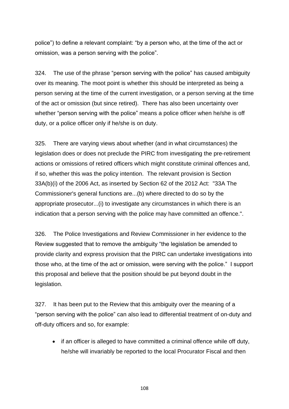police") to define a relevant complaint: "by a person who, at the time of the act or omission, was a person serving with the police".

324. The use of the phrase "person serving with the police" has caused ambiguity over its meaning. The moot point is whether this should be interpreted as being a person serving at the time of the current investigation, or a person serving at the time of the act or omission (but since retired). There has also been uncertainty over whether "person serving with the police" means a police officer when he/she is off duty, or a police officer only if he/she is on duty.

325. There are varying views about whether (and in what circumstances) the legislation does or does not preclude the PIRC from investigating the pre-retirement actions or omissions of retired officers which might constitute criminal offences and, if so, whether this was the policy intention. The relevant provision is Section 33A(b)(i) of the 2006 Act, as inserted by Section 62 of the 2012 Act: "33A The Commissioner's general functions are...(b) where directed to do so by the appropriate prosecutor...(i) to investigate any circumstances in which there is an indication that a person serving with the police may have committed an offence.".

326. The Police Investigations and Review Commissioner in her evidence to the Review suggested that to remove the ambiguity "the legislation be amended to provide clarity and express provision that the PIRC can undertake investigations into those who, at the time of the act or omission, were serving with the police." I support this proposal and believe that the position should be put beyond doubt in the legislation.

327. It has been put to the Review that this ambiguity over the meaning of a "person serving with the police" can also lead to differential treatment of on-duty and off-duty officers and so, for example:

• if an officer is alleged to have committed a criminal offence while off duty, he/she will invariably be reported to the local Procurator Fiscal and then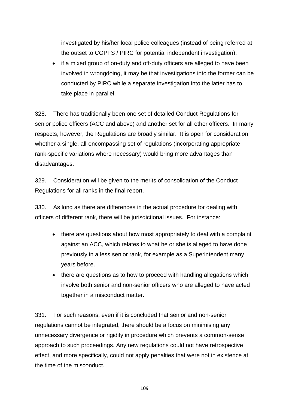investigated by his/her local police colleagues (instead of being referred at the outset to COPFS / PIRC for potential independent investigation).

• if a mixed group of on-duty and off-duty officers are alleged to have been involved in wrongdoing, it may be that investigations into the former can be conducted by PIRC while a separate investigation into the latter has to take place in parallel.

328. There has traditionally been one set of detailed Conduct Regulations for senior police officers (ACC and above) and another set for all other officers. In many respects, however, the Regulations are broadly similar. It is open for consideration whether a single, all-encompassing set of regulations (incorporating appropriate rank-specific variations where necessary) would bring more advantages than disadvantages.

329. Consideration will be given to the merits of consolidation of the Conduct Regulations for all ranks in the final report.

330. As long as there are differences in the actual procedure for dealing with officers of different rank, there will be jurisdictional issues. For instance:

- there are questions about how most appropriately to deal with a complaint against an ACC, which relates to what he or she is alleged to have done previously in a less senior rank, for example as a Superintendent many years before.
- there are questions as to how to proceed with handling allegations which involve both senior and non-senior officers who are alleged to have acted together in a misconduct matter.

331. For such reasons, even if it is concluded that senior and non-senior regulations cannot be integrated, there should be a focus on minimising any unnecessary divergence or rigidity in procedure which prevents a common-sense approach to such proceedings. Any new regulations could not have retrospective effect, and more specifically, could not apply penalties that were not in existence at the time of the misconduct.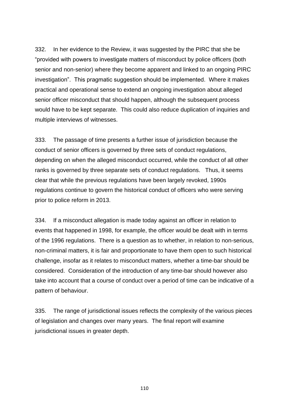332. In her evidence to the Review, it was suggested by the PIRC that she be "provided with powers to investigate matters of misconduct by police officers (both senior and non-senior) where they become apparent and linked to an ongoing PIRC investigation". This pragmatic suggestion should be implemented. Where it makes practical and operational sense to extend an ongoing investigation about alleged senior officer misconduct that should happen, although the subsequent process would have to be kept separate. This could also reduce duplication of inquiries and multiple interviews of witnesses.

333. The passage of time presents a further issue of jurisdiction because the conduct of senior officers is governed by three sets of conduct regulations, depending on when the alleged misconduct occurred, while the conduct of all other ranks is governed by three separate sets of conduct regulations. Thus, it seems clear that while the previous regulations have been largely revoked, 1990s regulations continue to govern the historical conduct of officers who were serving prior to police reform in 2013.

334. If a misconduct allegation is made today against an officer in relation to events that happened in 1998, for example, the officer would be dealt with in terms of the 1996 regulations. There is a question as to whether, in relation to non-serious, non-criminal matters, it is fair and proportionate to have them open to such historical challenge, insofar as it relates to misconduct matters, whether a time-bar should be considered. Consideration of the introduction of any time-bar should however also take into account that a course of conduct over a period of time can be indicative of a pattern of behaviour.

335. The range of jurisdictional issues reflects the complexity of the various pieces of legislation and changes over many years. The final report will examine jurisdictional issues in greater depth.

110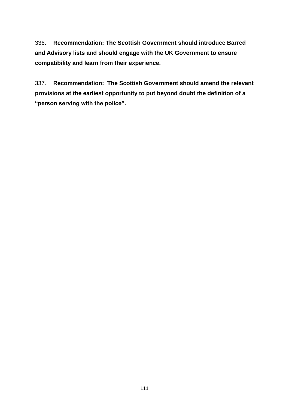336. **Recommendation: The Scottish Government should introduce Barred and Advisory lists and should engage with the UK Government to ensure compatibility and learn from their experience.**

337. **Recommendation: The Scottish Government should amend the relevant provisions at the earliest opportunity to put beyond doubt the definition of a "person serving with the police".**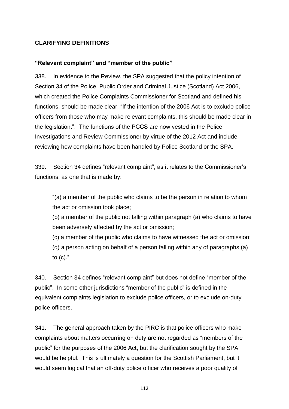#### **CLARIFYING DEFINITIONS**

#### **"Relevant complaint" and "member of the public"**

338. In evidence to the Review, the SPA suggested that the policy intention of Section 34 of the Police, Public Order and Criminal Justice (Scotland) Act 2006, which created the Police Complaints Commissioner for Scotland and defined his functions, should be made clear: "If the intention of the 2006 Act is to exclude police officers from those who may make relevant complaints, this should be made clear in the legislation.". The functions of the PCCS are now vested in the Police Investigations and Review Commissioner by virtue of the 2012 Act and include reviewing how complaints have been handled by Police Scotland or the SPA.

339. Section 34 defines "relevant complaint", as it relates to the Commissioner's functions, as one that is made by:

"(a) a member of the public who claims to be the person in relation to whom the act or omission took place;

(b) a member of the public not falling within paragraph (a) who claims to have been adversely affected by the act or omission;

(c) a member of the public who claims to have witnessed the act or omission;

(d) a person acting on behalf of a person falling within any of paragraphs (a) to (c)."

340. Section 34 defines "relevant complaint" but does not define "member of the public". In some other jurisdictions "member of the public" is defined in the equivalent complaints legislation to exclude police officers, or to exclude on-duty police officers.

341. The general approach taken by the PIRC is that police officers who make complaints about matters occurring on duty are not regarded as "members of the public" for the purposes of the 2006 Act, but the clarification sought by the SPA would be helpful. This is ultimately a question for the Scottish Parliament, but it would seem logical that an off-duty police officer who receives a poor quality of

112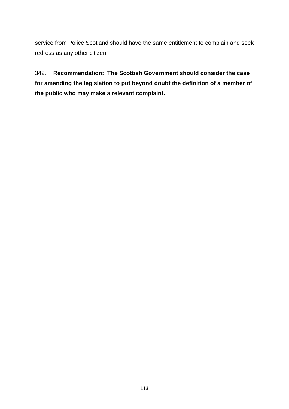service from Police Scotland should have the same entitlement to complain and seek redress as any other citizen.

342. **Recommendation: The Scottish Government should consider the case for amending the legislation to put beyond doubt the definition of a member of the public who may make a relevant complaint.**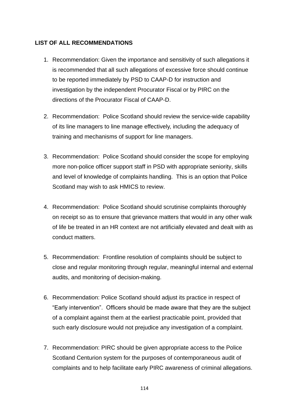#### **LIST OF ALL RECOMMENDATIONS**

- 1. Recommendation: Given the importance and sensitivity of such allegations it is recommended that all such allegations of excessive force should continue to be reported immediately by PSD to CAAP-D for instruction and investigation by the independent Procurator Fiscal or by PIRC on the directions of the Procurator Fiscal of CAAP-D.
- 2. Recommendation: Police Scotland should review the service-wide capability of its line managers to line manage effectively, including the adequacy of training and mechanisms of support for line managers.
- 3. Recommendation: Police Scotland should consider the scope for employing more non-police officer support staff in PSD with appropriate seniority, skills and level of knowledge of complaints handling. This is an option that Police Scotland may wish to ask HMICS to review.
- 4. Recommendation: Police Scotland should scrutinise complaints thoroughly on receipt so as to ensure that grievance matters that would in any other walk of life be treated in an HR context are not artificially elevated and dealt with as conduct matters.
- 5. Recommendation: Frontline resolution of complaints should be subject to close and regular monitoring through regular, meaningful internal and external audits, and monitoring of decision-making.
- 6. Recommendation: Police Scotland should adjust its practice in respect of "Early intervention". Officers should be made aware that they are the subject of a complaint against them at the earliest practicable point, provided that such early disclosure would not prejudice any investigation of a complaint.
- 7. Recommendation: PIRC should be given appropriate access to the Police Scotland Centurion system for the purposes of contemporaneous audit of complaints and to help facilitate early PIRC awareness of criminal allegations.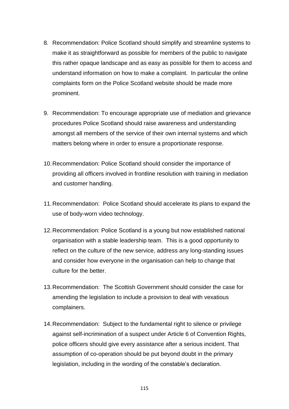- 8. Recommendation: Police Scotland should simplify and streamline systems to make it as straightforward as possible for members of the public to navigate this rather opaque landscape and as easy as possible for them to access and understand information on how to make a complaint. In particular the online complaints form on the Police Scotland website should be made more prominent.
- 9. Recommendation: To encourage appropriate use of mediation and grievance procedures Police Scotland should raise awareness and understanding amongst all members of the service of their own internal systems and which matters belong where in order to ensure a proportionate response.
- 10.Recommendation: Police Scotland should consider the importance of providing all officers involved in frontline resolution with training in mediation and customer handling.
- 11.Recommendation: Police Scotland should accelerate its plans to expand the use of body-worn video technology.
- 12.Recommendation: Police Scotland is a young but now established national organisation with a stable leadership team. This is a good opportunity to reflect on the culture of the new service, address any long-standing issues and consider how everyone in the organisation can help to change that culture for the better.
- 13.Recommendation: The Scottish Government should consider the case for amending the legislation to include a provision to deal with vexatious complainers.
- 14.Recommendation: Subject to the fundamental right to silence or privilege against self-incrimination of a suspect under Article 6 of Convention Rights, police officers should give every assistance after a serious incident. That assumption of co-operation should be put beyond doubt in the primary legislation, including in the wording of the constable's declaration.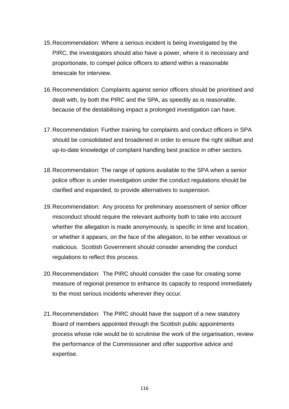- 15.Recommendation: Where a serious incident is being investigated by the PIRC, the investigators should also have a power, where it is necessary and proportionate, to compel police officers to attend within a reasonable timescale for interview.
- 16.Recommendation: Complaints against senior officers should be prioritised and dealt with, by both the PIRC and the SPA, as speedily as is reasonable, because of the destabilising impact a prolonged investigation can have.
- 17.Recommendation: Further training for complaints and conduct officers in SPA should be consolidated and broadened in order to ensure the right skillset and up-to-date knowledge of complaint handling best practice in other sectors.
- 18.Recommendation: The range of options available to the SPA when a senior police officer is under investigation under the conduct regulations should be clarified and expanded, to provide alternatives to suspension.
- 19.Recommendation: Any process for preliminary assessment of senior officer misconduct should require the relevant authority both to take into account whether the allegation is made anonymously, is specific in time and location, or whether it appears, on the face of the allegation, to be either vexatious or malicious. Scottish Government should consider amending the conduct regulations to reflect this process.
- 20.Recommendation: The PIRC should consider the case for creating some measure of regional presence to enhance its capacity to respond immediately to the most serious incidents wherever they occur.
- 21.Recommendation: The PIRC should have the support of a new statutory Board of members appointed through the Scottish public appointments process whose role would be to scrutinise the work of the organisation, review the performance of the Commissioner and offer supportive advice and expertise.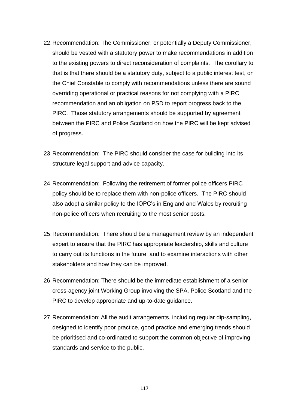- 22.Recommendation: The Commissioner, or potentially a Deputy Commissioner, should be vested with a statutory power to make recommendations in addition to the existing powers to direct reconsideration of complaints. The corollary to that is that there should be a statutory duty, subject to a public interest test, on the Chief Constable to comply with recommendations unless there are sound overriding operational or practical reasons for not complying with a PIRC recommendation and an obligation on PSD to report progress back to the PIRC. Those statutory arrangements should be supported by agreement between the PIRC and Police Scotland on how the PIRC will be kept advised of progress.
- 23.Recommendation: The PIRC should consider the case for building into its structure legal support and advice capacity.
- 24.Recommendation: Following the retirement of former police officers PIRC policy should be to replace them with non-police officers. The PIRC should also adopt a similar policy to the IOPC's in England and Wales by recruiting non-police officers when recruiting to the most senior posts.
- 25.Recommendation: There should be a management review by an independent expert to ensure that the PIRC has appropriate leadership, skills and culture to carry out its functions in the future, and to examine interactions with other stakeholders and how they can be improved.
- 26.Recommendation: There should be the immediate establishment of a senior cross-agency joint Working Group involving the SPA, Police Scotland and the PIRC to develop appropriate and up-to-date guidance.
- 27.Recommendation: All the audit arrangements, including regular dip-sampling, designed to identify poor practice, good practice and emerging trends should be prioritised and co-ordinated to support the common objective of improving standards and service to the public.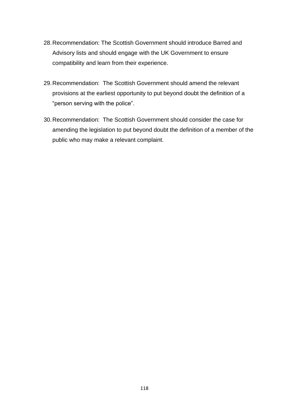- 28.Recommendation: The Scottish Government should introduce Barred and Advisory lists and should engage with the UK Government to ensure compatibility and learn from their experience.
- 29.Recommendation: The Scottish Government should amend the relevant provisions at the earliest opportunity to put beyond doubt the definition of a "person serving with the police".
- 30.Recommendation: The Scottish Government should consider the case for amending the legislation to put beyond doubt the definition of a member of the public who may make a relevant complaint.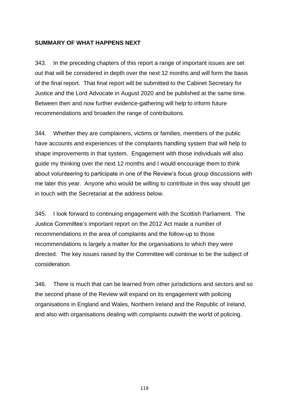#### **SUMMARY OF WHAT HAPPENS NEXT**

343. In the preceding chapters of this report a range of important issues are set out that will be considered in depth over the next 12 months and will form the basis of the final report. That final report will be submitted to the Cabinet Secretary for Justice and the Lord Advocate in August 2020 and be published at the same time. Between then and now further evidence-gathering will help to inform future recommendations and broaden the range of contributions.

344. Whether they are complainers, victims or families, members of the public have accounts and experiences of the complaints handling system that will help to shape improvements in that system. Engagement with those individuals will also guide my thinking over the next 12 months and I would encourage them to think about volunteering to participate in one of the Review's focus group discussions with me later this year. Anyone who would be willing to contribute in this way should get in touch with the Secretariat at the address below.

345. I look forward to continuing engagement with the Scottish Parliament. The Justice Committee's important report on the 2012 Act made a number of recommendations in the area of complaints and the follow-up to those recommendations is largely a matter for the organisations to which they were directed. The key issues raised by the Committee will continue to be the subject of consideration.

346. There is much that can be learned from other jurisdictions and sectors and so the second phase of the Review will expand on its engagement with policing organisations in England and Wales, Northern Ireland and the Republic of Ireland, and also with organisations dealing with complaints outwith the world of policing.

119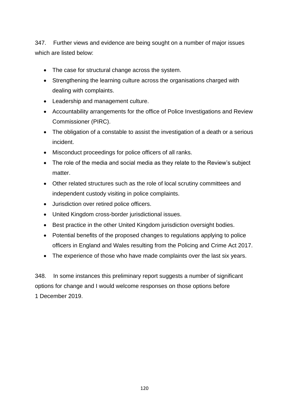347. Further views and evidence are being sought on a number of major issues which are listed below:

- The case for structural change across the system.
- Strengthening the learning culture across the organisations charged with dealing with complaints.
- Leadership and management culture.
- Accountability arrangements for the office of Police Investigations and Review Commissioner (PIRC).
- The obligation of a constable to assist the investigation of a death or a serious incident.
- Misconduct proceedings for police officers of all ranks.
- The role of the media and social media as they relate to the Review's subject matter.
- Other related structures such as the role of local scrutiny committees and independent custody visiting in police complaints.
- Jurisdiction over retired police officers.
- United Kingdom cross-border jurisdictional issues.
- Best practice in the other United Kingdom jurisdiction oversight bodies.
- Potential benefits of the proposed changes to regulations applying to police officers in England and Wales resulting from the Policing and Crime Act 2017.
- The experience of those who have made complaints over the last six years.

348. In some instances this preliminary report suggests a number of significant options for change and I would welcome responses on those options before 1 December 2019.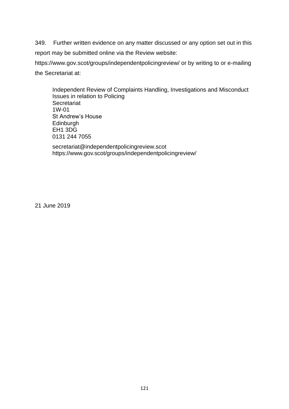349. Further written evidence on any matter discussed or any option set out in this report may be submitted online via the Review website: <https://www.gov.scot/groups/independentpolicingreview/> or by writing to or e-mailing

the Secretariat at:

Independent Review of Complaints Handling, Investigations and Misconduct Issues in relation to Policing **Secretariat** 1W-01 St Andrew's House Edinburgh EH1 3DG 0131 244 7055

[secretariat@independentpolicingreview.scot](mailto:secretariat@independentpolicingreview.scot) <https://www.gov.scot/groups/independentpolicingreview/>

21 June 2019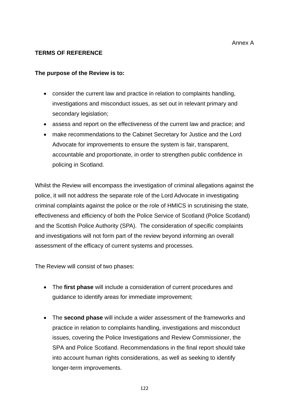#### **TERMS OF REFERENCE**

#### **The purpose of the Review is to:**

- consider the current law and practice in relation to complaints handling, investigations and misconduct issues, as set out in relevant primary and secondary legislation;
- assess and report on the effectiveness of the current law and practice; and
- make recommendations to the Cabinet Secretary for Justice and the Lord Advocate for improvements to ensure the system is fair, transparent, accountable and proportionate, in order to strengthen public confidence in policing in Scotland.

Whilst the Review will encompass the investigation of criminal allegations against the police, it will not address the separate role of the Lord Advocate in investigating criminal complaints against the police or the role of HMICS in scrutinising the state, effectiveness and efficiency of both the Police Service of Scotland (Police Scotland) and the Scottish Police Authority (SPA). The consideration of specific complaints and investigations will not form part of the review beyond informing an overall assessment of the efficacy of current systems and processes.

The Review will consist of two phases:

- The **first phase** will include a consideration of current procedures and guidance to identify areas for immediate improvement;
- The **second phase** will include a wider assessment of the frameworks and practice in relation to complaints handling, investigations and misconduct issues, covering the Police Investigations and Review Commissioner, the SPA and Police Scotland. Recommendations in the final report should take into account human rights considerations, as well as seeking to identify longer-term improvements.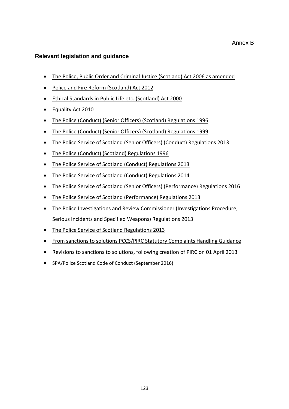#### **Relevant legislation and guidance**

- [The Police, Public Order and Criminal Justice \(Scotland\) Act 2006 as amended](https://www.legislation.gov.uk/asp/2006/10/contents)
- Police and Fire [Reform \(Scotland\) Act 2012](http://www.legislation.gov.uk/asp/2012/8)
- [Ethical Standards in Public Life etc. \(Scotland\) Act 2000](http://www.legislation.gov.uk/asp/2000/7/contents)
- [Equality Act 2010](https://www.legislation.gov.uk/ukpga/2010/15/contents)
- [The Police \(Conduct\) \(Senior Officers\) \(Scotland\) Regulations 1996](http://www.legislation.gov.uk/uksi/1996/1645/contents/made)
- [The Police \(Conduct\) \(Senior Officers\) \(Scotland\) Regulations 1999](http://www.legislation.gov.uk/uksi/1999/1074/contents/made)
- [The Police Service of Scotland \(Senior Officers\) \(Conduct\) Regulations 2013](http://www.legislation.gov.uk/ssi/2013/62/contents/made)
- [The Police \(Conduct\) \(Scotland\) Regulations 1996](http://www.legislation.gov.uk/uksi/1996/1642/contents/made)
- [The Police Service of Scotland \(Conduct\) Regulations 2013](http://www.legislation.gov.uk/ssi/2013/60/contents/made)
- [The Police Service of Scotland \(Conduct\) Regulations 2014](http://www.legislation.gov.uk/ssi/2014/68/contents/made)
- [The Police Service of Scotland \(Senior Officers\) \(Performance\) Regulations 2016](http://www.legislation.gov.uk/ssi/2016/51/contents/made)
- [The Police Service of Scotland \(Performance\) Regulations 2013](http://www.legislation.gov.uk/ssi/2013/61/contents/made)
- [The Police Investigations and Review Commissioner \(Investigations Procedure,](http://www.legislation.gov.uk/ssi/2013/118/contents/made)  [Serious Incidents and Specified Weapons\) Regulations 2013](http://www.legislation.gov.uk/ssi/2013/118/contents/made)
- [The Police Service of Scotland Regulations 2013](http://www.legislation.gov.uk/ssi/2013/35/contents/made)
- From sanctions to solutions PCCS/PIRC [Statutory Complaints Handling Guidance](https://pirc.scot/media/1211/pccs_statutory_guidance_web.pdf)
- [Revisions to sanctions to solutions, following creation of PIRC on 01 April 2013](https://pirc.scot/media/3436/270313_revisions_to_statutory_guidance.pdf)
- SPA/Police Scotland Code of Conduct (September 2016)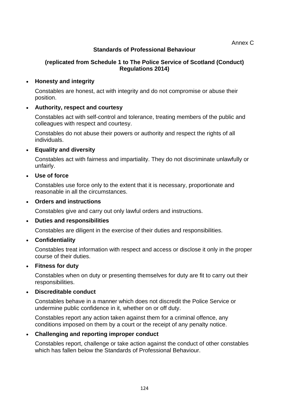# **Standards of Professional Behaviour**

# **(replicated from Schedule 1 to The Police Service of Scotland (Conduct) Regulations 2014)**

#### • **Honesty and integrity**

Constables are honest, act with integrity and do not compromise or abuse their position.

#### • **Authority, respect and courtesy**

Constables act with self-control and tolerance, treating members of the public and colleagues with respect and courtesy.

Constables do not abuse their powers or authority and respect the rights of all individuals.

#### • **Equality and diversity**

Constables act with fairness and impartiality. They do not discriminate unlawfully or unfairly.

• **Use of force**

Constables use force only to the extent that it is necessary, proportionate and reasonable in all the circumstances.

#### • **Orders and instructions**

Constables give and carry out only lawful orders and instructions.

#### • **Duties and responsibilities**

Constables are diligent in the exercise of their duties and responsibilities.

# • **Confidentiality**

Constables treat information with respect and access or disclose it only in the proper course of their duties.

#### • **Fitness for duty**

Constables when on duty or presenting themselves for duty are fit to carry out their responsibilities.

# • **Discreditable conduct**

Constables behave in a manner which does not discredit the Police Service or undermine public confidence in it, whether on or off duty.

Constables report any action taken against them for a criminal offence, any conditions imposed on them by a court or the receipt of any penalty notice.

# • **Challenging and reporting improper conduct**

Constables report, challenge or take action against the conduct of other constables which has fallen below the Standards of Professional Behaviour.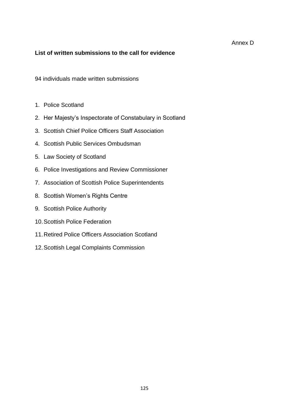#### Annex D

#### **List of written submissions to the call for evidence**

94 individuals made written submissions

- 1. Police Scotland
- 2. Her Majesty's Inspectorate of Constabulary in Scotland
- 3. Scottish Chief Police Officers Staff Association
- 4. Scottish Public Services Ombudsman
- 5. Law Society of Scotland
- 6. Police Investigations and Review Commissioner
- 7. Association of Scottish Police Superintendents
- 8. Scottish Women's Rights Centre
- 9. Scottish Police Authority
- 10.Scottish Police Federation
- 11.Retired Police Officers Association Scotland
- 12.Scottish Legal Complaints Commission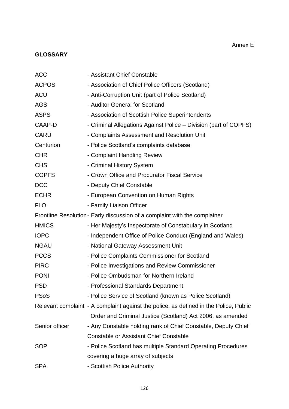# Annex E

# **GLOSSARY**

| <b>ACC</b>     | - Assistant Chief Constable                                                           |
|----------------|---------------------------------------------------------------------------------------|
| <b>ACPOS</b>   | - Association of Chief Police Officers (Scotland)                                     |
| <b>ACU</b>     | - Anti-Corruption Unit (part of Police Scotland)                                      |
| <b>AGS</b>     | - Auditor General for Scotland                                                        |
| <b>ASPS</b>    | - Association of Scottish Police Superintendents                                      |
| CAAP-D         | - Criminal Allegations Against Police – Division (part of COPFS)                      |
| <b>CARU</b>    | - Complaints Assessment and Resolution Unit                                           |
| Centurion      | - Police Scotland's complaints database                                               |
| <b>CHR</b>     | - Complaint Handling Review                                                           |
| <b>CHS</b>     | - Criminal History System                                                             |
| <b>COPFS</b>   | - Crown Office and Procurator Fiscal Service                                          |
| <b>DCC</b>     | - Deputy Chief Constable                                                              |
| <b>ECHR</b>    | - European Convention on Human Rights                                                 |
| <b>FLO</b>     | - Family Liaison Officer                                                              |
|                | Frontline Resolution - Early discussion of a complaint with the complainer            |
| <b>HMICS</b>   | - Her Majesty's Inspectorate of Constabulary in Scotland                              |
| <b>IOPC</b>    | - Independent Office of Police Conduct (England and Wales)                            |
| <b>NGAU</b>    | - National Gateway Assessment Unit                                                    |
| <b>PCCS</b>    | - Police Complaints Commissioner for Scotland                                         |
| <b>PIRC</b>    | - Police Investigations and Review Commissioner                                       |
| <b>PONI</b>    | - Police Ombudsman for Northern Ireland                                               |
| <b>PSD</b>     | - Professional Standards Department                                                   |
| <b>PSoS</b>    | - Police Service of Scotland (known as Police Scotland)                               |
|                | Relevant complaint - A complaint against the police, as defined in the Police, Public |
|                | Order and Criminal Justice (Scotland) Act 2006, as amended                            |
| Senior officer | - Any Constable holding rank of Chief Constable, Deputy Chief                         |
|                | <b>Constable or Assistant Chief Constable</b>                                         |
| <b>SOP</b>     | - Police Scotland has multiple Standard Operating Procedures                          |
|                | covering a huge array of subjects                                                     |
| <b>SPA</b>     | - Scottish Police Authority                                                           |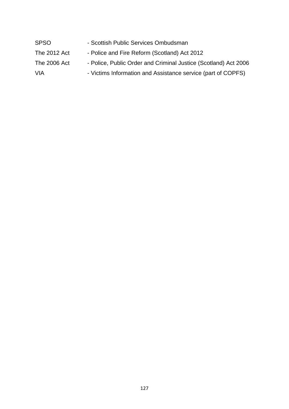| <b>SPSO</b>  | - Scottish Public Services Ombudsman                            |
|--------------|-----------------------------------------------------------------|
| The 2012 Act | - Police and Fire Reform (Scotland) Act 2012                    |
| The 2006 Act | - Police, Public Order and Criminal Justice (Scotland) Act 2006 |
| VIA          | - Victims Information and Assistance service (part of COPFS)    |